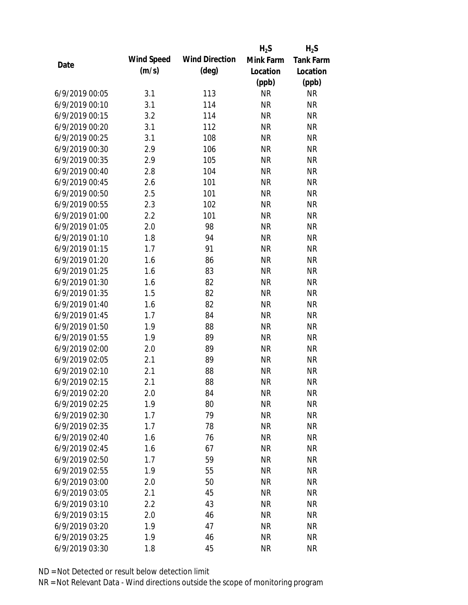|                |            |                       | $H_2S$    | $H_2S$           |
|----------------|------------|-----------------------|-----------|------------------|
|                | Wind Speed | <b>Wind Direction</b> | Mink Farm | <b>Tank Farm</b> |
| Date           | (m/s)      | $(\text{deg})$        | Location  | Location         |
|                |            |                       | (ppb)     | (ppb)            |
| 6/9/2019 00:05 | 3.1        | 113                   | <b>NR</b> | <b>NR</b>        |
| 6/9/2019 00:10 | 3.1        | 114                   | <b>NR</b> | <b>NR</b>        |
| 6/9/2019 00:15 | 3.2        | 114                   | <b>NR</b> | <b>NR</b>        |
| 6/9/2019 00:20 | 3.1        | 112                   | <b>NR</b> | <b>NR</b>        |
| 6/9/2019 00:25 | 3.1        | 108                   | <b>NR</b> | <b>NR</b>        |
| 6/9/2019 00:30 | 2.9        | 106                   | <b>NR</b> | <b>NR</b>        |
| 6/9/2019 00:35 | 2.9        | 105                   | <b>NR</b> | <b>NR</b>        |
| 6/9/2019 00:40 | 2.8        | 104                   | <b>NR</b> | <b>NR</b>        |
| 6/9/2019 00:45 | 2.6        | 101                   | <b>NR</b> | <b>NR</b>        |
| 6/9/2019 00:50 | 2.5        | 101                   | <b>NR</b> | <b>NR</b>        |
| 6/9/2019 00:55 | 2.3        | 102                   | <b>NR</b> | <b>NR</b>        |
| 6/9/2019 01:00 | 2.2        | 101                   | <b>NR</b> | <b>NR</b>        |
| 6/9/2019 01:05 | 2.0        | 98                    | <b>NR</b> | <b>NR</b>        |
| 6/9/2019 01:10 | 1.8        | 94                    | <b>NR</b> | <b>NR</b>        |
| 6/9/2019 01:15 | 1.7        | 91                    | <b>NR</b> | <b>NR</b>        |
| 6/9/2019 01:20 | 1.6        | 86                    | <b>NR</b> | <b>NR</b>        |
| 6/9/2019 01:25 | 1.6        | 83                    | <b>NR</b> | <b>NR</b>        |
| 6/9/2019 01:30 | 1.6        | 82                    | <b>NR</b> | <b>NR</b>        |
| 6/9/2019 01:35 | 1.5        | 82                    | <b>NR</b> | <b>NR</b>        |
| 6/9/2019 01:40 | 1.6        | 82                    | <b>NR</b> | <b>NR</b>        |
| 6/9/2019 01:45 | 1.7        | 84                    | <b>NR</b> | <b>NR</b>        |
| 6/9/2019 01:50 | 1.9        | 88                    | <b>NR</b> | <b>NR</b>        |
| 6/9/2019 01:55 | 1.9        | 89                    | <b>NR</b> | <b>NR</b>        |
| 6/9/2019 02:00 | 2.0        | 89                    | <b>NR</b> | <b>NR</b>        |
| 6/9/2019 02:05 | 2.1        | 89                    | <b>NR</b> | <b>NR</b>        |
| 6/9/2019 02:10 | 2.1        | 88                    | <b>NR</b> | <b>NR</b>        |
| 6/9/2019 02:15 | 2.1        | 88                    | <b>NR</b> | <b>NR</b>        |
| 6/9/2019 02:20 | 2.0        | 84                    | <b>NR</b> | <b>NR</b>        |
| 6/9/2019 02:25 | 1.9        | 80                    | <b>NR</b> | <b>NR</b>        |
| 6/9/2019 02:30 | 1.7        | 79                    | <b>NR</b> | <b>NR</b>        |
| 6/9/2019 02:35 | 1.7        | 78                    | <b>NR</b> | <b>NR</b>        |
| 6/9/2019 02:40 | 1.6        | 76                    | <b>NR</b> | <b>NR</b>        |
| 6/9/2019 02:45 | 1.6        | 67                    | <b>NR</b> | <b>NR</b>        |
| 6/9/2019 02:50 | 1.7        | 59                    | <b>NR</b> | <b>NR</b>        |
| 6/9/2019 02:55 | 1.9        | 55                    | <b>NR</b> | <b>NR</b>        |
| 6/9/2019 03:00 | 2.0        | 50                    | <b>NR</b> | <b>NR</b>        |
| 6/9/2019 03:05 | 2.1        | 45                    | <b>NR</b> | <b>NR</b>        |
| 6/9/2019 03:10 | 2.2        | 43                    | <b>NR</b> | <b>NR</b>        |
| 6/9/2019 03:15 | 2.0        | 46                    | <b>NR</b> | <b>NR</b>        |
| 6/9/2019 03:20 | 1.9        | 47                    | <b>NR</b> | <b>NR</b>        |
| 6/9/2019 03:25 | 1.9        | 46                    | <b>NR</b> | <b>NR</b>        |
| 6/9/2019 03:30 | 1.8        | 45                    | <b>NR</b> | <b>NR</b>        |
|                |            |                       |           |                  |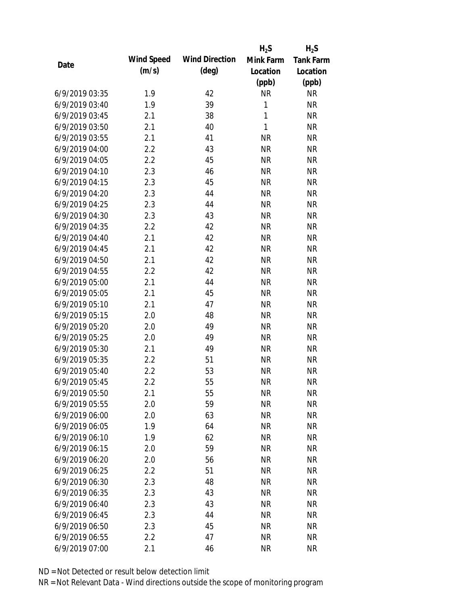|                |            |                       | $H_2S$       | $H_2S$           |
|----------------|------------|-----------------------|--------------|------------------|
| Date           | Wind Speed | <b>Wind Direction</b> | Mink Farm    | <b>Tank Farm</b> |
|                | (m/s)      | $(\text{deg})$        | Location     | Location         |
|                |            |                       | (ppb)        | (ppb)            |
| 6/9/2019 03:35 | 1.9        | 42                    | <b>NR</b>    | <b>NR</b>        |
| 6/9/2019 03:40 | 1.9        | 39                    | 1            | <b>NR</b>        |
| 6/9/2019 03:45 | 2.1        | 38                    | $\mathbf{1}$ | <b>NR</b>        |
| 6/9/2019 03:50 | 2.1        | 40                    | $\mathbf{1}$ | <b>NR</b>        |
| 6/9/2019 03:55 | 2.1        | 41                    | <b>NR</b>    | <b>NR</b>        |
| 6/9/2019 04:00 | 2.2        | 43                    | <b>NR</b>    | <b>NR</b>        |
| 6/9/2019 04:05 | 2.2        | 45                    | <b>NR</b>    | <b>NR</b>        |
| 6/9/2019 04:10 | 2.3        | 46                    | <b>NR</b>    | <b>NR</b>        |
| 6/9/2019 04:15 | 2.3        | 45                    | <b>NR</b>    | <b>NR</b>        |
| 6/9/2019 04:20 | 2.3        | 44                    | <b>NR</b>    | <b>NR</b>        |
| 6/9/2019 04:25 | 2.3        | 44                    | <b>NR</b>    | <b>NR</b>        |
| 6/9/2019 04:30 | 2.3        | 43                    | <b>NR</b>    | <b>NR</b>        |
| 6/9/2019 04:35 | 2.2        | 42                    | <b>NR</b>    | <b>NR</b>        |
| 6/9/2019 04:40 | 2.1        | 42                    | <b>NR</b>    | <b>NR</b>        |
| 6/9/2019 04:45 | 2.1        | 42                    | <b>NR</b>    | <b>NR</b>        |
| 6/9/2019 04:50 | 2.1        | 42                    | <b>NR</b>    | <b>NR</b>        |
| 6/9/2019 04:55 | 2.2        | 42                    | <b>NR</b>    | <b>NR</b>        |
| 6/9/2019 05:00 | 2.1        | 44                    | <b>NR</b>    | <b>NR</b>        |
| 6/9/2019 05:05 | 2.1        | 45                    | <b>NR</b>    | <b>NR</b>        |
| 6/9/2019 05:10 | 2.1        | 47                    | <b>NR</b>    | <b>NR</b>        |
| 6/9/2019 05:15 | 2.0        | 48                    | <b>NR</b>    | <b>NR</b>        |
| 6/9/2019 05:20 | 2.0        | 49                    | <b>NR</b>    | <b>NR</b>        |
| 6/9/2019 05:25 | 2.0        | 49                    | <b>NR</b>    | <b>NR</b>        |
| 6/9/2019 05:30 | 2.1        | 49                    | <b>NR</b>    | <b>NR</b>        |
| 6/9/2019 05:35 | 2.2        | 51                    | <b>NR</b>    | <b>NR</b>        |
| 6/9/2019 05:40 | 2.2        | 53                    | <b>NR</b>    | <b>NR</b>        |
| 6/9/2019 05:45 | 2.2        | 55                    | <b>NR</b>    | <b>NR</b>        |
| 6/9/2019 05:50 | 2.1        | 55                    | <b>NR</b>    | <b>NR</b>        |
| 6/9/2019 05:55 | 2.0        | 59                    | <b>NR</b>    | <b>NR</b>        |
| 6/9/2019 06:00 | 2.0        | 63                    | <b>NR</b>    | <b>NR</b>        |
| 6/9/2019 06:05 | 1.9        | 64                    | <b>NR</b>    | <b>NR</b>        |
| 6/9/2019 06:10 | 1.9        | 62                    | <b>NR</b>    | <b>NR</b>        |
| 6/9/2019 06:15 | 2.0        | 59                    | <b>NR</b>    | <b>NR</b>        |
| 6/9/2019 06:20 | 2.0        | 56                    | <b>NR</b>    | <b>NR</b>        |
| 6/9/2019 06:25 | 2.2        | 51                    | <b>NR</b>    | <b>NR</b>        |
| 6/9/2019 06:30 | 2.3        | 48                    | <b>NR</b>    | <b>NR</b>        |
| 6/9/2019 06:35 | 2.3        | 43                    | <b>NR</b>    | <b>NR</b>        |
| 6/9/2019 06:40 | 2.3        | 43                    | <b>NR</b>    | <b>NR</b>        |
| 6/9/2019 06:45 | 2.3        | 44                    | <b>NR</b>    | <b>NR</b>        |
| 6/9/2019 06:50 | 2.3        | 45                    | <b>NR</b>    | <b>NR</b>        |
| 6/9/2019 06:55 | 2.2        | 47                    | <b>NR</b>    | <b>NR</b>        |
| 6/9/2019 07:00 | 2.1        | 46                    | <b>NR</b>    | <b>NR</b>        |
|                |            |                       |              |                  |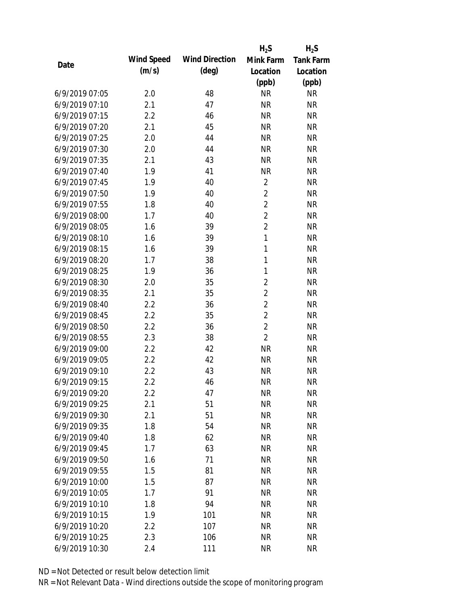|                |            |                       | $H_2S$         | $H_2S$           |
|----------------|------------|-----------------------|----------------|------------------|
| Date           | Wind Speed | <b>Wind Direction</b> | Mink Farm      | <b>Tank Farm</b> |
|                | (m/s)      | $(\text{deg})$        | Location       | Location         |
|                |            |                       | (ppb)          | (ppb)            |
| 6/9/2019 07:05 | 2.0        | 48                    | <b>NR</b>      | <b>NR</b>        |
| 6/9/2019 07:10 | 2.1        | 47                    | <b>NR</b>      | <b>NR</b>        |
| 6/9/2019 07:15 | 2.2        | 46                    | <b>NR</b>      | <b>NR</b>        |
| 6/9/2019 07:20 | 2.1        | 45                    | <b>NR</b>      | <b>NR</b>        |
| 6/9/2019 07:25 | 2.0        | 44                    | <b>NR</b>      | <b>NR</b>        |
| 6/9/2019 07:30 | 2.0        | 44                    | <b>NR</b>      | <b>NR</b>        |
| 6/9/2019 07:35 | 2.1        | 43                    | <b>NR</b>      | <b>NR</b>        |
| 6/9/2019 07:40 | 1.9        | 41                    | <b>NR</b>      | <b>NR</b>        |
| 6/9/2019 07:45 | 1.9        | 40                    | $\overline{2}$ | <b>NR</b>        |
| 6/9/2019 07:50 | 1.9        | 40                    | $\overline{2}$ | <b>NR</b>        |
| 6/9/2019 07:55 | 1.8        | 40                    | $\overline{2}$ | <b>NR</b>        |
| 6/9/2019 08:00 | 1.7        | 40                    | $\overline{2}$ | <b>NR</b>        |
| 6/9/2019 08:05 | 1.6        | 39                    | $\overline{2}$ | <b>NR</b>        |
| 6/9/2019 08:10 | 1.6        | 39                    | $\mathbf{1}$   | <b>NR</b>        |
| 6/9/2019 08:15 | 1.6        | 39                    | $\mathbf{1}$   | <b>NR</b>        |
| 6/9/2019 08:20 | 1.7        | 38                    | $\mathbf{1}$   | <b>NR</b>        |
| 6/9/2019 08:25 | 1.9        | 36                    | 1              | <b>NR</b>        |
| 6/9/2019 08:30 | 2.0        | 35                    | $\overline{2}$ | <b>NR</b>        |
| 6/9/2019 08:35 | 2.1        | 35                    | $\overline{2}$ | <b>NR</b>        |
| 6/9/2019 08:40 | 2.2        | 36                    | $\overline{2}$ | <b>NR</b>        |
| 6/9/2019 08:45 | 2.2        | 35                    | $\overline{2}$ | <b>NR</b>        |
| 6/9/2019 08:50 | 2.2        | 36                    | $\overline{2}$ | <b>NR</b>        |
| 6/9/2019 08:55 | 2.3        | 38                    | $\overline{2}$ | <b>NR</b>        |
| 6/9/2019 09:00 | 2.2        | 42                    | <b>NR</b>      | <b>NR</b>        |
| 6/9/2019 09:05 | 2.2        | 42                    | <b>NR</b>      | <b>NR</b>        |
| 6/9/2019 09:10 | 2.2        | 43                    | <b>NR</b>      | <b>NR</b>        |
| 6/9/2019 09:15 | 2.2        | 46                    | <b>NR</b>      | <b>NR</b>        |
| 6/9/2019 09:20 | 2.2        | 47                    | <b>NR</b>      | <b>NR</b>        |
| 6/9/2019 09:25 | 2.1        | 51                    | <b>NR</b>      | <b>NR</b>        |
| 6/9/2019 09:30 | 2.1        | 51                    | <b>NR</b>      | <b>NR</b>        |
| 6/9/2019 09:35 | 1.8        | 54                    | <b>NR</b>      | <b>NR</b>        |
| 6/9/2019 09:40 | 1.8        | 62                    | <b>NR</b>      | <b>NR</b>        |
| 6/9/2019 09:45 | 1.7        | 63                    | <b>NR</b>      | <b>NR</b>        |
| 6/9/2019 09:50 | 1.6        | 71                    | <b>NR</b>      | <b>NR</b>        |
| 6/9/2019 09:55 | 1.5        | 81                    | <b>NR</b>      | <b>NR</b>        |
| 6/9/2019 10:00 | 1.5        | 87                    | <b>NR</b>      | <b>NR</b>        |
| 6/9/2019 10:05 | 1.7        | 91                    | <b>NR</b>      | <b>NR</b>        |
| 6/9/2019 10:10 | 1.8        | 94                    | <b>NR</b>      | <b>NR</b>        |
| 6/9/2019 10:15 | 1.9        | 101                   | <b>NR</b>      | <b>NR</b>        |
| 6/9/2019 10:20 | 2.2        | 107                   | <b>NR</b>      | <b>NR</b>        |
| 6/9/2019 10:25 | 2.3        | 106                   | <b>NR</b>      | <b>NR</b>        |
| 6/9/2019 10:30 | 2.4        | 111                   | <b>NR</b>      | <b>NR</b>        |
|                |            |                       |                |                  |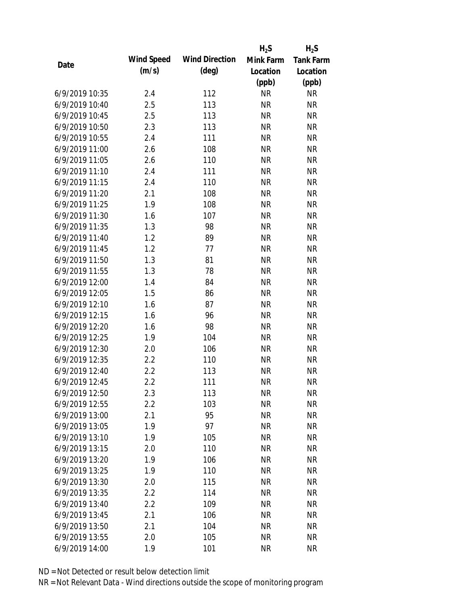|                |            |                       | $H_2S$    | $H_2S$    |
|----------------|------------|-----------------------|-----------|-----------|
| Date           | Wind Speed | <b>Wind Direction</b> | Mink Farm | Tank Farm |
|                | (m/s)      | $(\text{deg})$        | Location  | Location  |
|                |            |                       | (ppb)     | (ppb)     |
| 6/9/2019 10:35 | 2.4        | 112                   | <b>NR</b> | <b>NR</b> |
| 6/9/2019 10:40 | 2.5        | 113                   | <b>NR</b> | <b>NR</b> |
| 6/9/2019 10:45 | 2.5        | 113                   | <b>NR</b> | <b>NR</b> |
| 6/9/2019 10:50 | 2.3        | 113                   | <b>NR</b> | <b>NR</b> |
| 6/9/2019 10:55 | 2.4        | 111                   | <b>NR</b> | <b>NR</b> |
| 6/9/2019 11:00 | 2.6        | 108                   | <b>NR</b> | <b>NR</b> |
| 6/9/2019 11:05 | 2.6        | 110                   | <b>NR</b> | <b>NR</b> |
| 6/9/2019 11:10 | 2.4        | 111                   | <b>NR</b> | <b>NR</b> |
| 6/9/2019 11:15 | 2.4        | 110                   | <b>NR</b> | <b>NR</b> |
| 6/9/2019 11:20 | 2.1        | 108                   | <b>NR</b> | <b>NR</b> |
| 6/9/2019 11:25 | 1.9        | 108                   | <b>NR</b> | <b>NR</b> |
| 6/9/2019 11:30 | 1.6        | 107                   | <b>NR</b> | <b>NR</b> |
| 6/9/2019 11:35 | 1.3        | 98                    | <b>NR</b> | <b>NR</b> |
| 6/9/2019 11:40 | 1.2        | 89                    | <b>NR</b> | <b>NR</b> |
| 6/9/2019 11:45 | 1.2        | 77                    | <b>NR</b> | <b>NR</b> |
| 6/9/2019 11:50 | 1.3        | 81                    | <b>NR</b> | <b>NR</b> |
| 6/9/2019 11:55 | 1.3        | 78                    | <b>NR</b> | <b>NR</b> |
| 6/9/2019 12:00 | 1.4        | 84                    | <b>NR</b> | <b>NR</b> |
| 6/9/2019 12:05 | 1.5        | 86                    | <b>NR</b> | <b>NR</b> |
| 6/9/2019 12:10 | 1.6        | 87                    | <b>NR</b> | <b>NR</b> |
| 6/9/2019 12:15 | 1.6        | 96                    | <b>NR</b> | <b>NR</b> |
| 6/9/2019 12:20 | 1.6        | 98                    | <b>NR</b> | <b>NR</b> |
| 6/9/2019 12:25 | 1.9        | 104                   | <b>NR</b> | <b>NR</b> |
| 6/9/2019 12:30 | 2.0        | 106                   | <b>NR</b> | <b>NR</b> |
| 6/9/2019 12:35 | 2.2        | 110                   | <b>NR</b> | <b>NR</b> |
| 6/9/2019 12:40 | 2.2        | 113                   | <b>NR</b> | <b>NR</b> |
| 6/9/2019 12:45 | 2.2        | 111                   | <b>NR</b> | <b>NR</b> |
| 6/9/2019 12:50 | 2.3        | 113                   | <b>NR</b> | <b>NR</b> |
| 6/9/2019 12:55 | 2.2        | 103                   | <b>NR</b> | <b>NR</b> |
| 6/9/2019 13:00 | 2.1        | 95                    | <b>NR</b> | <b>NR</b> |
| 6/9/2019 13:05 | 1.9        | 97                    | <b>NR</b> | <b>NR</b> |
| 6/9/2019 13:10 | 1.9        | 105                   | <b>NR</b> | <b>NR</b> |
| 6/9/2019 13:15 | 2.0        | 110                   | <b>NR</b> | <b>NR</b> |
| 6/9/2019 13:20 | 1.9        | 106                   | <b>NR</b> | <b>NR</b> |
| 6/9/2019 13:25 | 1.9        | 110                   | <b>NR</b> | <b>NR</b> |
| 6/9/2019 13:30 | 2.0        | 115                   | <b>NR</b> | <b>NR</b> |
| 6/9/2019 13:35 | 2.2        | 114                   | <b>NR</b> | <b>NR</b> |
| 6/9/2019 13:40 | 2.2        | 109                   | <b>NR</b> | <b>NR</b> |
| 6/9/2019 13:45 | 2.1        | 106                   | <b>NR</b> | <b>NR</b> |
| 6/9/2019 13:50 | 2.1        | 104                   | <b>NR</b> | <b>NR</b> |
| 6/9/2019 13:55 | 2.0        | 105                   | <b>NR</b> | <b>NR</b> |
| 6/9/2019 14:00 | 1.9        | 101                   | <b>NR</b> | <b>NR</b> |
|                |            |                       |           |           |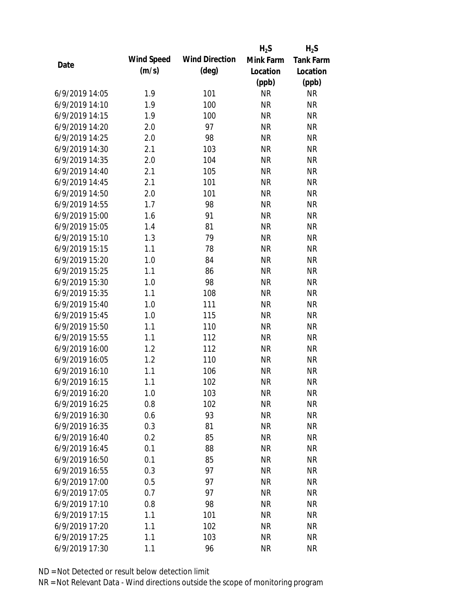|                |            |                       | $H_2S$    | $H_2S$           |
|----------------|------------|-----------------------|-----------|------------------|
| Date           | Wind Speed | <b>Wind Direction</b> | Mink Farm | <b>Tank Farm</b> |
|                | (m/s)      | $(\text{deg})$        | Location  | Location         |
|                |            |                       | (ppb)     | (ppb)            |
| 6/9/2019 14:05 | 1.9        | 101                   | <b>NR</b> | <b>NR</b>        |
| 6/9/2019 14:10 | 1.9        | 100                   | <b>NR</b> | <b>NR</b>        |
| 6/9/2019 14:15 | 1.9        | 100                   | <b>NR</b> | <b>NR</b>        |
| 6/9/2019 14:20 | 2.0        | 97                    | <b>NR</b> | <b>NR</b>        |
| 6/9/2019 14:25 | 2.0        | 98                    | <b>NR</b> | <b>NR</b>        |
| 6/9/2019 14:30 | 2.1        | 103                   | <b>NR</b> | <b>NR</b>        |
| 6/9/2019 14:35 | 2.0        | 104                   | <b>NR</b> | <b>NR</b>        |
| 6/9/2019 14:40 | 2.1        | 105                   | <b>NR</b> | <b>NR</b>        |
| 6/9/2019 14:45 | 2.1        | 101                   | <b>NR</b> | <b>NR</b>        |
| 6/9/2019 14:50 | 2.0        | 101                   | <b>NR</b> | <b>NR</b>        |
| 6/9/2019 14:55 | 1.7        | 98                    | <b>NR</b> | <b>NR</b>        |
| 6/9/2019 15:00 | 1.6        | 91                    | <b>NR</b> | <b>NR</b>        |
| 6/9/2019 15:05 | 1.4        | 81                    | <b>NR</b> | <b>NR</b>        |
| 6/9/2019 15:10 | 1.3        | 79                    | <b>NR</b> | <b>NR</b>        |
| 6/9/2019 15:15 | 1.1        | 78                    | <b>NR</b> | <b>NR</b>        |
| 6/9/2019 15:20 | 1.0        | 84                    | <b>NR</b> | <b>NR</b>        |
| 6/9/2019 15:25 | 1.1        | 86                    | <b>NR</b> | <b>NR</b>        |
| 6/9/2019 15:30 | 1.0        | 98                    | <b>NR</b> | <b>NR</b>        |
| 6/9/2019 15:35 | 1.1        | 108                   | <b>NR</b> | <b>NR</b>        |
| 6/9/2019 15:40 | 1.0        | 111                   | <b>NR</b> | <b>NR</b>        |
| 6/9/2019 15:45 | 1.0        | 115                   | <b>NR</b> | <b>NR</b>        |
| 6/9/2019 15:50 | 1.1        | 110                   | <b>NR</b> | <b>NR</b>        |
| 6/9/2019 15:55 | 1.1        | 112                   | <b>NR</b> | <b>NR</b>        |
| 6/9/2019 16:00 | 1.2        | 112                   | <b>NR</b> | <b>NR</b>        |
| 6/9/2019 16:05 | 1.2        | 110                   | <b>NR</b> | <b>NR</b>        |
| 6/9/2019 16:10 | 1.1        | 106                   | <b>NR</b> | <b>NR</b>        |
| 6/9/2019 16:15 | 1.1        | 102                   | <b>NR</b> | <b>NR</b>        |
| 6/9/2019 16:20 | 1.0        | 103                   | <b>NR</b> | <b>NR</b>        |
| 6/9/2019 16:25 | 0.8        | 102                   | <b>NR</b> | <b>NR</b>        |
| 6/9/2019 16:30 | 0.6        | 93                    | <b>NR</b> | <b>NR</b>        |
| 6/9/2019 16:35 | 0.3        | 81                    | <b>NR</b> | <b>NR</b>        |
| 6/9/2019 16:40 | 0.2        | 85                    | <b>NR</b> | <b>NR</b>        |
| 6/9/2019 16:45 | 0.1        | 88                    | <b>NR</b> | <b>NR</b>        |
| 6/9/2019 16:50 | 0.1        | 85                    | <b>NR</b> | <b>NR</b>        |
| 6/9/2019 16:55 | 0.3        | 97                    | <b>NR</b> | <b>NR</b>        |
| 6/9/2019 17:00 | 0.5        | 97                    | <b>NR</b> | <b>NR</b>        |
| 6/9/2019 17:05 | 0.7        | 97                    | <b>NR</b> | <b>NR</b>        |
| 6/9/2019 17:10 | 0.8        | 98                    | <b>NR</b> | <b>NR</b>        |
| 6/9/2019 17:15 | 1.1        | 101                   | <b>NR</b> | <b>NR</b>        |
| 6/9/2019 17:20 | 1.1        | 102                   | <b>NR</b> | <b>NR</b>        |
| 6/9/2019 17:25 | 1.1        | 103                   | <b>NR</b> | <b>NR</b>        |
| 6/9/2019 17:30 | 1.1        | 96                    | <b>NR</b> | <b>NR</b>        |
|                |            |                       |           |                  |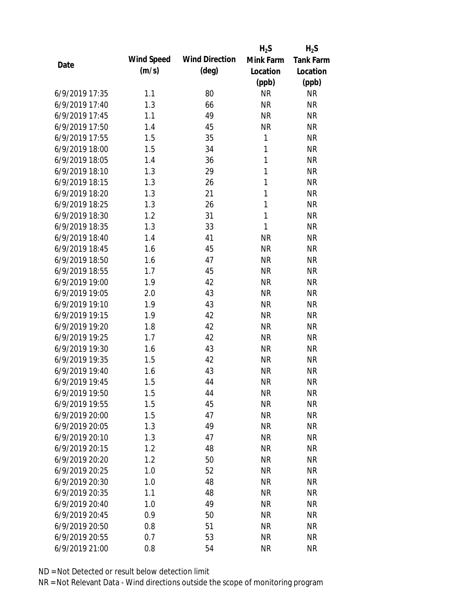|                |            |                       | $H_2S$       | $H_2S$           |
|----------------|------------|-----------------------|--------------|------------------|
| Date           | Wind Speed | <b>Wind Direction</b> | Mink Farm    | <b>Tank Farm</b> |
|                | (m/s)      | $(\text{deg})$        | Location     | Location         |
|                |            |                       | (ppb)        | (ppb)            |
| 6/9/2019 17:35 | 1.1        | 80                    | <b>NR</b>    | <b>NR</b>        |
| 6/9/2019 17:40 | 1.3        | 66                    | <b>NR</b>    | <b>NR</b>        |
| 6/9/2019 17:45 | 1.1        | 49                    | <b>NR</b>    | <b>NR</b>        |
| 6/9/2019 17:50 | 1.4        | 45                    | <b>NR</b>    | <b>NR</b>        |
| 6/9/2019 17:55 | 1.5        | 35                    | 1            | <b>NR</b>        |
| 6/9/2019 18:00 | 1.5        | 34                    | $\mathbf{1}$ | <b>NR</b>        |
| 6/9/2019 18:05 | 1.4        | 36                    | $\mathbf{1}$ | <b>NR</b>        |
| 6/9/2019 18:10 | 1.3        | 29                    | $\mathbf{1}$ | <b>NR</b>        |
| 6/9/2019 18:15 | 1.3        | 26                    | $\mathbf{1}$ | <b>NR</b>        |
| 6/9/2019 18:20 | 1.3        | 21                    | $\mathbf{1}$ | <b>NR</b>        |
| 6/9/2019 18:25 | 1.3        | 26                    | $\mathbf{1}$ | <b>NR</b>        |
| 6/9/2019 18:30 | 1.2        | 31                    | $\mathbf{1}$ | <b>NR</b>        |
| 6/9/2019 18:35 | 1.3        | 33                    | $\mathbf{1}$ | <b>NR</b>        |
| 6/9/2019 18:40 | 1.4        | 41                    | <b>NR</b>    | <b>NR</b>        |
| 6/9/2019 18:45 | 1.6        | 45                    | <b>NR</b>    | <b>NR</b>        |
| 6/9/2019 18:50 | 1.6        | 47                    | <b>NR</b>    | <b>NR</b>        |
| 6/9/2019 18:55 | 1.7        | 45                    | <b>NR</b>    | <b>NR</b>        |
| 6/9/2019 19:00 | 1.9        | 42                    | <b>NR</b>    | <b>NR</b>        |
| 6/9/2019 19:05 | 2.0        | 43                    | <b>NR</b>    | <b>NR</b>        |
| 6/9/2019 19:10 | 1.9        | 43                    | <b>NR</b>    | <b>NR</b>        |
| 6/9/2019 19:15 | 1.9        | 42                    | <b>NR</b>    | <b>NR</b>        |
| 6/9/2019 19:20 | 1.8        | 42                    | <b>NR</b>    | <b>NR</b>        |
| 6/9/2019 19:25 | 1.7        | 42                    | <b>NR</b>    | <b>NR</b>        |
| 6/9/2019 19:30 | 1.6        | 43                    | <b>NR</b>    | <b>NR</b>        |
| 6/9/2019 19:35 | 1.5        | 42                    | <b>NR</b>    | <b>NR</b>        |
| 6/9/2019 19:40 | 1.6        | 43                    | <b>NR</b>    | <b>NR</b>        |
| 6/9/2019 19:45 | 1.5        | 44                    | <b>NR</b>    | <b>NR</b>        |
| 6/9/2019 19:50 | 1.5        | 44                    | <b>NR</b>    | <b>NR</b>        |
| 6/9/2019 19:55 | 1.5        | 45                    | <b>NR</b>    | <b>NR</b>        |
| 6/9/2019 20:00 | 1.5        | 47                    | <b>NR</b>    | <b>NR</b>        |
| 6/9/2019 20:05 | 1.3        | 49                    | <b>NR</b>    | <b>NR</b>        |
| 6/9/2019 20:10 | 1.3        | 47                    | <b>NR</b>    | <b>NR</b>        |
| 6/9/2019 20:15 | 1.2        | 48                    | <b>NR</b>    | <b>NR</b>        |
| 6/9/2019 20:20 | 1.2        | 50                    | <b>NR</b>    | <b>NR</b>        |
| 6/9/2019 20:25 | 1.0        | 52                    | <b>NR</b>    | <b>NR</b>        |
| 6/9/2019 20:30 | 1.0        | 48                    | <b>NR</b>    | <b>NR</b>        |
| 6/9/2019 20:35 | 1.1        | 48                    | <b>NR</b>    | <b>NR</b>        |
| 6/9/2019 20:40 | 1.0        | 49                    | <b>NR</b>    | <b>NR</b>        |
| 6/9/2019 20:45 | 0.9        | 50                    | <b>NR</b>    | <b>NR</b>        |
| 6/9/2019 20:50 | 0.8        | 51                    | <b>NR</b>    | <b>NR</b>        |
| 6/9/2019 20:55 | 0.7        | 53                    | <b>NR</b>    | <b>NR</b>        |
| 6/9/2019 21:00 | 0.8        | 54                    | <b>NR</b>    | <b>NR</b>        |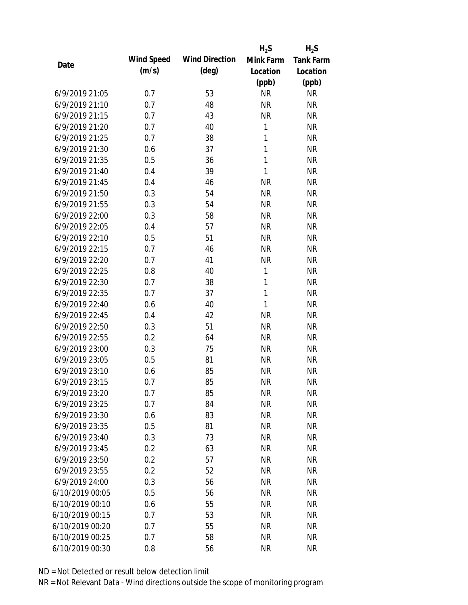|                 |            |                       | $H_2S$       | $H_2S$           |
|-----------------|------------|-----------------------|--------------|------------------|
| Date            | Wind Speed | <b>Wind Direction</b> | Mink Farm    | <b>Tank Farm</b> |
|                 | (m/s)      | $(\text{deg})$        | Location     | Location         |
|                 |            |                       | (ppb)        | (ppb)            |
| 6/9/2019 21:05  | 0.7        | 53                    | <b>NR</b>    | <b>NR</b>        |
| 6/9/2019 21:10  | 0.7        | 48                    | <b>NR</b>    | <b>NR</b>        |
| 6/9/2019 21:15  | 0.7        | 43                    | <b>NR</b>    | <b>NR</b>        |
| 6/9/2019 21:20  | 0.7        | 40                    | $\mathbf{1}$ | <b>NR</b>        |
| 6/9/2019 21:25  | 0.7        | 38                    | $\mathbf{1}$ | <b>NR</b>        |
| 6/9/2019 21:30  | 0.6        | 37                    | $\mathbf{1}$ | <b>NR</b>        |
| 6/9/2019 21:35  | 0.5        | 36                    | $\mathbf{1}$ | <b>NR</b>        |
| 6/9/2019 21:40  | 0.4        | 39                    | $\mathbf{1}$ | <b>NR</b>        |
| 6/9/2019 21:45  | 0.4        | 46                    | <b>NR</b>    | <b>NR</b>        |
| 6/9/2019 21:50  | 0.3        | 54                    | <b>NR</b>    | <b>NR</b>        |
| 6/9/2019 21:55  | 0.3        | 54                    | <b>NR</b>    | <b>NR</b>        |
| 6/9/2019 22:00  | 0.3        | 58                    | <b>NR</b>    | <b>NR</b>        |
| 6/9/2019 22:05  | 0.4        | 57                    | <b>NR</b>    | <b>NR</b>        |
| 6/9/2019 22:10  | 0.5        | 51                    | <b>NR</b>    | <b>NR</b>        |
| 6/9/2019 22:15  | 0.7        | 46                    | <b>NR</b>    | <b>NR</b>        |
| 6/9/2019 22:20  | 0.7        | 41                    | <b>NR</b>    | <b>NR</b>        |
| 6/9/2019 22:25  | 0.8        | 40                    | $\mathbf{1}$ | <b>NR</b>        |
| 6/9/2019 22:30  | 0.7        | 38                    | $\mathbf{1}$ | <b>NR</b>        |
| 6/9/2019 22:35  | 0.7        | 37                    | $\mathbf{1}$ | <b>NR</b>        |
| 6/9/2019 22:40  | 0.6        | 40                    | $\mathbf{1}$ | <b>NR</b>        |
| 6/9/2019 22:45  | 0.4        | 42                    | <b>NR</b>    | <b>NR</b>        |
| 6/9/2019 22:50  | 0.3        | 51                    | <b>NR</b>    | <b>NR</b>        |
| 6/9/2019 22:55  | 0.2        | 64                    | <b>NR</b>    | <b>NR</b>        |
| 6/9/2019 23:00  | 0.3        | 75                    | <b>NR</b>    | <b>NR</b>        |
| 6/9/2019 23:05  | 0.5        | 81                    | <b>NR</b>    | <b>NR</b>        |
| 6/9/2019 23:10  | 0.6        | 85                    | <b>NR</b>    | <b>NR</b>        |
| 6/9/2019 23:15  | 0.7        | 85                    | <b>NR</b>    | <b>NR</b>        |
| 6/9/2019 23:20  | 0.7        | 85                    | <b>NR</b>    | <b>NR</b>        |
| 6/9/2019 23:25  | 0.7        | 84                    | <b>NR</b>    | <b>NR</b>        |
| 6/9/2019 23:30  | 0.6        | 83                    | <b>NR</b>    | <b>NR</b>        |
| 6/9/2019 23:35  | 0.5        | 81                    | <b>NR</b>    | <b>NR</b>        |
| 6/9/2019 23:40  | 0.3        | 73                    | <b>NR</b>    | <b>NR</b>        |
| 6/9/2019 23:45  | 0.2        | 63                    | <b>NR</b>    | <b>NR</b>        |
| 6/9/2019 23:50  | 0.2        | 57                    | <b>NR</b>    | <b>NR</b>        |
| 6/9/2019 23:55  | 0.2        | 52                    | <b>NR</b>    | <b>NR</b>        |
| 6/9/2019 24:00  | 0.3        | 56                    | <b>NR</b>    | <b>NR</b>        |
| 6/10/2019 00:05 | 0.5        | 56                    | <b>NR</b>    | <b>NR</b>        |
| 6/10/2019 00:10 | 0.6        | 55                    | NR           | <b>NR</b>        |
| 6/10/2019 00:15 | 0.7        | 53                    | <b>NR</b>    | <b>NR</b>        |
| 6/10/2019 00:20 | 0.7        | 55                    | <b>NR</b>    | <b>NR</b>        |
| 6/10/2019 00:25 | 0.7        | 58                    | <b>NR</b>    | <b>NR</b>        |
| 6/10/2019 00:30 | 0.8        | 56                    | <b>NR</b>    | <b>NR</b>        |
|                 |            |                       |              |                  |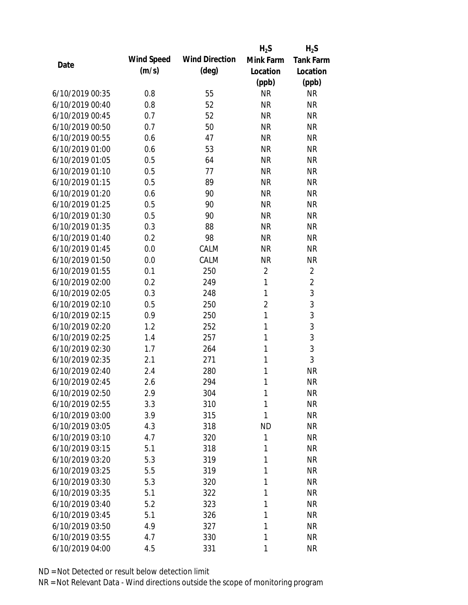|                 |            |                       | $H_2S$         | $H_2S$           |
|-----------------|------------|-----------------------|----------------|------------------|
| Date            | Wind Speed | <b>Wind Direction</b> | Mink Farm      | <b>Tank Farm</b> |
|                 | (m/s)      | $(\text{deg})$        | Location       | Location         |
|                 |            |                       | (ppb)          | (ppb)            |
| 6/10/2019 00:35 | 0.8        | 55                    | <b>NR</b>      | <b>NR</b>        |
| 6/10/2019 00:40 | 0.8        | 52                    | <b>NR</b>      | <b>NR</b>        |
| 6/10/2019 00:45 | 0.7        | 52                    | <b>NR</b>      | <b>NR</b>        |
| 6/10/2019 00:50 | 0.7        | 50                    | <b>NR</b>      | <b>NR</b>        |
| 6/10/2019 00:55 | 0.6        | 47                    | <b>NR</b>      | <b>NR</b>        |
| 6/10/2019 01:00 | 0.6        | 53                    | <b>NR</b>      | <b>NR</b>        |
| 6/10/2019 01:05 | 0.5        | 64                    | <b>NR</b>      | <b>NR</b>        |
| 6/10/2019 01:10 | 0.5        | 77                    | <b>NR</b>      | <b>NR</b>        |
| 6/10/2019 01:15 | 0.5        | 89                    | <b>NR</b>      | <b>NR</b>        |
| 6/10/2019 01:20 | 0.6        | 90                    | <b>NR</b>      | <b>NR</b>        |
| 6/10/2019 01:25 | 0.5        | 90                    | <b>NR</b>      | <b>NR</b>        |
| 6/10/2019 01:30 | 0.5        | 90                    | <b>NR</b>      | <b>NR</b>        |
| 6/10/2019 01:35 | 0.3        | 88                    | <b>NR</b>      | <b>NR</b>        |
| 6/10/2019 01:40 | 0.2        | 98                    | <b>NR</b>      | <b>NR</b>        |
| 6/10/2019 01:45 | 0.0        | CALM                  | <b>NR</b>      | <b>NR</b>        |
| 6/10/2019 01:50 | 0.0        | CALM                  | <b>NR</b>      | <b>NR</b>        |
| 6/10/2019 01:55 | 0.1        | 250                   | $\overline{2}$ | $\overline{2}$   |
| 6/10/2019 02:00 | 0.2        | 249                   | $\mathbf{1}$   | $\overline{2}$   |
| 6/10/2019 02:05 | 0.3        | 248                   | $\mathbf{1}$   | 3                |
| 6/10/2019 02:10 | 0.5        | 250                   | $\overline{2}$ | 3                |
| 6/10/2019 02:15 | 0.9        | 250                   | $\mathbf{1}$   | 3                |
| 6/10/2019 02:20 | 1.2        | 252                   | 1              | 3                |
| 6/10/2019 02:25 | 1.4        | 257                   | 1              | 3                |
| 6/10/2019 02:30 | 1.7        | 264                   | 1              | 3                |
| 6/10/2019 02:35 | 2.1        | 271                   | 1              | 3                |
| 6/10/2019 02:40 | 2.4        | 280                   | 1              | <b>NR</b>        |
| 6/10/2019 02:45 | 2.6        | 294                   | 1              | <b>NR</b>        |
| 6/10/2019 02:50 | 2.9        | 304                   | 1              | <b>NR</b>        |
| 6/10/2019 02:55 | 3.3        | 310                   | 1              | <b>NR</b>        |
| 6/10/2019 03:00 | 3.9        | 315                   | 1              | <b>NR</b>        |
| 6/10/2019 03:05 | 4.3        | 318                   | <b>ND</b>      | <b>NR</b>        |
| 6/10/2019 03:10 | 4.7        | 320                   | 1              | <b>NR</b>        |
| 6/10/2019 03:15 | 5.1        | 318                   | 1              | <b>NR</b>        |
| 6/10/2019 03:20 | 5.3        | 319                   | 1              | <b>NR</b>        |
| 6/10/2019 03:25 | 5.5        | 319                   | 1              | <b>NR</b>        |
| 6/10/2019 03:30 | 5.3        | 320                   | 1              | <b>NR</b>        |
| 6/10/2019 03:35 | 5.1        | 322                   | 1              | <b>NR</b>        |
| 6/10/2019 03:40 | 5.2        | 323                   | 1              | <b>NR</b>        |
| 6/10/2019 03:45 | 5.1        | 326                   | 1              | <b>NR</b>        |
| 6/10/2019 03:50 | 4.9        | 327                   | 1              | <b>NR</b>        |
| 6/10/2019 03:55 | 4.7        | 330                   | 1              | <b>NR</b>        |
| 6/10/2019 04:00 | 4.5        | 331                   | 1              | <b>NR</b>        |
|                 |            |                       |                |                  |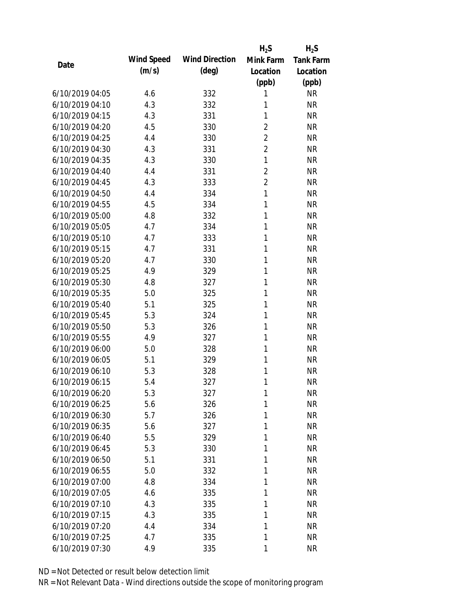|                 |            |                       | $H_2S$         | $H_2S$           |
|-----------------|------------|-----------------------|----------------|------------------|
| Date            | Wind Speed | <b>Wind Direction</b> | Mink Farm      | <b>Tank Farm</b> |
|                 | (m/s)      | $(\text{deg})$        | Location       | Location         |
|                 |            |                       | (ppb)          | (ppb)            |
| 6/10/2019 04:05 | 4.6        | 332                   | 1              | <b>NR</b>        |
| 6/10/2019 04:10 | 4.3        | 332                   | 1              | <b>NR</b>        |
| 6/10/2019 04:15 | 4.3        | 331                   | 1              | <b>NR</b>        |
| 6/10/2019 04:20 | 4.5        | 330                   | $\overline{2}$ | <b>NR</b>        |
| 6/10/2019 04:25 | 4.4        | 330                   | $\overline{2}$ | <b>NR</b>        |
| 6/10/2019 04:30 | 4.3        | 331                   | $\overline{2}$ | <b>NR</b>        |
| 6/10/2019 04:35 | 4.3        | 330                   | $\mathbf{1}$   | <b>NR</b>        |
| 6/10/2019 04:40 | 4.4        | 331                   | $\overline{2}$ | <b>NR</b>        |
| 6/10/2019 04:45 | 4.3        | 333                   | $\overline{2}$ | <b>NR</b>        |
| 6/10/2019 04:50 | 4.4        | 334                   | $\mathbf{1}$   | <b>NR</b>        |
| 6/10/2019 04:55 | 4.5        | 334                   | 1              | <b>NR</b>        |
| 6/10/2019 05:00 | 4.8        | 332                   | 1              | <b>NR</b>        |
| 6/10/2019 05:05 | 4.7        | 334                   | 1              | <b>NR</b>        |
| 6/10/2019 05:10 | 4.7        | 333                   | 1              | <b>NR</b>        |
| 6/10/2019 05:15 | 4.7        | 331                   | 1              | <b>NR</b>        |
| 6/10/2019 05:20 | 4.7        | 330                   | 1              | <b>NR</b>        |
| 6/10/2019 05:25 | 4.9        | 329                   | 1              | <b>NR</b>        |
| 6/10/2019 05:30 | 4.8        | 327                   | 1              | <b>NR</b>        |
| 6/10/2019 05:35 | 5.0        | 325                   | 1              | <b>NR</b>        |
| 6/10/2019 05:40 | 5.1        | 325                   | 1              | <b>NR</b>        |
| 6/10/2019 05:45 | 5.3        | 324                   | 1              | <b>NR</b>        |
| 6/10/2019 05:50 | 5.3        | 326                   | 1              | <b>NR</b>        |
| 6/10/2019 05:55 | 4.9        | 327                   | 1              | <b>NR</b>        |
| 6/10/2019 06:00 | 5.0        | 328                   | 1              | <b>NR</b>        |
| 6/10/2019 06:05 | 5.1        | 329                   | 1              | <b>NR</b>        |
| 6/10/2019 06:10 | 5.3        | 328                   | 1              | <b>NR</b>        |
| 6/10/2019 06:15 | 5.4        | 327                   | 1              | <b>NR</b>        |
| 6/10/2019 06:20 | 5.3        | 327                   | 1              | <b>NR</b>        |
| 6/10/2019 06:25 | 5.6        | 326                   | 1              | <b>NR</b>        |
| 6/10/2019 06:30 | 5.7        | 326                   | 1              | <b>NR</b>        |
| 6/10/2019 06:35 | 5.6        | 327                   | 1              | <b>NR</b>        |
| 6/10/2019 06:40 | 5.5        | 329                   | 1              | <b>NR</b>        |
| 6/10/2019 06:45 | 5.3        | 330                   | 1              | <b>NR</b>        |
| 6/10/2019 06:50 | 5.1        | 331                   | 1              | <b>NR</b>        |
| 6/10/2019 06:55 | 5.0        | 332                   | 1              | <b>NR</b>        |
| 6/10/2019 07:00 | 4.8        | 334                   | 1              | <b>NR</b>        |
| 6/10/2019 07:05 | 4.6        | 335                   | 1              | <b>NR</b>        |
| 6/10/2019 07:10 | 4.3        | 335                   | 1              | <b>NR</b>        |
| 6/10/2019 07:15 | 4.3        | 335                   | 1              | <b>NR</b>        |
| 6/10/2019 07:20 | 4.4        | 334                   | 1              | <b>NR</b>        |
| 6/10/2019 07:25 | 4.7        | 335                   | 1              | <b>NR</b>        |
| 6/10/2019 07:30 | 4.9        | 335                   | 1              | <b>NR</b>        |
|                 |            |                       |                |                  |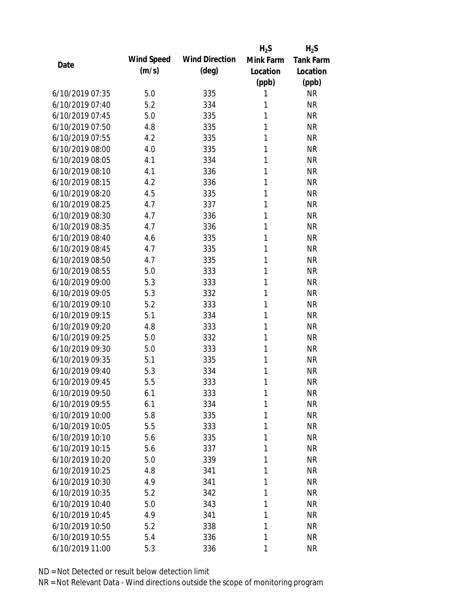|                 |            |                       | $H_2S$    | $H_2S$           |
|-----------------|------------|-----------------------|-----------|------------------|
| Date            | Wind Speed | <b>Wind Direction</b> | Mink Farm | <b>Tank Farm</b> |
|                 | (m/s)      | $(\text{deg})$        | Location  | Location         |
|                 |            |                       | (ppb)     | (ppb)            |
| 6/10/2019 07:35 | 5.0        | 335                   | 1         | <b>NR</b>        |
| 6/10/2019 07:40 | 5.2        | 334                   | 1         | <b>NR</b>        |
| 6/10/2019 07:45 | 5.0        | 335                   | 1         | <b>NR</b>        |
| 6/10/2019 07:50 | 4.8        | 335                   | 1         | <b>NR</b>        |
| 6/10/2019 07:55 | 4.2        | 335                   | 1         | <b>NR</b>        |
| 6/10/2019 08:00 | 4.0        | 335                   | 1         | <b>NR</b>        |
| 6/10/2019 08:05 | 4.1        | 334                   | 1         | <b>NR</b>        |
| 6/10/2019 08:10 | 4.1        | 336                   | 1         | <b>NR</b>        |
| 6/10/2019 08:15 | 4.2        | 336                   | 1         | <b>NR</b>        |
| 6/10/2019 08:20 | 4.5        | 335                   | 1         | <b>NR</b>        |
| 6/10/2019 08:25 | 4.7        | 337                   | 1         | <b>NR</b>        |
| 6/10/2019 08:30 | 4.7        | 336                   | 1         | <b>NR</b>        |
| 6/10/2019 08:35 | 4.7        | 336                   | 1         | <b>NR</b>        |
| 6/10/2019 08:40 | 4.6        | 335                   | 1         | <b>NR</b>        |
| 6/10/2019 08:45 | 4.7        | 335                   | 1         | <b>NR</b>        |
| 6/10/2019 08:50 | 4.7        | 335                   | 1         | <b>NR</b>        |
| 6/10/2019 08:55 | 5.0        | 333                   | 1         | <b>NR</b>        |
| 6/10/2019 09:00 | 5.3        | 333                   | 1         | <b>NR</b>        |
| 6/10/2019 09:05 | 5.3        | 332                   | 1         | <b>NR</b>        |
| 6/10/2019 09:10 | 5.2        | 333                   | 1         | <b>NR</b>        |
| 6/10/2019 09:15 | 5.1        | 334                   | 1         | <b>NR</b>        |
| 6/10/2019 09:20 | 4.8        | 333                   | 1         | <b>NR</b>        |
| 6/10/2019 09:25 | 5.0        | 332                   | 1         | <b>NR</b>        |
| 6/10/2019 09:30 | 5.0        | 333                   | 1         | <b>NR</b>        |
| 6/10/2019 09:35 | 5.1        | 335                   | 1         | <b>NR</b>        |
| 6/10/2019 09:40 | 5.3        | 334                   | 1         | <b>NR</b>        |
| 6/10/2019 09:45 | 5.5        | 333                   | 1         | <b>NR</b>        |
| 6/10/2019 09:50 | 6.1        | 333                   | 1         | <b>NR</b>        |
| 6/10/2019 09:55 | 6.1        | 334                   | 1         | <b>NR</b>        |
| 6/10/2019 10:00 | 5.8        | 335                   | 1         | <b>NR</b>        |
| 6/10/2019 10:05 | 5.5        | 333                   | 1         | <b>NR</b>        |
| 6/10/2019 10:10 | 5.6        | 335                   | 1         | <b>NR</b>        |
| 6/10/2019 10:15 | 5.6        | 337                   | 1         | <b>NR</b>        |
| 6/10/2019 10:20 | 5.0        | 339                   | 1         | <b>NR</b>        |
| 6/10/2019 10:25 | 4.8        | 341                   | 1         | <b>NR</b>        |
| 6/10/2019 10:30 | 4.9        | 341                   | 1         | <b>NR</b>        |
| 6/10/2019 10:35 | 5.2        | 342                   | 1         | <b>NR</b>        |
| 6/10/2019 10:40 | 5.0        | 343                   | 1         | <b>NR</b>        |
| 6/10/2019 10:45 | 4.9        | 341                   | 1         | <b>NR</b>        |
| 6/10/2019 10:50 | 5.2        | 338                   | 1         | <b>NR</b>        |
| 6/10/2019 10:55 | 5.4        | 336                   | 1         | <b>NR</b>        |
| 6/10/2019 11:00 | 5.3        | 336                   | 1         | <b>NR</b>        |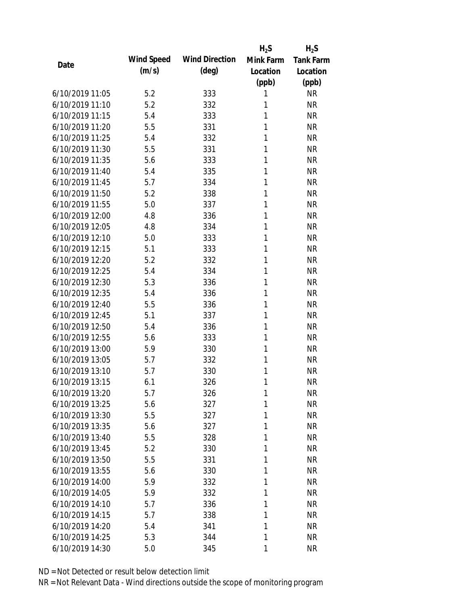|                 |            |                       | $H_2S$    | $H_2S$           |
|-----------------|------------|-----------------------|-----------|------------------|
|                 | Wind Speed | <b>Wind Direction</b> | Mink Farm | <b>Tank Farm</b> |
| Date            | (m/s)      | $(\text{deg})$        | Location  | Location         |
|                 |            |                       | (ppb)     | (ppb)            |
| 6/10/2019 11:05 | 5.2        | 333                   | 1         | <b>NR</b>        |
| 6/10/2019 11:10 | 5.2        | 332                   | 1         | <b>NR</b>        |
| 6/10/2019 11:15 | 5.4        | 333                   | 1         | <b>NR</b>        |
| 6/10/2019 11:20 | 5.5        | 331                   | 1         | <b>NR</b>        |
| 6/10/2019 11:25 | 5.4        | 332                   | 1         | <b>NR</b>        |
| 6/10/2019 11:30 | 5.5        | 331                   | 1         | <b>NR</b>        |
| 6/10/2019 11:35 | 5.6        | 333                   | 1         | <b>NR</b>        |
| 6/10/2019 11:40 | 5.4        | 335                   | 1         | <b>NR</b>        |
| 6/10/2019 11:45 | 5.7        | 334                   | 1         | <b>NR</b>        |
| 6/10/2019 11:50 | 5.2        | 338                   | 1         | <b>NR</b>        |
| 6/10/2019 11:55 | 5.0        | 337                   | 1         | <b>NR</b>        |
| 6/10/2019 12:00 | 4.8        | 336                   | 1         | <b>NR</b>        |
| 6/10/2019 12:05 | 4.8        | 334                   | 1         | <b>NR</b>        |
| 6/10/2019 12:10 | 5.0        | 333                   | 1         | <b>NR</b>        |
| 6/10/2019 12:15 | 5.1        | 333                   | 1         | <b>NR</b>        |
| 6/10/2019 12:20 | 5.2        | 332                   | 1         | <b>NR</b>        |
| 6/10/2019 12:25 | 5.4        | 334                   | 1         | <b>NR</b>        |
| 6/10/2019 12:30 | 5.3        | 336                   | 1         | <b>NR</b>        |
| 6/10/2019 12:35 | 5.4        | 336                   | 1         | <b>NR</b>        |
| 6/10/2019 12:40 | 5.5        | 336                   | 1         | <b>NR</b>        |
| 6/10/2019 12:45 | 5.1        | 337                   | 1         | <b>NR</b>        |
| 6/10/2019 12:50 | 5.4        | 336                   | 1         | <b>NR</b>        |
| 6/10/2019 12:55 | 5.6        | 333                   | 1         | <b>NR</b>        |
| 6/10/2019 13:00 | 5.9        | 330                   | 1         | <b>NR</b>        |
| 6/10/2019 13:05 | 5.7        | 332                   | 1         | <b>NR</b>        |
| 6/10/2019 13:10 | 5.7        | 330                   | 1         | <b>NR</b>        |
| 6/10/2019 13:15 | 6.1        | 326                   | 1         | <b>NR</b>        |
| 6/10/2019 13:20 | 5.7        | 326                   | 1         | <b>NR</b>        |
| 6/10/2019 13:25 | 5.6        | 327                   | 1         | <b>NR</b>        |
| 6/10/2019 13:30 | 5.5        | 327                   | 1         | <b>NR</b>        |
| 6/10/2019 13:35 | 5.6        | 327                   | 1         | <b>NR</b>        |
| 6/10/2019 13:40 | 5.5        | 328                   | 1         | <b>NR</b>        |
| 6/10/2019 13:45 | 5.2        | 330                   | 1         | <b>NR</b>        |
| 6/10/2019 13:50 | 5.5        | 331                   | 1         | <b>NR</b>        |
| 6/10/2019 13:55 | 5.6        | 330                   | 1         | <b>NR</b>        |
| 6/10/2019 14:00 | 5.9        | 332                   | 1         | <b>NR</b>        |
| 6/10/2019 14:05 | 5.9        | 332                   | 1         | <b>NR</b>        |
| 6/10/2019 14:10 | 5.7        | 336                   | 1         | <b>NR</b>        |
| 6/10/2019 14:15 | 5.7        | 338                   | 1         | <b>NR</b>        |
| 6/10/2019 14:20 | 5.4        | 341                   | 1         | <b>NR</b>        |
| 6/10/2019 14:25 | 5.3        | 344                   | 1         | <b>NR</b>        |
| 6/10/2019 14:30 | 5.0        | 345                   | 1         | <b>NR</b>        |
|                 |            |                       |           |                  |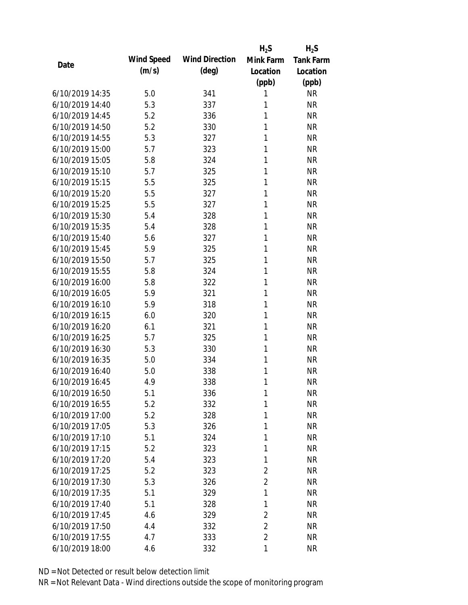|                 |            |                       | $H_2S$         | $H_2S$           |
|-----------------|------------|-----------------------|----------------|------------------|
| Date            | Wind Speed | <b>Wind Direction</b> | Mink Farm      | <b>Tank Farm</b> |
|                 | (m/s)      | $(\text{deg})$        | Location       | Location         |
|                 |            |                       | (ppb)          | (ppb)            |
| 6/10/2019 14:35 | 5.0        | 341                   | 1              | <b>NR</b>        |
| 6/10/2019 14:40 | 5.3        | 337                   | 1              | <b>NR</b>        |
| 6/10/2019 14:45 | 5.2        | 336                   | 1              | <b>NR</b>        |
| 6/10/2019 14:50 | 5.2        | 330                   | 1              | <b>NR</b>        |
| 6/10/2019 14:55 | 5.3        | 327                   | 1              | <b>NR</b>        |
| 6/10/2019 15:00 | 5.7        | 323                   | 1              | <b>NR</b>        |
| 6/10/2019 15:05 | 5.8        | 324                   | 1              | <b>NR</b>        |
| 6/10/2019 15:10 | 5.7        | 325                   | 1              | <b>NR</b>        |
| 6/10/2019 15:15 | 5.5        | 325                   | 1              | <b>NR</b>        |
| 6/10/2019 15:20 | 5.5        | 327                   | 1              | <b>NR</b>        |
| 6/10/2019 15:25 | 5.5        | 327                   | 1              | <b>NR</b>        |
| 6/10/2019 15:30 | 5.4        | 328                   | 1              | <b>NR</b>        |
| 6/10/2019 15:35 | 5.4        | 328                   | 1              | <b>NR</b>        |
| 6/10/2019 15:40 | 5.6        | 327                   | 1              | <b>NR</b>        |
| 6/10/2019 15:45 | 5.9        | 325                   | 1              | <b>NR</b>        |
| 6/10/2019 15:50 | 5.7        | 325                   | 1              | <b>NR</b>        |
| 6/10/2019 15:55 | 5.8        | 324                   | 1              | <b>NR</b>        |
| 6/10/2019 16:00 | 5.8        | 322                   | 1              | <b>NR</b>        |
| 6/10/2019 16:05 | 5.9        | 321                   | 1              | <b>NR</b>        |
| 6/10/2019 16:10 | 5.9        | 318                   | 1              | <b>NR</b>        |
| 6/10/2019 16:15 | 6.0        | 320                   | 1              | <b>NR</b>        |
| 6/10/2019 16:20 | 6.1        | 321                   | 1              | <b>NR</b>        |
| 6/10/2019 16:25 | 5.7        | 325                   | 1              | <b>NR</b>        |
| 6/10/2019 16:30 | 5.3        | 330                   | 1              | <b>NR</b>        |
| 6/10/2019 16:35 | 5.0        | 334                   | 1              | <b>NR</b>        |
| 6/10/2019 16:40 | 5.0        | 338                   | 1              | <b>NR</b>        |
| 6/10/2019 16:45 | 4.9        | 338                   | 1              | <b>NR</b>        |
| 6/10/2019 16:50 | 5.1        | 336                   | 1              | <b>NR</b>        |
| 6/10/2019 16:55 | 5.2        | 332                   | 1              | <b>NR</b>        |
| 6/10/2019 17:00 | 5.2        | 328                   | 1              | <b>NR</b>        |
| 6/10/2019 17:05 | 5.3        | 326                   | 1              | <b>NR</b>        |
| 6/10/2019 17:10 | 5.1        | 324                   | 1              | <b>NR</b>        |
| 6/10/2019 17:15 | 5.2        | 323                   | 1              | <b>NR</b>        |
| 6/10/2019 17:20 | 5.4        | 323                   | 1              | <b>NR</b>        |
| 6/10/2019 17:25 | 5.2        | 323                   | $\overline{2}$ | <b>NR</b>        |
| 6/10/2019 17:30 | 5.3        | 326                   | $\overline{2}$ | <b>NR</b>        |
| 6/10/2019 17:35 | 5.1        | 329                   | 1              | <b>NR</b>        |
| 6/10/2019 17:40 | 5.1        | 328                   | 1              | <b>NR</b>        |
| 6/10/2019 17:45 | 4.6        | 329                   | $\overline{2}$ | <b>NR</b>        |
| 6/10/2019 17:50 | 4.4        | 332                   | $\overline{2}$ | <b>NR</b>        |
| 6/10/2019 17:55 | 4.7        | 333                   | $\overline{2}$ | <b>NR</b>        |
| 6/10/2019 18:00 | 4.6        | 332                   | 1              | <b>NR</b>        |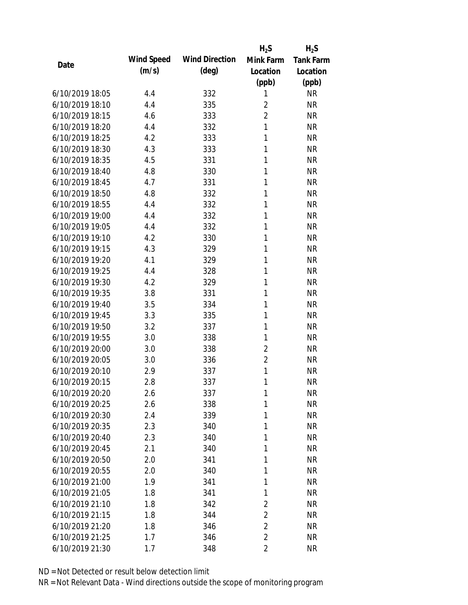|                 |            |                       | $H_2S$         | $H_2S$           |
|-----------------|------------|-----------------------|----------------|------------------|
| Date            | Wind Speed | <b>Wind Direction</b> | Mink Farm      | <b>Tank Farm</b> |
|                 | (m/s)      | $(\text{deg})$        | Location       | Location         |
|                 |            |                       | (ppb)          | (ppb)            |
| 6/10/2019 18:05 | 4.4        | 332                   | 1              | <b>NR</b>        |
| 6/10/2019 18:10 | 4.4        | 335                   | $\overline{2}$ | <b>NR</b>        |
| 6/10/2019 18:15 | 4.6        | 333                   | $\overline{2}$ | <b>NR</b>        |
| 6/10/2019 18:20 | 4.4        | 332                   | 1              | <b>NR</b>        |
| 6/10/2019 18:25 | 4.2        | 333                   | 1              | <b>NR</b>        |
| 6/10/2019 18:30 | 4.3        | 333                   | 1              | <b>NR</b>        |
| 6/10/2019 18:35 | 4.5        | 331                   | 1              | <b>NR</b>        |
| 6/10/2019 18:40 | 4.8        | 330                   | 1              | <b>NR</b>        |
| 6/10/2019 18:45 | 4.7        | 331                   | 1              | <b>NR</b>        |
| 6/10/2019 18:50 | 4.8        | 332                   | 1              | <b>NR</b>        |
| 6/10/2019 18:55 | 4.4        | 332                   | 1              | <b>NR</b>        |
| 6/10/2019 19:00 | 4.4        | 332                   | 1              | <b>NR</b>        |
| 6/10/2019 19:05 | 4.4        | 332                   | 1              | <b>NR</b>        |
| 6/10/2019 19:10 | 4.2        | 330                   | 1              | <b>NR</b>        |
| 6/10/2019 19:15 | 4.3        | 329                   | 1              | <b>NR</b>        |
| 6/10/2019 19:20 | 4.1        | 329                   | 1              | <b>NR</b>        |
| 6/10/2019 19:25 | 4.4        | 328                   | 1              | <b>NR</b>        |
| 6/10/2019 19:30 | 4.2        | 329                   | 1              | <b>NR</b>        |
| 6/10/2019 19:35 | 3.8        | 331                   | 1              | <b>NR</b>        |
| 6/10/2019 19:40 | 3.5        | 334                   | 1              | <b>NR</b>        |
| 6/10/2019 19:45 | 3.3        | 335                   | 1              | <b>NR</b>        |
| 6/10/2019 19:50 | 3.2        | 337                   | 1              | <b>NR</b>        |
| 6/10/2019 19:55 | 3.0        | 338                   | 1              | <b>NR</b>        |
| 6/10/2019 20:00 | 3.0        | 338                   | $\overline{2}$ | <b>NR</b>        |
| 6/10/2019 20:05 | 3.0        | 336                   | $\overline{2}$ | <b>NR</b>        |
| 6/10/2019 20:10 | 2.9        | 337                   | 1              | <b>NR</b>        |
| 6/10/2019 20:15 | 2.8        | 337                   | 1              | <b>NR</b>        |
| 6/10/2019 20:20 | 2.6        | 337                   | 1              | <b>NR</b>        |
| 6/10/2019 20:25 | 2.6        | 338                   | 1              | <b>NR</b>        |
| 6/10/2019 20:30 | 2.4        | 339                   | 1              | <b>NR</b>        |
| 6/10/2019 20:35 | 2.3        | 340                   | 1              | <b>NR</b>        |
| 6/10/2019 20:40 | 2.3        | 340                   | 1              | <b>NR</b>        |
| 6/10/2019 20:45 | 2.1        | 340                   | 1              | <b>NR</b>        |
| 6/10/2019 20:50 | 2.0        | 341                   | 1              | <b>NR</b>        |
| 6/10/2019 20:55 | 2.0        | 340                   | 1              | <b>NR</b>        |
| 6/10/2019 21:00 | 1.9        | 341                   | 1              | <b>NR</b>        |
| 6/10/2019 21:05 | 1.8        | 341                   | 1              | <b>NR</b>        |
| 6/10/2019 21:10 | 1.8        | 342                   | 2              | <b>NR</b>        |
| 6/10/2019 21:15 | 1.8        | 344                   | $\overline{2}$ | <b>NR</b>        |
| 6/10/2019 21:20 | 1.8        | 346                   | $\overline{2}$ | <b>NR</b>        |
| 6/10/2019 21:25 | 1.7        | 346                   | $\overline{2}$ | <b>NR</b>        |
| 6/10/2019 21:30 | 1.7        | 348                   | $\overline{2}$ | <b>NR</b>        |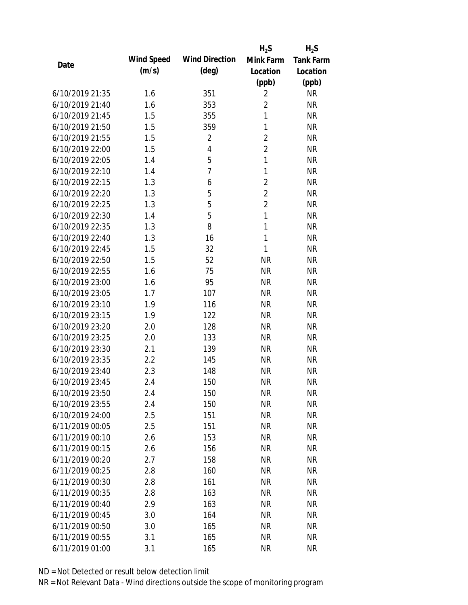|                 |            |                       | $H_2S$         | $H_2S$           |
|-----------------|------------|-----------------------|----------------|------------------|
|                 | Wind Speed | <b>Wind Direction</b> | Mink Farm      | <b>Tank Farm</b> |
| Date            | (m/s)      | $(\text{deg})$        | Location       | Location         |
|                 |            |                       | (ppb)          | (ppb)            |
| 6/10/2019 21:35 | 1.6        | 351                   | $\overline{2}$ | <b>NR</b>        |
| 6/10/2019 21:40 | 1.6        | 353                   | 2              | <b>NR</b>        |
| 6/10/2019 21:45 | 1.5        | 355                   | $\mathbf{1}$   | <b>NR</b>        |
| 6/10/2019 21:50 | 1.5        | 359                   | $\mathbf{1}$   | <b>NR</b>        |
| 6/10/2019 21:55 | 1.5        | $\overline{2}$        | $\overline{2}$ | <b>NR</b>        |
| 6/10/2019 22:00 | 1.5        | 4                     | $\overline{2}$ | <b>NR</b>        |
| 6/10/2019 22:05 | 1.4        | 5                     | 1              | <b>NR</b>        |
| 6/10/2019 22:10 | 1.4        | $\overline{7}$        | $\mathbf{1}$   | <b>NR</b>        |
| 6/10/2019 22:15 | 1.3        | 6                     | $\overline{2}$ | <b>NR</b>        |
| 6/10/2019 22:20 | 1.3        | 5                     | $\overline{2}$ | <b>NR</b>        |
| 6/10/2019 22:25 | 1.3        | 5                     | $\overline{2}$ | <b>NR</b>        |
| 6/10/2019 22:30 | 1.4        | 5                     | $\mathbf{1}$   | <b>NR</b>        |
| 6/10/2019 22:35 | 1.3        | 8                     | $\mathbf{1}$   | <b>NR</b>        |
| 6/10/2019 22:40 | 1.3        | 16                    | $\mathbf{1}$   | <b>NR</b>        |
| 6/10/2019 22:45 | 1.5        | 32                    | $\mathbf{1}$   | <b>NR</b>        |
| 6/10/2019 22:50 | 1.5        | 52                    | <b>NR</b>      | <b>NR</b>        |
| 6/10/2019 22:55 | 1.6        | 75                    | <b>NR</b>      | <b>NR</b>        |
| 6/10/2019 23:00 | 1.6        | 95                    | <b>NR</b>      | <b>NR</b>        |
| 6/10/2019 23:05 | 1.7        | 107                   | <b>NR</b>      | <b>NR</b>        |
| 6/10/2019 23:10 | 1.9        | 116                   | <b>NR</b>      | <b>NR</b>        |
| 6/10/2019 23:15 | 1.9        | 122                   | <b>NR</b>      | <b>NR</b>        |
| 6/10/2019 23:20 | 2.0        | 128                   | <b>NR</b>      | <b>NR</b>        |
| 6/10/2019 23:25 | 2.0        | 133                   | <b>NR</b>      | <b>NR</b>        |
| 6/10/2019 23:30 | 2.1        | 139                   | <b>NR</b>      | <b>NR</b>        |
| 6/10/2019 23:35 | 2.2        | 145                   | <b>NR</b>      | <b>NR</b>        |
| 6/10/2019 23:40 | 2.3        | 148                   | <b>NR</b>      | <b>NR</b>        |
| 6/10/2019 23:45 | 2.4        | 150                   | <b>NR</b>      | <b>NR</b>        |
| 6/10/2019 23:50 | 2.4        | 150                   | <b>NR</b>      | <b>NR</b>        |
| 6/10/2019 23:55 | 2.4        | 150                   | <b>NR</b>      | <b>NR</b>        |
| 6/10/2019 24:00 | 2.5        | 151                   | <b>NR</b>      | <b>NR</b>        |
| 6/11/2019 00:05 | 2.5        | 151                   | <b>NR</b>      | <b>NR</b>        |
| 6/11/2019 00:10 | 2.6        | 153                   | <b>NR</b>      | <b>NR</b>        |
| 6/11/2019 00:15 | 2.6        | 156                   | <b>NR</b>      | <b>NR</b>        |
| 6/11/2019 00:20 | 2.7        | 158                   | <b>NR</b>      | <b>NR</b>        |
| 6/11/2019 00:25 | 2.8        | 160                   | <b>NR</b>      | <b>NR</b>        |
| 6/11/2019 00:30 | 2.8        | 161                   | <b>NR</b>      | <b>NR</b>        |
| 6/11/2019 00:35 | 2.8        | 163                   | <b>NR</b>      | <b>NR</b>        |
| 6/11/2019 00:40 | 2.9        | 163                   | <b>NR</b>      | <b>NR</b>        |
| 6/11/2019 00:45 | 3.0        | 164                   | <b>NR</b>      | <b>NR</b>        |
| 6/11/2019 00:50 | 3.0        | 165                   | <b>NR</b>      | NR               |
| 6/11/2019 00:55 | 3.1        | 165                   | <b>NR</b>      | <b>NR</b>        |
| 6/11/2019 01:00 | 3.1        | 165                   | <b>NR</b>      | <b>NR</b>        |
|                 |            |                       |                |                  |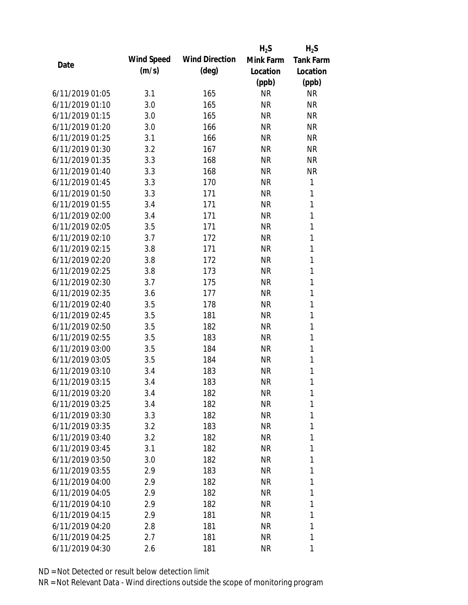|                 |            |                       | $H_2S$    | $H_2S$           |
|-----------------|------------|-----------------------|-----------|------------------|
| Date            | Wind Speed | <b>Wind Direction</b> | Mink Farm | <b>Tank Farm</b> |
|                 | (m/s)      | $(\text{deg})$        | Location  | Location         |
|                 |            |                       | (ppb)     | (ppb)            |
| 6/11/2019 01:05 | 3.1        | 165                   | <b>NR</b> | <b>NR</b>        |
| 6/11/2019 01:10 | 3.0        | 165                   | <b>NR</b> | <b>NR</b>        |
| 6/11/2019 01:15 | 3.0        | 165                   | <b>NR</b> | <b>NR</b>        |
| 6/11/2019 01:20 | 3.0        | 166                   | <b>NR</b> | <b>NR</b>        |
| 6/11/2019 01:25 | 3.1        | 166                   | <b>NR</b> | <b>NR</b>        |
| 6/11/2019 01:30 | 3.2        | 167                   | <b>NR</b> | <b>NR</b>        |
| 6/11/2019 01:35 | 3.3        | 168                   | <b>NR</b> | <b>NR</b>        |
| 6/11/2019 01:40 | 3.3        | 168                   | <b>NR</b> | <b>NR</b>        |
| 6/11/2019 01:45 | 3.3        | 170                   | <b>NR</b> | 1                |
| 6/11/2019 01:50 | 3.3        | 171                   | <b>NR</b> | 1                |
| 6/11/2019 01:55 | 3.4        | 171                   | <b>NR</b> | 1                |
| 6/11/2019 02:00 | 3.4        | 171                   | <b>NR</b> | 1                |
| 6/11/2019 02:05 | 3.5        | 171                   | <b>NR</b> | 1                |
| 6/11/2019 02:10 | 3.7        | 172                   | <b>NR</b> | 1                |
| 6/11/2019 02:15 | 3.8        | 171                   | <b>NR</b> | 1                |
| 6/11/2019 02:20 | 3.8        | 172                   | <b>NR</b> | 1                |
| 6/11/2019 02:25 | 3.8        | 173                   | <b>NR</b> | 1                |
| 6/11/2019 02:30 | 3.7        | 175                   | <b>NR</b> | 1                |
| 6/11/2019 02:35 | 3.6        | 177                   | <b>NR</b> | 1                |
| 6/11/2019 02:40 | 3.5        | 178                   | <b>NR</b> | 1                |
| 6/11/2019 02:45 | 3.5        | 181                   | <b>NR</b> | 1                |
| 6/11/2019 02:50 | 3.5        | 182                   | <b>NR</b> | 1                |
| 6/11/2019 02:55 | 3.5        | 183                   | <b>NR</b> | 1                |
| 6/11/2019 03:00 | 3.5        | 184                   | <b>NR</b> | $\mathbf{1}$     |
| 6/11/2019 03:05 | 3.5        | 184                   | <b>NR</b> | 1                |
| 6/11/2019 03:10 | 3.4        | 183                   | <b>NR</b> | 1                |
| 6/11/2019 03:15 | 3.4        | 183                   | <b>NR</b> | 1                |
| 6/11/2019 03:20 | 3.4        | 182                   | <b>NR</b> | 1                |
| 6/11/2019 03:25 | 3.4        | 182                   | NR        | 1                |
| 6/11/2019 03:30 | 3.3        | 182                   | NR        | 1                |
| 6/11/2019 03:35 | 3.2        | 183                   | NR        | 1                |
| 6/11/2019 03:40 | 3.2        | 182                   | NR        | 1                |
| 6/11/2019 03:45 | 3.1        | 182                   | NR        | 1                |
| 6/11/2019 03:50 | 3.0        | 182                   | NR        | 1                |
| 6/11/2019 03:55 | 2.9        | 183                   | NR        | 1                |
| 6/11/2019 04:00 | 2.9        | 182                   | NR        | 1                |
| 6/11/2019 04:05 | 2.9        | 182                   | NR        | 1                |
| 6/11/2019 04:10 | 2.9        | 182                   | NR        | 1                |
| 6/11/2019 04:15 | 2.9        | 181                   | NR        | 1                |
| 6/11/2019 04:20 | 2.8        | 181                   | NR        | 1                |
| 6/11/2019 04:25 | 2.7        | 181                   | <b>NR</b> | 1                |
|                 |            |                       |           |                  |
| 6/11/2019 04:30 | 2.6        | 181                   | <b>NR</b> | 1                |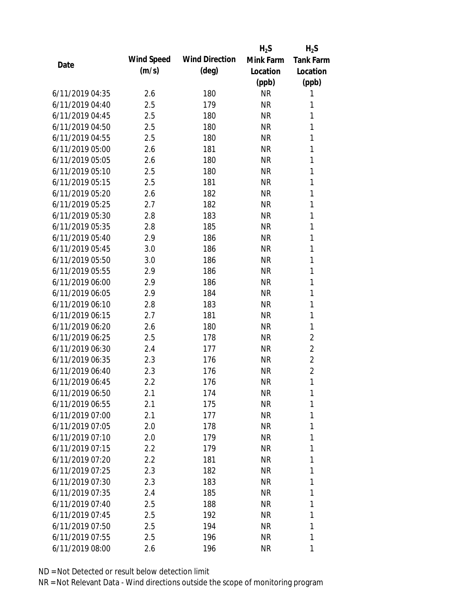|                 |            |                       | $H_2S$    | $H_2S$           |
|-----------------|------------|-----------------------|-----------|------------------|
| Date            | Wind Speed | <b>Wind Direction</b> | Mink Farm | <b>Tank Farm</b> |
|                 | (m/s)      | $(\text{deg})$        | Location  | Location         |
|                 |            |                       | (ppb)     | (ppb)            |
| 6/11/2019 04:35 | 2.6        | 180                   | <b>NR</b> | 1                |
| 6/11/2019 04:40 | 2.5        | 179                   | <b>NR</b> | 1                |
| 6/11/2019 04:45 | 2.5        | 180                   | <b>NR</b> | 1                |
| 6/11/2019 04:50 | 2.5        | 180                   | <b>NR</b> | 1                |
| 6/11/2019 04:55 | 2.5        | 180                   | <b>NR</b> | 1                |
| 6/11/2019 05:00 | 2.6        | 181                   | <b>NR</b> | $\mathbf{1}$     |
| 6/11/2019 05:05 | 2.6        | 180                   | <b>NR</b> | 1                |
| 6/11/2019 05:10 | 2.5        | 180                   | <b>NR</b> | $\mathbf{1}$     |
| 6/11/2019 05:15 | 2.5        | 181                   | <b>NR</b> | 1                |
| 6/11/2019 05:20 | 2.6        | 182                   | <b>NR</b> | 1                |
| 6/11/2019 05:25 | 2.7        | 182                   | <b>NR</b> | $\mathbf{1}$     |
| 6/11/2019 05:30 | 2.8        | 183                   | <b>NR</b> | 1                |
| 6/11/2019 05:35 | 2.8        | 185                   | <b>NR</b> | $\mathbf{1}$     |
| 6/11/2019 05:40 | 2.9        | 186                   | <b>NR</b> | 1                |
| 6/11/2019 05:45 | 3.0        | 186                   | <b>NR</b> | 1                |
| 6/11/2019 05:50 | 3.0        | 186                   | <b>NR</b> | 1                |
| 6/11/2019 05:55 | 2.9        | 186                   | <b>NR</b> | 1                |
| 6/11/2019 06:00 | 2.9        | 186                   | <b>NR</b> | $\mathbf{1}$     |
| 6/11/2019 06:05 | 2.9        | 184                   | <b>NR</b> | 1                |
| 6/11/2019 06:10 | 2.8        | 183                   | <b>NR</b> | 1                |
| 6/11/2019 06:15 | 2.7        | 181                   | <b>NR</b> | 1                |
| 6/11/2019 06:20 | 2.6        | 180                   | <b>NR</b> | 1                |
| 6/11/2019 06:25 | 2.5        | 178                   | <b>NR</b> | 2                |
| 6/11/2019 06:30 | 2.4        | 177                   | <b>NR</b> | $\overline{2}$   |
| 6/11/2019 06:35 | 2.3        | 176                   | <b>NR</b> | $\overline{2}$   |
| 6/11/2019 06:40 | 2.3        | 176                   | <b>NR</b> | $\overline{2}$   |
| 6/11/2019 06:45 | 2.2        | 176                   | <b>NR</b> | 1                |
| 6/11/2019 06:50 | 2.1        | 174                   | <b>NR</b> | 1                |
| 6/11/2019 06:55 | 2.1        | 175                   | <b>NR</b> | 1                |
| 6/11/2019 07:00 | 2.1        | 177                   | NR        | 1                |
| 6/11/2019 07:05 | 2.0        | 178                   | <b>NR</b> | 1                |
| 6/11/2019 07:10 | 2.0        | 179                   | <b>NR</b> | 1                |
| 6/11/2019 07:15 | 2.2        | 179                   | NR        | 1                |
| 6/11/2019 07:20 | $2.2\,$    | 181                   | <b>NR</b> | 1                |
| 6/11/2019 07:25 | 2.3        | 182                   | <b>NR</b> | 1                |
| 6/11/2019 07:30 | 2.3        | 183                   | <b>NR</b> | 1                |
| 6/11/2019 07:35 | 2.4        | 185                   | NR        | 1                |
| 6/11/2019 07:40 | 2.5        | 188                   | NR        | 1                |
| 6/11/2019 07:45 | 2.5        | 192                   | <b>NR</b> | 1                |
| 6/11/2019 07:50 | 2.5        | 194                   | <b>NR</b> | 1                |
| 6/11/2019 07:55 | 2.5        | 196                   | <b>NR</b> | 1                |
| 6/11/2019 08:00 | 2.6        | 196                   | <b>NR</b> | 1                |
|                 |            |                       |           |                  |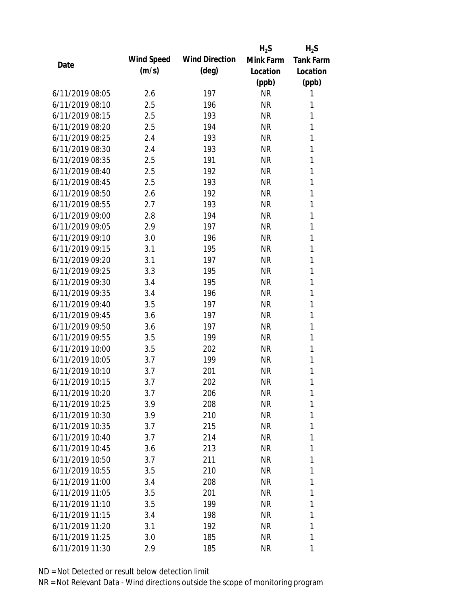|                 |            |                       | $H_2S$    | $H_2S$           |
|-----------------|------------|-----------------------|-----------|------------------|
| Date            | Wind Speed | <b>Wind Direction</b> | Mink Farm | <b>Tank Farm</b> |
|                 | (m/s)      | $(\text{deg})$        | Location  | Location         |
|                 |            |                       | (ppb)     | (ppb)            |
| 6/11/2019 08:05 | 2.6        | 197                   | <b>NR</b> | 1                |
| 6/11/2019 08:10 | 2.5        | 196                   | <b>NR</b> | 1                |
| 6/11/2019 08:15 | 2.5        | 193                   | <b>NR</b> | 1                |
| 6/11/2019 08:20 | 2.5        | 194                   | <b>NR</b> | 1                |
| 6/11/2019 08:25 | 2.4        | 193                   | <b>NR</b> | 1                |
| 6/11/2019 08:30 | 2.4        | 193                   | <b>NR</b> | 1                |
| 6/11/2019 08:35 | 2.5        | 191                   | <b>NR</b> | 1                |
| 6/11/2019 08:40 | 2.5        | 192                   | <b>NR</b> | $\mathbf{1}$     |
| 6/11/2019 08:45 | 2.5        | 193                   | <b>NR</b> | 1                |
| 6/11/2019 08:50 | 2.6        | 192                   | <b>NR</b> | 1                |
| 6/11/2019 08:55 | 2.7        | 193                   | <b>NR</b> | $\mathbf{1}$     |
| 6/11/2019 09:00 | 2.8        | 194                   | <b>NR</b> | 1                |
| 6/11/2019 09:05 | 2.9        | 197                   | <b>NR</b> | $\mathbf{1}$     |
| 6/11/2019 09:10 | 3.0        | 196                   | <b>NR</b> | 1                |
| 6/11/2019 09:15 | 3.1        | 195                   | <b>NR</b> | 1                |
| 6/11/2019 09:20 | 3.1        | 197                   | <b>NR</b> | 1                |
| 6/11/2019 09:25 | 3.3        | 195                   | <b>NR</b> | 1                |
| 6/11/2019 09:30 | 3.4        | 195                   | <b>NR</b> | $\mathbf{1}$     |
| 6/11/2019 09:35 | 3.4        | 196                   | <b>NR</b> | 1                |
| 6/11/2019 09:40 | 3.5        | 197                   | <b>NR</b> | 1                |
| 6/11/2019 09:45 | 3.6        | 197                   | <b>NR</b> | 1                |
| 6/11/2019 09:50 | 3.6        | 197                   | <b>NR</b> | 1                |
| 6/11/2019 09:55 | 3.5        | 199                   | <b>NR</b> | 1                |
| 6/11/2019 10:00 | 3.5        | 202                   | <b>NR</b> | 1                |
| 6/11/2019 10:05 | 3.7        | 199                   | <b>NR</b> | 1                |
| 6/11/2019 10:10 | 3.7        | 201                   | <b>NR</b> | 1                |
| 6/11/2019 10:15 | 3.7        | 202                   | <b>NR</b> | 1                |
| 6/11/2019 10:20 | 3.7        | 206                   | <b>NR</b> | 1                |
| 6/11/2019 10:25 | 3.9        | 208                   | <b>NR</b> | 1                |
| 6/11/2019 10:30 | 3.9        | 210                   | <b>NR</b> | 1                |
| 6/11/2019 10:35 | 3.7        | 215                   | <b>NR</b> | 1                |
| 6/11/2019 10:40 | 3.7        | 214                   | <b>NR</b> | 1                |
| 6/11/2019 10:45 | 3.6        | 213                   | <b>NR</b> | 1                |
| 6/11/2019 10:50 | 3.7        | 211                   | <b>NR</b> | 1                |
| 6/11/2019 10:55 | 3.5        | 210                   | <b>NR</b> | 1                |
| 6/11/2019 11:00 | 3.4        | 208                   | <b>NR</b> | 1                |
| 6/11/2019 11:05 | 3.5        | 201                   | <b>NR</b> | 1                |
| 6/11/2019 11:10 | 3.5        | 199                   | NR        | 1                |
| 6/11/2019 11:15 | 3.4        | 198                   | <b>NR</b> | 1                |
| 6/11/2019 11:20 | 3.1        | 192                   | <b>NR</b> | 1                |
| 6/11/2019 11:25 | 3.0        | 185                   | <b>NR</b> | 1                |
| 6/11/2019 11:30 | 2.9        | 185                   | <b>NR</b> | 1                |
|                 |            |                       |           |                  |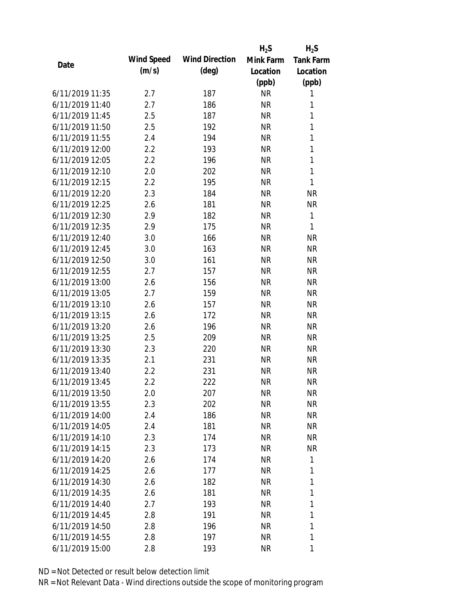|                 |            |                       | $H_2S$    | $H_2S$           |
|-----------------|------------|-----------------------|-----------|------------------|
|                 | Wind Speed | <b>Wind Direction</b> | Mink Farm | <b>Tank Farm</b> |
| Date            | (m/s)      | $(\text{deg})$        | Location  | Location         |
|                 |            |                       | (ppb)     | (ppb)            |
| 6/11/2019 11:35 | 2.7        | 187                   | <b>NR</b> | 1                |
| 6/11/2019 11:40 | 2.7        | 186                   | <b>NR</b> | 1                |
| 6/11/2019 11:45 | 2.5        | 187                   | <b>NR</b> | $\mathbf{1}$     |
| 6/11/2019 11:50 | 2.5        | 192                   | <b>NR</b> | 1                |
| 6/11/2019 11:55 | 2.4        | 194                   | <b>NR</b> | 1                |
| 6/11/2019 12:00 | 2.2        | 193                   | <b>NR</b> | 1                |
| 6/11/2019 12:05 | 2.2        | 196                   | <b>NR</b> | 1                |
| 6/11/2019 12:10 | 2.0        | 202                   | <b>NR</b> | $\mathbf{1}$     |
| 6/11/2019 12:15 | 2.2        | 195                   | <b>NR</b> | 1                |
| 6/11/2019 12:20 | 2.3        | 184                   | <b>NR</b> | <b>NR</b>        |
| 6/11/2019 12:25 | 2.6        | 181                   | <b>NR</b> | <b>NR</b>        |
| 6/11/2019 12:30 | 2.9        | 182                   | <b>NR</b> | 1                |
| 6/11/2019 12:35 | 2.9        | 175                   | <b>NR</b> | 1                |
| 6/11/2019 12:40 | 3.0        | 166                   | <b>NR</b> | <b>NR</b>        |
| 6/11/2019 12:45 | 3.0        | 163                   | <b>NR</b> | <b>NR</b>        |
| 6/11/2019 12:50 | 3.0        | 161                   | <b>NR</b> | <b>NR</b>        |
| 6/11/2019 12:55 | 2.7        | 157                   | <b>NR</b> | <b>NR</b>        |
| 6/11/2019 13:00 | 2.6        | 156                   | <b>NR</b> | <b>NR</b>        |
| 6/11/2019 13:05 | 2.7        | 159                   | <b>NR</b> | <b>NR</b>        |
| 6/11/2019 13:10 | 2.6        | 157                   | <b>NR</b> | <b>NR</b>        |
| 6/11/2019 13:15 | 2.6        | 172                   | <b>NR</b> | <b>NR</b>        |
| 6/11/2019 13:20 | 2.6        | 196                   | <b>NR</b> | <b>NR</b>        |
| 6/11/2019 13:25 | 2.5        | 209                   | <b>NR</b> | <b>NR</b>        |
| 6/11/2019 13:30 | 2.3        | 220                   | <b>NR</b> | <b>NR</b>        |
| 6/11/2019 13:35 | 2.1        | 231                   | <b>NR</b> | <b>NR</b>        |
| 6/11/2019 13:40 | 2.2        | 231                   | <b>NR</b> | <b>NR</b>        |
| 6/11/2019 13:45 | 2.2        | 222                   | <b>NR</b> | <b>NR</b>        |
| 6/11/2019 13:50 | 2.0        | 207                   | <b>NR</b> | <b>NR</b>        |
| 6/11/2019 13:55 | 2.3        | 202                   | <b>NR</b> | <b>NR</b>        |
| 6/11/2019 14:00 | 2.4        | 186                   | NR        | NR               |
| 6/11/2019 14:05 | 2.4        | 181                   | <b>NR</b> | <b>NR</b>        |
| 6/11/2019 14:10 | 2.3        | 174                   | <b>NR</b> | NR               |
| 6/11/2019 14:15 | 2.3        | 173                   | <b>NR</b> | <b>NR</b>        |
| 6/11/2019 14:20 | 2.6        | 174                   | <b>NR</b> | 1                |
| 6/11/2019 14:25 | 2.6        | 177                   | <b>NR</b> | 1                |
| 6/11/2019 14:30 | 2.6        | 182                   | <b>NR</b> | 1                |
| 6/11/2019 14:35 | 2.6        | 181                   | <b>NR</b> | 1                |
| 6/11/2019 14:40 | 2.7        | 193                   | <b>NR</b> | 1                |
| 6/11/2019 14:45 | 2.8        | 191                   | <b>NR</b> | 1                |
| 6/11/2019 14:50 | 2.8        | 196                   | <b>NR</b> | 1                |
|                 |            |                       |           | 1                |
| 6/11/2019 14:55 | 2.8        | 197                   | <b>NR</b> |                  |
| 6/11/2019 15:00 | 2.8        | 193                   | <b>NR</b> | 1                |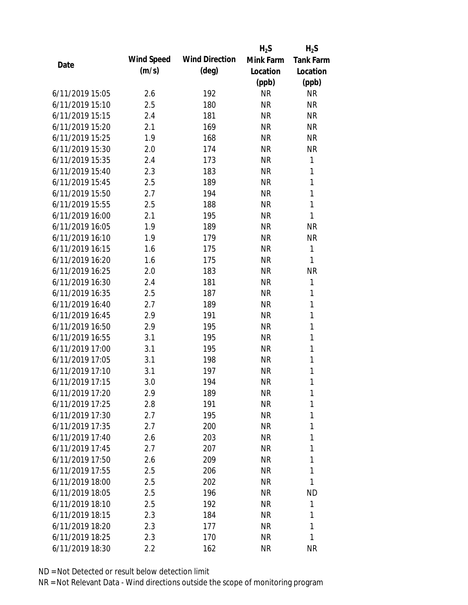|                 |            |                       | $H_2S$    | $H_2S$           |
|-----------------|------------|-----------------------|-----------|------------------|
| Date            | Wind Speed | <b>Wind Direction</b> | Mink Farm | <b>Tank Farm</b> |
|                 | (m/s)      | $(\text{deg})$        | Location  | Location         |
|                 |            |                       | (ppb)     | (ppb)            |
| 6/11/2019 15:05 | 2.6        | 192                   | <b>NR</b> | <b>NR</b>        |
| 6/11/2019 15:10 | 2.5        | 180                   | <b>NR</b> | <b>NR</b>        |
| 6/11/2019 15:15 | 2.4        | 181                   | <b>NR</b> | <b>NR</b>        |
| 6/11/2019 15:20 | 2.1        | 169                   | <b>NR</b> | <b>NR</b>        |
| 6/11/2019 15:25 | 1.9        | 168                   | <b>NR</b> | <b>NR</b>        |
| 6/11/2019 15:30 | 2.0        | 174                   | <b>NR</b> | <b>NR</b>        |
| 6/11/2019 15:35 | 2.4        | 173                   | <b>NR</b> | 1                |
| 6/11/2019 15:40 | 2.3        | 183                   | <b>NR</b> | 1                |
| 6/11/2019 15:45 | 2.5        | 189                   | <b>NR</b> | $\mathbf{1}$     |
| 6/11/2019 15:50 | 2.7        | 194                   | <b>NR</b> | $\mathbf{1}$     |
| 6/11/2019 15:55 | 2.5        | 188                   | <b>NR</b> | 1                |
| 6/11/2019 16:00 | 2.1        | 195                   | <b>NR</b> | 1                |
| 6/11/2019 16:05 | 1.9        | 189                   | <b>NR</b> | <b>NR</b>        |
| 6/11/2019 16:10 | 1.9        | 179                   | <b>NR</b> | <b>NR</b>        |
| 6/11/2019 16:15 | 1.6        | 175                   | <b>NR</b> | 1                |
| 6/11/2019 16:20 | 1.6        | 175                   | <b>NR</b> | 1                |
| 6/11/2019 16:25 | 2.0        | 183                   | <b>NR</b> | <b>NR</b>        |
| 6/11/2019 16:30 | 2.4        | 181                   | <b>NR</b> | 1                |
| 6/11/2019 16:35 | 2.5        | 187                   | <b>NR</b> | 1                |
| 6/11/2019 16:40 | 2.7        | 189                   | <b>NR</b> | 1                |
| 6/11/2019 16:45 | 2.9        | 191                   | <b>NR</b> | $\mathbf{1}$     |
| 6/11/2019 16:50 | 2.9        | 195                   | <b>NR</b> | $\mathbf{1}$     |
| 6/11/2019 16:55 | 3.1        | 195                   | <b>NR</b> | 1                |
| 6/11/2019 17:00 | 3.1        | 195                   | <b>NR</b> | 1                |
| 6/11/2019 17:05 | 3.1        | 198                   | <b>NR</b> | 1                |
| 6/11/2019 17:10 | 3.1        | 197                   | <b>NR</b> | 1                |
| 6/11/2019 17:15 | 3.0        | 194                   | <b>NR</b> | 1                |
| 6/11/2019 17:20 | 2.9        | 189                   | <b>NR</b> | 1                |
| 6/11/2019 17:25 | 2.8        | 191                   | <b>NR</b> | 1                |
| 6/11/2019 17:30 | 2.7        | 195                   | <b>NR</b> | 1                |
| 6/11/2019 17:35 | 2.7        | 200                   | <b>NR</b> | 1                |
| 6/11/2019 17:40 | 2.6        | 203                   | <b>NR</b> | 1                |
| 6/11/2019 17:45 | 2.7        | 207                   | <b>NR</b> | 1                |
| 6/11/2019 17:50 | 2.6        | 209                   | <b>NR</b> | 1                |
| 6/11/2019 17:55 | 2.5        | 206                   | <b>NR</b> | 1                |
| 6/11/2019 18:00 | 2.5        | 202                   | <b>NR</b> | 1                |
| 6/11/2019 18:05 | 2.5        | 196                   | <b>NR</b> | <b>ND</b>        |
| 6/11/2019 18:10 | 2.5        | 192                   | <b>NR</b> | 1                |
| 6/11/2019 18:15 | 2.3        | 184                   | <b>NR</b> | 1                |
| 6/11/2019 18:20 | 2.3        | 177                   | <b>NR</b> | 1                |
| 6/11/2019 18:25 | 2.3        | 170                   | <b>NR</b> | 1                |
| 6/11/2019 18:30 | 2.2        | 162                   | <b>NR</b> | <b>NR</b>        |
|                 |            |                       |           |                  |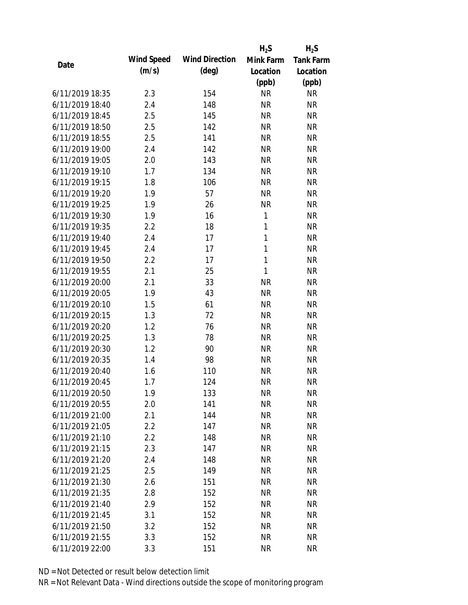|                 |            |                       | $H_2S$       | $H_2S$           |
|-----------------|------------|-----------------------|--------------|------------------|
| Date            | Wind Speed | <b>Wind Direction</b> | Mink Farm    | <b>Tank Farm</b> |
|                 | (m/s)      | $(\text{deg})$        | Location     | Location         |
|                 |            |                       | (ppb)        | (ppb)            |
| 6/11/2019 18:35 | 2.3        | 154                   | <b>NR</b>    | <b>NR</b>        |
| 6/11/2019 18:40 | 2.4        | 148                   | <b>NR</b>    | <b>NR</b>        |
| 6/11/2019 18:45 | 2.5        | 145                   | <b>NR</b>    | <b>NR</b>        |
| 6/11/2019 18:50 | 2.5        | 142                   | <b>NR</b>    | <b>NR</b>        |
| 6/11/2019 18:55 | 2.5        | 141                   | <b>NR</b>    | <b>NR</b>        |
| 6/11/2019 19:00 | 2.4        | 142                   | <b>NR</b>    | <b>NR</b>        |
| 6/11/2019 19:05 | 2.0        | 143                   | <b>NR</b>    | <b>NR</b>        |
| 6/11/2019 19:10 | 1.7        | 134                   | <b>NR</b>    | <b>NR</b>        |
| 6/11/2019 19:15 | 1.8        | 106                   | <b>NR</b>    | <b>NR</b>        |
| 6/11/2019 19:20 | 1.9        | 57                    | <b>NR</b>    | <b>NR</b>        |
| 6/11/2019 19:25 | 1.9        | 26                    | <b>NR</b>    | <b>NR</b>        |
| 6/11/2019 19:30 | 1.9        | 16                    | 1            | <b>NR</b>        |
| 6/11/2019 19:35 | 2.2        | 18                    | $\mathbf{1}$ | <b>NR</b>        |
| 6/11/2019 19:40 | 2.4        | 17                    | $\mathbf{1}$ | <b>NR</b>        |
| 6/11/2019 19:45 | 2.4        | 17                    | $\mathbf{1}$ | <b>NR</b>        |
| 6/11/2019 19:50 | 2.2        | 17                    | $\mathbf{1}$ | <b>NR</b>        |
| 6/11/2019 19:55 | 2.1        | 25                    | 1            | <b>NR</b>        |
| 6/11/2019 20:00 | 2.1        | 33                    | <b>NR</b>    | <b>NR</b>        |
| 6/11/2019 20:05 | 1.9        | 43                    | <b>NR</b>    | <b>NR</b>        |
| 6/11/2019 20:10 | 1.5        | 61                    | <b>NR</b>    | <b>NR</b>        |
| 6/11/2019 20:15 | 1.3        | 72                    | <b>NR</b>    | <b>NR</b>        |
| 6/11/2019 20:20 | 1.2        | 76                    | <b>NR</b>    | <b>NR</b>        |
| 6/11/2019 20:25 | 1.3        | 78                    | <b>NR</b>    | <b>NR</b>        |
| 6/11/2019 20:30 | 1.2        | 90                    | <b>NR</b>    | <b>NR</b>        |
| 6/11/2019 20:35 | 1.4        | 98                    | <b>NR</b>    | <b>NR</b>        |
| 6/11/2019 20:40 | 1.6        | 110                   | <b>NR</b>    | <b>NR</b>        |
| 6/11/2019 20:45 | 1.7        | 124                   | <b>NR</b>    | <b>NR</b>        |
| 6/11/2019 20:50 | 1.9        | 133                   | <b>NR</b>    | <b>NR</b>        |
| 6/11/2019 20:55 | 2.0        | 141                   | <b>NR</b>    | <b>NR</b>        |
| 6/11/2019 21:00 | 2.1        | 144                   | <b>NR</b>    | <b>NR</b>        |
| 6/11/2019 21:05 | 2.2        | 147                   | <b>NR</b>    | <b>NR</b>        |
| 6/11/2019 21:10 | 2.2        | 148                   | <b>NR</b>    | <b>NR</b>        |
| 6/11/2019 21:15 | 2.3        | 147                   | <b>NR</b>    | <b>NR</b>        |
| 6/11/2019 21:20 | 2.4        | 148                   | <b>NR</b>    | <b>NR</b>        |
| 6/11/2019 21:25 | 2.5        | 149                   | <b>NR</b>    | <b>NR</b>        |
| 6/11/2019 21:30 | 2.6        | 151                   | <b>NR</b>    | <b>NR</b>        |
| 6/11/2019 21:35 | 2.8        | 152                   | <b>NR</b>    | <b>NR</b>        |
| 6/11/2019 21:40 | 2.9        | 152                   | NR           | <b>NR</b>        |
| 6/11/2019 21:45 | 3.1        | 152                   | <b>NR</b>    | <b>NR</b>        |
| 6/11/2019 21:50 | 3.2        | 152                   | <b>NR</b>    | <b>NR</b>        |
| 6/11/2019 21:55 | 3.3        | 152                   | <b>NR</b>    | <b>NR</b>        |
| 6/11/2019 22:00 | 3.3        | 151                   | <b>NR</b>    | <b>NR</b>        |
|                 |            |                       |              |                  |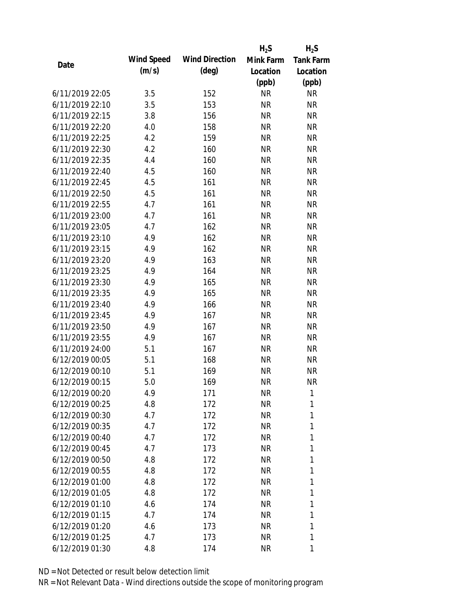|                 |            |                       | $H_2S$    | $H_2S$           |
|-----------------|------------|-----------------------|-----------|------------------|
|                 | Wind Speed | <b>Wind Direction</b> | Mink Farm | <b>Tank Farm</b> |
| Date            | (m/s)      | $(\text{deg})$        | Location  | Location         |
|                 |            |                       | (ppb)     | (ppb)            |
| 6/11/2019 22:05 | 3.5        | 152                   | <b>NR</b> | <b>NR</b>        |
| 6/11/2019 22:10 | 3.5        | 153                   | <b>NR</b> | <b>NR</b>        |
| 6/11/2019 22:15 | 3.8        | 156                   | <b>NR</b> | <b>NR</b>        |
| 6/11/2019 22:20 | 4.0        | 158                   | <b>NR</b> | <b>NR</b>        |
| 6/11/2019 22:25 | 4.2        | 159                   | <b>NR</b> | <b>NR</b>        |
| 6/11/2019 22:30 | 4.2        | 160                   | <b>NR</b> | <b>NR</b>        |
| 6/11/2019 22:35 | 4.4        | 160                   | <b>NR</b> | <b>NR</b>        |
| 6/11/2019 22:40 | 4.5        | 160                   | <b>NR</b> | <b>NR</b>        |
| 6/11/2019 22:45 | 4.5        | 161                   | <b>NR</b> | <b>NR</b>        |
| 6/11/2019 22:50 | 4.5        | 161                   | <b>NR</b> | <b>NR</b>        |
| 6/11/2019 22:55 | 4.7        | 161                   | <b>NR</b> | <b>NR</b>        |
| 6/11/2019 23:00 | 4.7        | 161                   | <b>NR</b> | <b>NR</b>        |
| 6/11/2019 23:05 | 4.7        | 162                   | <b>NR</b> | <b>NR</b>        |
| 6/11/2019 23:10 | 4.9        | 162                   | <b>NR</b> | <b>NR</b>        |
| 6/11/2019 23:15 | 4.9        | 162                   | <b>NR</b> | <b>NR</b>        |
| 6/11/2019 23:20 | 4.9        | 163                   | <b>NR</b> | <b>NR</b>        |
| 6/11/2019 23:25 | 4.9        | 164                   | <b>NR</b> | <b>NR</b>        |
| 6/11/2019 23:30 | 4.9        | 165                   | <b>NR</b> | <b>NR</b>        |
| 6/11/2019 23:35 | 4.9        | 165                   | <b>NR</b> | <b>NR</b>        |
| 6/11/2019 23:40 | 4.9        | 166                   | <b>NR</b> | <b>NR</b>        |
| 6/11/2019 23:45 | 4.9        | 167                   | <b>NR</b> | <b>NR</b>        |
| 6/11/2019 23:50 | 4.9        | 167                   | <b>NR</b> | <b>NR</b>        |
| 6/11/2019 23:55 | 4.9        | 167                   | <b>NR</b> | <b>NR</b>        |
| 6/11/2019 24:00 | 5.1        | 167                   | <b>NR</b> | <b>NR</b>        |
| 6/12/2019 00:05 | 5.1        | 168                   | <b>NR</b> | <b>NR</b>        |
| 6/12/2019 00:10 | 5.1        | 169                   | <b>NR</b> | <b>NR</b>        |
| 6/12/2019 00:15 | 5.0        | 169                   | <b>NR</b> | <b>NR</b>        |
| 6/12/2019 00:20 | 4.9        | 171                   | <b>NR</b> | 1                |
| 6/12/2019 00:25 | 4.8        | 172                   | NR        | 1                |
| 6/12/2019 00:30 | 4.7        | 172                   | NR        | 1                |
| 6/12/2019 00:35 | 4.7        | 172                   | NR        | 1                |
| 6/12/2019 00:40 | 4.7        | 172                   | NR        | 1                |
| 6/12/2019 00:45 | 4.7        | 173                   | NR        | 1                |
| 6/12/2019 00:50 | 4.8        | 172                   | NR        | 1                |
| 6/12/2019 00:55 | 4.8        | 172                   | NR        | 1                |
| 6/12/2019 01:00 | 4.8        | 172                   | NR        | 1                |
| 6/12/2019 01:05 | 4.8        |                       | NR        | 1                |
|                 |            | 172                   |           |                  |
| 6/12/2019 01:10 | 4.6        | 174                   | NR        | 1                |
| 6/12/2019 01:15 | 4.7        | 174                   | NR        | 1                |
| 6/12/2019 01:20 | 4.6        | 173                   | NR        | 1                |
| 6/12/2019 01:25 | 4.7        | 173                   | <b>NR</b> | 1                |
| 6/12/2019 01:30 | 4.8        | 174                   | <b>NR</b> | 1                |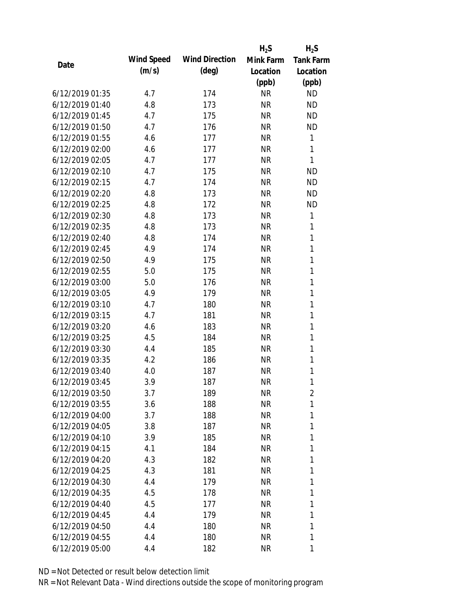|                 |            |                       | $H_2S$    | $H_2S$           |
|-----------------|------------|-----------------------|-----------|------------------|
|                 | Wind Speed | <b>Wind Direction</b> | Mink Farm | <b>Tank Farm</b> |
| Date            | (m/s)      | $(\text{deg})$        | Location  | Location         |
|                 |            |                       | (ppb)     | (ppb)            |
| 6/12/2019 01:35 | 4.7        | 174                   | <b>NR</b> | <b>ND</b>        |
| 6/12/2019 01:40 | 4.8        | 173                   | <b>NR</b> | <b>ND</b>        |
| 6/12/2019 01:45 | 4.7        | 175                   | <b>NR</b> | <b>ND</b>        |
| 6/12/2019 01:50 | 4.7        | 176                   | <b>NR</b> | <b>ND</b>        |
| 6/12/2019 01:55 | 4.6        | 177                   | <b>NR</b> | 1                |
| 6/12/2019 02:00 | 4.6        | 177                   | <b>NR</b> | 1                |
| 6/12/2019 02:05 | 4.7        | 177                   | <b>NR</b> | 1                |
| 6/12/2019 02:10 | 4.7        | 175                   | <b>NR</b> | <b>ND</b>        |
| 6/12/2019 02:15 | 4.7        | 174                   | <b>NR</b> | <b>ND</b>        |
| 6/12/2019 02:20 | 4.8        | 173                   | <b>NR</b> | <b>ND</b>        |
| 6/12/2019 02:25 | 4.8        | 172                   | <b>NR</b> | <b>ND</b>        |
| 6/12/2019 02:30 | 4.8        | 173                   | <b>NR</b> | 1                |
| 6/12/2019 02:35 | 4.8        | 173                   | <b>NR</b> | 1                |
| 6/12/2019 02:40 | 4.8        | 174                   | <b>NR</b> | 1                |
| 6/12/2019 02:45 | 4.9        | 174                   | <b>NR</b> | 1                |
| 6/12/2019 02:50 | 4.9        | 175                   | <b>NR</b> | 1                |
| 6/12/2019 02:55 | 5.0        | 175                   | <b>NR</b> | 1                |
| 6/12/2019 03:00 | 5.0        | 176                   | <b>NR</b> | 1                |
| 6/12/2019 03:05 | 4.9        | 179                   | <b>NR</b> | 1                |
| 6/12/2019 03:10 | 4.7        | 180                   | <b>NR</b> | 1                |
| 6/12/2019 03:15 | 4.7        | 181                   | <b>NR</b> | 1                |
| 6/12/2019 03:20 | 4.6        | 183                   | <b>NR</b> | 1                |
| 6/12/2019 03:25 | 4.5        | 184                   | <b>NR</b> | 1                |
| 6/12/2019 03:30 | 4.4        | 185                   | <b>NR</b> | 1                |
| 6/12/2019 03:35 | 4.2        | 186                   | <b>NR</b> | 1                |
| 6/12/2019 03:40 | 4.0        | 187                   | <b>NR</b> | 1                |
| 6/12/2019 03:45 | 3.9        | 187                   | <b>NR</b> | 1                |
| 6/12/2019 03:50 | 3.7        | 189                   | <b>NR</b> | $\overline{2}$   |
| 6/12/2019 03:55 | 3.6        | 188                   | NR        | 1                |
| 6/12/2019 04:00 | 3.7        | 188                   | NR        | 1                |
| 6/12/2019 04:05 | 3.8        | 187                   | NR        | 1                |
| 6/12/2019 04:10 | 3.9        | 185                   | NR        | 1                |
| 6/12/2019 04:15 | 4.1        | 184                   | NR        | 1                |
| 6/12/2019 04:20 | 4.3        | 182                   | NR        | 1                |
| 6/12/2019 04:25 | 4.3        | 181                   | NR        | 1                |
| 6/12/2019 04:30 | 4.4        | 179                   | NR        | 1                |
| 6/12/2019 04:35 | 4.5        | 178                   | NR        | 1                |
| 6/12/2019 04:40 | 4.5        | 177                   | NR        | 1                |
| 6/12/2019 04:45 | 4.4        | 179                   | NR        | 1                |
| 6/12/2019 04:50 | 4.4        | 180                   | NR        | 1                |
| 6/12/2019 04:55 | 4.4        | 180                   | <b>NR</b> | 1                |
|                 |            |                       |           |                  |
| 6/12/2019 05:00 | 4.4        | 182                   | <b>NR</b> | 1                |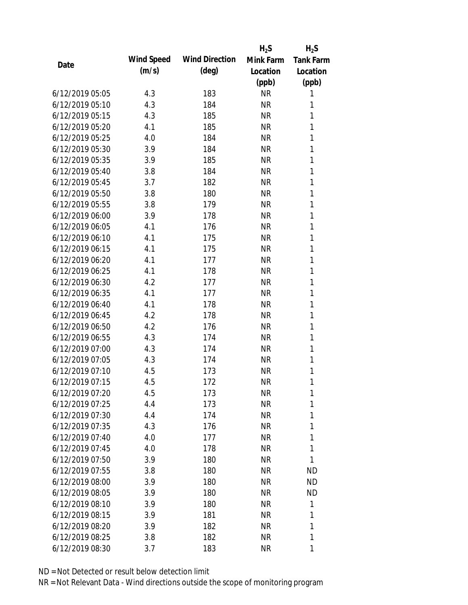|                 |            |                       | $H_2S$    | $H_2S$           |
|-----------------|------------|-----------------------|-----------|------------------|
| Date            | Wind Speed | <b>Wind Direction</b> | Mink Farm | <b>Tank Farm</b> |
|                 | (m/s)      | $(\text{deg})$        | Location  | Location         |
|                 |            |                       | (ppb)     | (ppb)            |
| 6/12/2019 05:05 | 4.3        | 183                   | <b>NR</b> | 1                |
| 6/12/2019 05:10 | 4.3        | 184                   | <b>NR</b> | 1                |
| 6/12/2019 05:15 | 4.3        | 185                   | <b>NR</b> | 1                |
| 6/12/2019 05:20 | 4.1        | 185                   | <b>NR</b> | 1                |
| 6/12/2019 05:25 | 4.0        | 184                   | <b>NR</b> | 1                |
| 6/12/2019 05:30 | 3.9        | 184                   | <b>NR</b> | 1                |
| 6/12/2019 05:35 | 3.9        | 185                   | <b>NR</b> | 1                |
| 6/12/2019 05:40 | 3.8        | 184                   | <b>NR</b> | 1                |
| 6/12/2019 05:45 | 3.7        | 182                   | <b>NR</b> | 1                |
| 6/12/2019 05:50 | 3.8        | 180                   | <b>NR</b> | 1                |
| 6/12/2019 05:55 | 3.8        | 179                   | <b>NR</b> | 1                |
| 6/12/2019 06:00 | 3.9        | 178                   | <b>NR</b> | 1                |
| 6/12/2019 06:05 | 4.1        | 176                   | <b>NR</b> | 1                |
| 6/12/2019 06:10 | 4.1        | 175                   | <b>NR</b> | 1                |
| 6/12/2019 06:15 | 4.1        | 175                   | <b>NR</b> | 1                |
| 6/12/2019 06:20 | 4.1        | 177                   | <b>NR</b> | 1                |
| 6/12/2019 06:25 | 4.1        | 178                   | <b>NR</b> | 1                |
| 6/12/2019 06:30 | 4.2        | 177                   | <b>NR</b> | 1                |
| 6/12/2019 06:35 | 4.1        | 177                   | <b>NR</b> | 1                |
| 6/12/2019 06:40 | 4.1        | 178                   | <b>NR</b> | 1                |
| 6/12/2019 06:45 | 4.2        | 178                   | <b>NR</b> | 1                |
| 6/12/2019 06:50 | 4.2        | 176                   | <b>NR</b> | 1                |
| 6/12/2019 06:55 | 4.3        | 174                   | <b>NR</b> | 1                |
| 6/12/2019 07:00 | 4.3        | 174                   | <b>NR</b> | 1                |
| 6/12/2019 07:05 | 4.3        | 174                   | <b>NR</b> | 1                |
| 6/12/2019 07:10 | 4.5        | 173                   | <b>NR</b> | 1                |
| 6/12/2019 07:15 | 4.5        | 172                   | <b>NR</b> | 1                |
| 6/12/2019 07:20 | 4.5        | 173                   | <b>NR</b> | 1                |
| 6/12/2019 07:25 | 4.4        | 173                   | <b>NR</b> | 1                |
| 6/12/2019 07:30 | 4.4        | 174                   | <b>NR</b> | 1                |
| 6/12/2019 07:35 | 4.3        | 176                   | <b>NR</b> | 1                |
| 6/12/2019 07:40 | 4.0        | 177                   | <b>NR</b> | 1                |
| 6/12/2019 07:45 | 4.0        | 178                   | <b>NR</b> | 1                |
| 6/12/2019 07:50 | 3.9        | 180                   | <b>NR</b> | 1                |
| 6/12/2019 07:55 | 3.8        | 180                   | <b>NR</b> | <b>ND</b>        |
| 6/12/2019 08:00 | 3.9        | 180                   | <b>NR</b> | <b>ND</b>        |
| 6/12/2019 08:05 | 3.9        | 180                   | <b>NR</b> | <b>ND</b>        |
| 6/12/2019 08:10 | 3.9        | 180                   | <b>NR</b> | 1                |
| 6/12/2019 08:15 | 3.9        | 181                   | <b>NR</b> | 1                |
| 6/12/2019 08:20 | 3.9        | 182                   | <b>NR</b> | 1                |
| 6/12/2019 08:25 | 3.8        | 182                   | <b>NR</b> | 1                |
| 6/12/2019 08:30 | 3.7        | 183                   | <b>NR</b> | 1                |
|                 |            |                       |           |                  |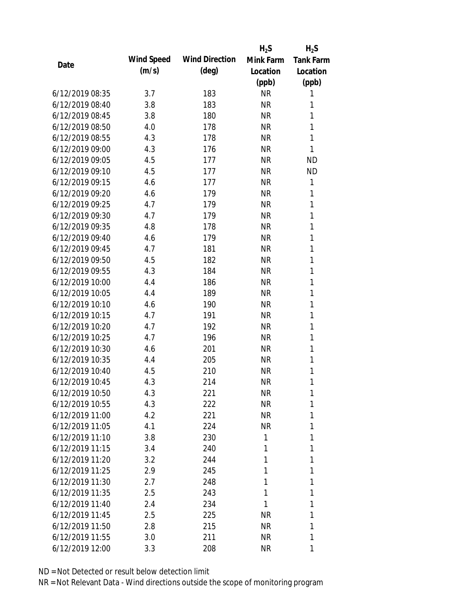|                 |            |                       | $H_2S$    | $H_2S$           |
|-----------------|------------|-----------------------|-----------|------------------|
| Date            | Wind Speed | <b>Wind Direction</b> | Mink Farm | <b>Tank Farm</b> |
|                 | (m/s)      | $(\text{deg})$        | Location  | Location         |
|                 |            |                       | (ppb)     | (ppb)            |
| 6/12/2019 08:35 | 3.7        | 183                   | <b>NR</b> | 1                |
| 6/12/2019 08:40 | 3.8        | 183                   | <b>NR</b> | 1                |
| 6/12/2019 08:45 | 3.8        | 180                   | <b>NR</b> | 1                |
| 6/12/2019 08:50 | 4.0        | 178                   | <b>NR</b> | 1                |
| 6/12/2019 08:55 | 4.3        | 178                   | <b>NR</b> | 1                |
| 6/12/2019 09:00 | 4.3        | 176                   | <b>NR</b> | 1                |
| 6/12/2019 09:05 | 4.5        | 177                   | <b>NR</b> | <b>ND</b>        |
| 6/12/2019 09:10 | 4.5        | 177                   | <b>NR</b> | <b>ND</b>        |
| 6/12/2019 09:15 | 4.6        | 177                   | <b>NR</b> | 1                |
| 6/12/2019 09:20 | 4.6        | 179                   | <b>NR</b> | 1                |
| 6/12/2019 09:25 | 4.7        | 179                   | <b>NR</b> | 1                |
| 6/12/2019 09:30 | 4.7        | 179                   | <b>NR</b> | 1                |
| 6/12/2019 09:35 | 4.8        | 178                   | <b>NR</b> | 1                |
| 6/12/2019 09:40 | 4.6        | 179                   | <b>NR</b> | 1                |
| 6/12/2019 09:45 | 4.7        | 181                   | <b>NR</b> | 1                |
| 6/12/2019 09:50 | 4.5        | 182                   | <b>NR</b> | 1                |
| 6/12/2019 09:55 | 4.3        | 184                   | <b>NR</b> | 1                |
| 6/12/2019 10:00 | 4.4        | 186                   | <b>NR</b> | 1                |
| 6/12/2019 10:05 | 4.4        | 189                   | <b>NR</b> | 1                |
| 6/12/2019 10:10 | 4.6        | 190                   | <b>NR</b> | 1                |
| 6/12/2019 10:15 | 4.7        | 191                   | <b>NR</b> | 1                |
| 6/12/2019 10:20 | 4.7        | 192                   | <b>NR</b> | 1                |
| 6/12/2019 10:25 | 4.7        | 196                   | <b>NR</b> | 1                |
| 6/12/2019 10:30 | 4.6        | 201                   | <b>NR</b> | 1                |
| 6/12/2019 10:35 | 4.4        | 205                   | <b>NR</b> | 1                |
| 6/12/2019 10:40 | 4.5        | 210                   | <b>NR</b> | 1                |
| 6/12/2019 10:45 | 4.3        | 214                   | <b>NR</b> | 1                |
| 6/12/2019 10:50 | 4.3        | 221                   | <b>NR</b> | 1                |
| 6/12/2019 10:55 | 4.3        | 222                   | <b>NR</b> | 1                |
| 6/12/2019 11:00 | 4.2        | 221                   | <b>NR</b> | 1                |
| 6/12/2019 11:05 | 4.1        | 224                   | <b>NR</b> | 1                |
| 6/12/2019 11:10 | 3.8        | 230                   | 1         | 1                |
| 6/12/2019 11:15 | 3.4        | 240                   | 1         | 1                |
| 6/12/2019 11:20 | 3.2        | 244                   | 1         | 1                |
| 6/12/2019 11:25 | 2.9        | 245                   | 1         | 1                |
| 6/12/2019 11:30 | 2.7        | 248                   | 1         | 1                |
| 6/12/2019 11:35 | 2.5        | 243                   | 1         | 1                |
| 6/12/2019 11:40 | 2.4        | 234                   | 1         | 1                |
| 6/12/2019 11:45 | 2.5        | 225                   | <b>NR</b> | 1                |
| 6/12/2019 11:50 | 2.8        | 215                   | <b>NR</b> | 1                |
| 6/12/2019 11:55 | 3.0        | 211                   | <b>NR</b> | 1                |
| 6/12/2019 12:00 | 3.3        | 208                   | <b>NR</b> | 1                |
|                 |            |                       |           |                  |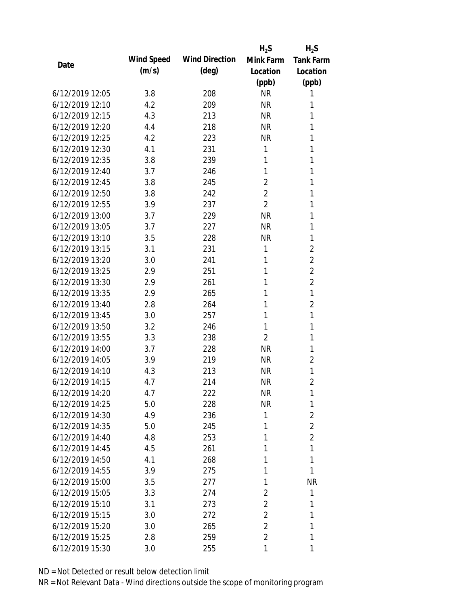|                 |            |                       | $H_2S$         | $H_2S$           |
|-----------------|------------|-----------------------|----------------|------------------|
| Date            | Wind Speed | <b>Wind Direction</b> | Mink Farm      | <b>Tank Farm</b> |
|                 | (m/s)      | $(\text{deg})$        | Location       | Location         |
|                 |            |                       | (ppb)          | (ppb)            |
| 6/12/2019 12:05 | 3.8        | 208                   | <b>NR</b>      | 1                |
| 6/12/2019 12:10 | 4.2        | 209                   | <b>NR</b>      | 1                |
| 6/12/2019 12:15 | 4.3        | 213                   | <b>NR</b>      | 1                |
| 6/12/2019 12:20 | 4.4        | 218                   | <b>NR</b>      | 1                |
| 6/12/2019 12:25 | 4.2        | 223                   | <b>NR</b>      | 1                |
| 6/12/2019 12:30 | 4.1        | 231                   | 1              | 1                |
| 6/12/2019 12:35 | 3.8        | 239                   | 1              | 1                |
| 6/12/2019 12:40 | 3.7        | 246                   | 1              | 1                |
| 6/12/2019 12:45 | 3.8        | 245                   | $\overline{2}$ | 1                |
| 6/12/2019 12:50 | 3.8        | 242                   | $\overline{2}$ | 1                |
| 6/12/2019 12:55 | 3.9        | 237                   | $\overline{2}$ | 1                |
| 6/12/2019 13:00 | 3.7        | 229                   | <b>NR</b>      | 1                |
| 6/12/2019 13:05 | 3.7        | 227                   | <b>NR</b>      | 1                |
| 6/12/2019 13:10 | 3.5        | 228                   | <b>NR</b>      | 1                |
| 6/12/2019 13:15 | 3.1        | 231                   | 1              | $\overline{2}$   |
| 6/12/2019 13:20 | 3.0        | 241                   | 1              | $\overline{2}$   |
| 6/12/2019 13:25 | 2.9        | 251                   | 1              | 2                |
| 6/12/2019 13:30 | 2.9        | 261                   | 1              | $\overline{2}$   |
| 6/12/2019 13:35 | 2.9        | 265                   | 1              | 1                |
| 6/12/2019 13:40 | 2.8        | 264                   | 1              | $\overline{2}$   |
| 6/12/2019 13:45 | 3.0        | 257                   | 1              | 1                |
| 6/12/2019 13:50 | 3.2        | 246                   | 1              | 1                |
| 6/12/2019 13:55 | 3.3        | 238                   | 2              | 1                |
| 6/12/2019 14:00 | 3.7        | 228                   | <b>NR</b>      | 1                |
| 6/12/2019 14:05 | 3.9        | 219                   | <b>NR</b>      | 2                |
| 6/12/2019 14:10 | 4.3        | 213                   | <b>NR</b>      | 1                |
| 6/12/2019 14:15 | 4.7        | 214                   | <b>NR</b>      | $\overline{2}$   |
| 6/12/2019 14:20 | 4.7        | 222                   | <b>NR</b>      | 1                |
| 6/12/2019 14:25 | 5.0        | 228                   | <b>NR</b>      | 1                |
| 6/12/2019 14:30 | 4.9        | 236                   | 1              | $\overline{2}$   |
| 6/12/2019 14:35 | 5.0        | 245                   | 1              | $\overline{2}$   |
| 6/12/2019 14:40 | 4.8        | 253                   | 1              | $\overline{2}$   |
| 6/12/2019 14:45 | 4.5        | 261                   | 1              | 1                |
| 6/12/2019 14:50 | 4.1        | 268                   | 1              | 1                |
| 6/12/2019 14:55 | 3.9        | 275                   | 1              | 1                |
| 6/12/2019 15:00 | 3.5        | 277                   | 1              | <b>NR</b>        |
| 6/12/2019 15:05 | 3.3        | 274                   | 2              | 1                |
| 6/12/2019 15:10 | 3.1        | 273                   | 2              | 1                |
| 6/12/2019 15:15 | 3.0        | 272                   | $\overline{2}$ | 1                |
| 6/12/2019 15:20 | 3.0        | 265                   | 2              | 1                |
| 6/12/2019 15:25 | 2.8        | 259                   | 2              | 1                |
| 6/12/2019 15:30 | 3.0        | 255                   | 1              | 1                |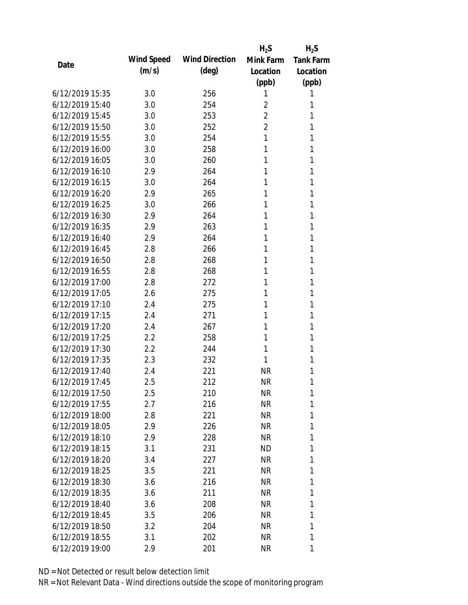|                 |            |                       | $H_2S$         | $H_2S$           |
|-----------------|------------|-----------------------|----------------|------------------|
| Date            | Wind Speed | <b>Wind Direction</b> | Mink Farm      | <b>Tank Farm</b> |
|                 | (m/s)      | $(\text{deg})$        | Location       | Location         |
|                 |            |                       | (ppb)          | (ppb)            |
| 6/12/2019 15:35 | 3.0        | 256                   | 1              | 1                |
| 6/12/2019 15:40 | 3.0        | 254                   | 2              | 1                |
| 6/12/2019 15:45 | 3.0        | 253                   | 2              | 1                |
| 6/12/2019 15:50 | 3.0        | 252                   | $\overline{2}$ | 1                |
| 6/12/2019 15:55 | 3.0        | 254                   | 1              | 1                |
| 6/12/2019 16:00 | 3.0        | 258                   | 1              | 1                |
| 6/12/2019 16:05 | 3.0        | 260                   | 1              | 1                |
| 6/12/2019 16:10 | 2.9        | 264                   | 1              | 1                |
| 6/12/2019 16:15 | 3.0        | 264                   | 1              | 1                |
| 6/12/2019 16:20 | 2.9        | 265                   | 1              | 1                |
| 6/12/2019 16:25 | 3.0        | 266                   | 1              | 1                |
| 6/12/2019 16:30 | 2.9        | 264                   | 1              | 1                |
| 6/12/2019 16:35 | 2.9        | 263                   | 1              | 1                |
| 6/12/2019 16:40 | 2.9        | 264                   | 1              | 1                |
| 6/12/2019 16:45 | 2.8        | 266                   | 1              | 1                |
| 6/12/2019 16:50 | 2.8        | 268                   | 1              | 1                |
| 6/12/2019 16:55 | 2.8        | 268                   | 1              | 1                |
| 6/12/2019 17:00 | 2.8        | 272                   | 1              | 1                |
| 6/12/2019 17:05 | 2.6        | 275                   | 1              | 1                |
| 6/12/2019 17:10 | 2.4        | 275                   | 1              | 1                |
| 6/12/2019 17:15 | 2.4        | 271                   | 1              | 1                |
| 6/12/2019 17:20 | 2.4        | 267                   | 1              | 1                |
| 6/12/2019 17:25 | 2.2        | 258                   | 1              | 1                |
| 6/12/2019 17:30 | 2.2        | 244                   | 1              | 1                |
| 6/12/2019 17:35 | 2.3        | 232                   | 1              | 1                |
| 6/12/2019 17:40 | 2.4        | 221                   | <b>NR</b>      | 1                |
| 6/12/2019 17:45 | 2.5        | 212                   | <b>NR</b>      | 1                |
| 6/12/2019 17:50 | 2.5        | 210                   | <b>NR</b>      | 1                |
| 6/12/2019 17:55 | 2.7        | 216                   | NR             | 1                |
| 6/12/2019 18:00 | 2.8        | 221                   | NR             | 1                |
| 6/12/2019 18:05 | 2.9        | 226                   | NR             | 1                |
| 6/12/2019 18:10 | 2.9        | 228                   | NR             | 1                |
| 6/12/2019 18:15 | 3.1        | 231                   | ND             | 1                |
| 6/12/2019 18:20 | 3.4        | 227                   | <b>NR</b>      | 1                |
| 6/12/2019 18:25 | 3.5        | 221                   | NR             | 1                |
| 6/12/2019 18:30 | 3.6        | 216                   | NR             | 1                |
| 6/12/2019 18:35 | 3.6        | 211                   | NR             | 1                |
| 6/12/2019 18:40 | 3.6        | 208                   | NR             | 1                |
| 6/12/2019 18:45 | 3.5        | 206                   | NR.            | 1                |
| 6/12/2019 18:50 | 3.2        | 204                   | NR             | 1                |
| 6/12/2019 18:55 | 3.1        | 202                   | <b>NR</b>      | 1                |
| 6/12/2019 19:00 | 2.9        | 201                   | <b>NR</b>      | 1                |
|                 |            |                       |                |                  |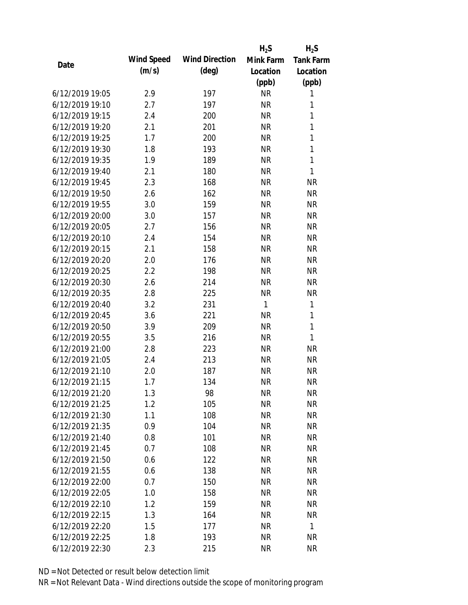|                 |            |                       | $H_2S$    | $H_2S$           |
|-----------------|------------|-----------------------|-----------|------------------|
| Date            | Wind Speed | <b>Wind Direction</b> | Mink Farm | <b>Tank Farm</b> |
|                 | (m/s)      | $(\text{deg})$        | Location  | Location         |
|                 |            |                       | (ppb)     | (ppb)            |
| 6/12/2019 19:05 | 2.9        | 197                   | <b>NR</b> | 1                |
| 6/12/2019 19:10 | 2.7        | 197                   | <b>NR</b> | 1                |
| 6/12/2019 19:15 | 2.4        | 200                   | <b>NR</b> | 1                |
| 6/12/2019 19:20 | 2.1        | 201                   | <b>NR</b> | 1                |
| 6/12/2019 19:25 | 1.7        | 200                   | <b>NR</b> | 1                |
| 6/12/2019 19:30 | 1.8        | 193                   | <b>NR</b> | 1                |
| 6/12/2019 19:35 | 1.9        | 189                   | <b>NR</b> | 1                |
| 6/12/2019 19:40 | 2.1        | 180                   | <b>NR</b> | 1                |
| 6/12/2019 19:45 | 2.3        | 168                   | <b>NR</b> | <b>NR</b>        |
| 6/12/2019 19:50 | 2.6        | 162                   | <b>NR</b> | <b>NR</b>        |
| 6/12/2019 19:55 | 3.0        | 159                   | <b>NR</b> | <b>NR</b>        |
| 6/12/2019 20:00 | 3.0        | 157                   | <b>NR</b> | <b>NR</b>        |
| 6/12/2019 20:05 | 2.7        | 156                   | <b>NR</b> | <b>NR</b>        |
| 6/12/2019 20:10 | 2.4        | 154                   | <b>NR</b> | <b>NR</b>        |
| 6/12/2019 20:15 | 2.1        | 158                   | <b>NR</b> | <b>NR</b>        |
| 6/12/2019 20:20 | 2.0        | 176                   | <b>NR</b> | <b>NR</b>        |
| 6/12/2019 20:25 | 2.2        | 198                   | <b>NR</b> | <b>NR</b>        |
| 6/12/2019 20:30 | 2.6        | 214                   | <b>NR</b> | <b>NR</b>        |
| 6/12/2019 20:35 | 2.8        | 225                   | <b>NR</b> | <b>NR</b>        |
| 6/12/2019 20:40 | 3.2        | 231                   | 1         | 1                |
| 6/12/2019 20:45 | 3.6        | 221                   | <b>NR</b> | 1                |
| 6/12/2019 20:50 | 3.9        | 209                   | <b>NR</b> | 1                |
| 6/12/2019 20:55 | 3.5        | 216                   | <b>NR</b> | 1                |
| 6/12/2019 21:00 | 2.8        | 223                   | <b>NR</b> | <b>NR</b>        |
| 6/12/2019 21:05 | 2.4        | 213                   | <b>NR</b> | <b>NR</b>        |
| 6/12/2019 21:10 | 2.0        | 187                   | <b>NR</b> | <b>NR</b>        |
| 6/12/2019 21:15 | 1.7        | 134                   | <b>NR</b> | <b>NR</b>        |
| 6/12/2019 21:20 | 1.3        | 98                    | <b>NR</b> | <b>NR</b>        |
| 6/12/2019 21:25 | 1.2        | 105                   | <b>NR</b> | <b>NR</b>        |
| 6/12/2019 21:30 | 1.1        | 108                   | <b>NR</b> | <b>NR</b>        |
| 6/12/2019 21:35 | 0.9        | 104                   | <b>NR</b> | <b>NR</b>        |
| 6/12/2019 21:40 | 0.8        | 101                   | <b>NR</b> | <b>NR</b>        |
| 6/12/2019 21:45 | 0.7        | 108                   | <b>NR</b> | <b>NR</b>        |
| 6/12/2019 21:50 | 0.6        | 122                   | <b>NR</b> | <b>NR</b>        |
| 6/12/2019 21:55 | 0.6        | 138                   | <b>NR</b> | <b>NR</b>        |
| 6/12/2019 22:00 | 0.7        | 150                   | <b>NR</b> | <b>NR</b>        |
| 6/12/2019 22:05 | 1.0        | 158                   | <b>NR</b> | <b>NR</b>        |
| 6/12/2019 22:10 | 1.2        | 159                   | <b>NR</b> | <b>NR</b>        |
| 6/12/2019 22:15 | 1.3        | 164                   | <b>NR</b> | <b>NR</b>        |
| 6/12/2019 22:20 | 1.5        | 177                   | <b>NR</b> | 1                |
| 6/12/2019 22:25 | 1.8        | 193                   | <b>NR</b> | <b>NR</b>        |
| 6/12/2019 22:30 | 2.3        | 215                   | <b>NR</b> | <b>NR</b>        |
|                 |            |                       |           |                  |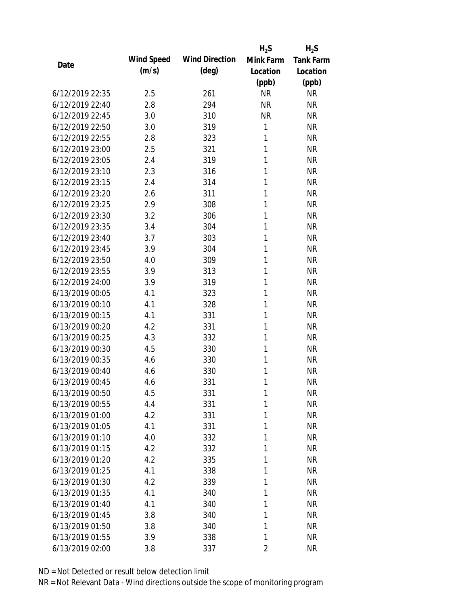|                 |            |                       | $H_2S$         | $H_2S$           |
|-----------------|------------|-----------------------|----------------|------------------|
| Date            | Wind Speed | <b>Wind Direction</b> | Mink Farm      | <b>Tank Farm</b> |
|                 | (m/s)      | $(\text{deg})$        | Location       | Location         |
|                 |            |                       | (ppb)          | (ppb)            |
| 6/12/2019 22:35 | 2.5        | 261                   | <b>NR</b>      | <b>NR</b>        |
| 6/12/2019 22:40 | 2.8        | 294                   | <b>NR</b>      | <b>NR</b>        |
| 6/12/2019 22:45 | 3.0        | 310                   | <b>NR</b>      | <b>NR</b>        |
| 6/12/2019 22:50 | 3.0        | 319                   | $\mathbf{1}$   | <b>NR</b>        |
| 6/12/2019 22:55 | 2.8        | 323                   | 1              | <b>NR</b>        |
| 6/12/2019 23:00 | 2.5        | 321                   | 1              | <b>NR</b>        |
| 6/12/2019 23:05 | 2.4        | 319                   | 1              | <b>NR</b>        |
| 6/12/2019 23:10 | 2.3        | 316                   | 1              | <b>NR</b>        |
| 6/12/2019 23:15 | 2.4        | 314                   | 1              | <b>NR</b>        |
| 6/12/2019 23:20 | 2.6        | 311                   | 1              | <b>NR</b>        |
| 6/12/2019 23:25 | 2.9        | 308                   | 1              | <b>NR</b>        |
| 6/12/2019 23:30 | 3.2        | 306                   | 1              | <b>NR</b>        |
| 6/12/2019 23:35 | 3.4        | 304                   | 1              | <b>NR</b>        |
| 6/12/2019 23:40 | 3.7        | 303                   | 1              | <b>NR</b>        |
| 6/12/2019 23:45 | 3.9        | 304                   | 1              | <b>NR</b>        |
| 6/12/2019 23:50 | 4.0        | 309                   | 1              | <b>NR</b>        |
| 6/12/2019 23:55 | 3.9        | 313                   | 1              | <b>NR</b>        |
| 6/12/2019 24:00 | 3.9        | 319                   | 1              | <b>NR</b>        |
| 6/13/2019 00:05 | 4.1        | 323                   | $\mathbf{1}$   | <b>NR</b>        |
| 6/13/2019 00:10 | 4.1        | 328                   | 1              | <b>NR</b>        |
| 6/13/2019 00:15 | 4.1        | 331                   | 1              | <b>NR</b>        |
| 6/13/2019 00:20 | 4.2        | 331                   | 1              | <b>NR</b>        |
| 6/13/2019 00:25 | 4.3        | 332                   | 1              | <b>NR</b>        |
| 6/13/2019 00:30 | 4.5        | 330                   | 1              | <b>NR</b>        |
| 6/13/2019 00:35 | 4.6        | 330                   | 1              | <b>NR</b>        |
| 6/13/2019 00:40 | 4.6        | 330                   | 1              | <b>NR</b>        |
| 6/13/2019 00:45 | 4.6        | 331                   | 1              | <b>NR</b>        |
| 6/13/2019 00:50 | 4.5        | 331                   | 1              | <b>NR</b>        |
| 6/13/2019 00:55 | 4.4        | 331                   | 1              | <b>NR</b>        |
| 6/13/2019 01:00 | 4.2        | 331                   | 1              | <b>NR</b>        |
| 6/13/2019 01:05 | 4.1        | 331                   | 1              | <b>NR</b>        |
| 6/13/2019 01:10 | 4.0        | 332                   | 1              | <b>NR</b>        |
| 6/13/2019 01:15 | 4.2        | 332                   | 1              | <b>NR</b>        |
| 6/13/2019 01:20 | 4.2        | 335                   | 1              | <b>NR</b>        |
| 6/13/2019 01:25 | 4.1        | 338                   | 1              | <b>NR</b>        |
| 6/13/2019 01:30 | 4.2        | 339                   | 1              | <b>NR</b>        |
| 6/13/2019 01:35 | 4.1        | 340                   | 1              | <b>NR</b>        |
| 6/13/2019 01:40 | 4.1        | 340                   | 1              | <b>NR</b>        |
| 6/13/2019 01:45 | 3.8        | 340                   | 1              | <b>NR</b>        |
| 6/13/2019 01:50 | 3.8        | 340                   | 1              | <b>NR</b>        |
| 6/13/2019 01:55 | 3.9        | 338                   | 1              | <b>NR</b>        |
| 6/13/2019 02:00 | 3.8        | 337                   | $\overline{2}$ | <b>NR</b>        |
|                 |            |                       |                |                  |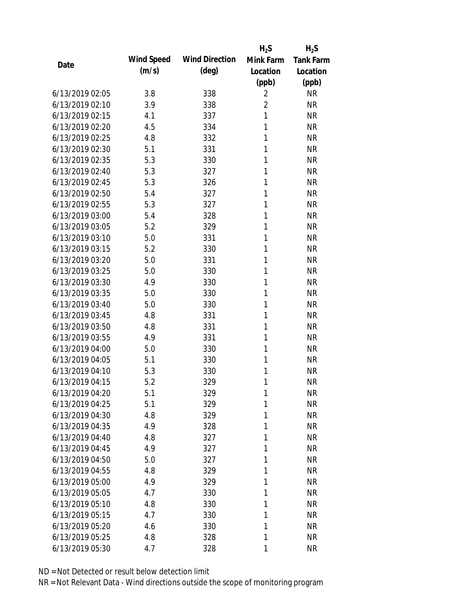|                 |            |                       | $H_2S$         | $H_2S$           |
|-----------------|------------|-----------------------|----------------|------------------|
| Date            | Wind Speed | <b>Wind Direction</b> | Mink Farm      | <b>Tank Farm</b> |
|                 | (m/s)      | $(\text{deg})$        | Location       | Location         |
|                 |            |                       | (ppb)          | (ppb)            |
| 6/13/2019 02:05 | 3.8        | 338                   | $\overline{2}$ | <b>NR</b>        |
| 6/13/2019 02:10 | 3.9        | 338                   | $\overline{2}$ | <b>NR</b>        |
| 6/13/2019 02:15 | 4.1        | 337                   | $\mathbf{1}$   | <b>NR</b>        |
| 6/13/2019 02:20 | 4.5        | 334                   | 1              | <b>NR</b>        |
| 6/13/2019 02:25 | 4.8        | 332                   | 1              | <b>NR</b>        |
| 6/13/2019 02:30 | 5.1        | 331                   | 1              | <b>NR</b>        |
| 6/13/2019 02:35 | 5.3        | 330                   | 1              | <b>NR</b>        |
| 6/13/2019 02:40 | 5.3        | 327                   | 1              | <b>NR</b>        |
| 6/13/2019 02:45 | 5.3        | 326                   | 1              | <b>NR</b>        |
| 6/13/2019 02:50 | 5.4        | 327                   | 1              | <b>NR</b>        |
| 6/13/2019 02:55 | 5.3        | 327                   | 1              | <b>NR</b>        |
| 6/13/2019 03:00 | 5.4        | 328                   | 1              | <b>NR</b>        |
| 6/13/2019 03:05 | 5.2        | 329                   | 1              | <b>NR</b>        |
| 6/13/2019 03:10 | 5.0        | 331                   | 1              | <b>NR</b>        |
| 6/13/2019 03:15 | 5.2        | 330                   | 1              | <b>NR</b>        |
| 6/13/2019 03:20 | 5.0        | 331                   | 1              | <b>NR</b>        |
| 6/13/2019 03:25 | 5.0        | 330                   | 1              | <b>NR</b>        |
| 6/13/2019 03:30 | 4.9        | 330                   | 1              | <b>NR</b>        |
| 6/13/2019 03:35 | 5.0        | 330                   | 1              | <b>NR</b>        |
| 6/13/2019 03:40 | 5.0        | 330                   | 1              | <b>NR</b>        |
| 6/13/2019 03:45 | 4.8        | 331                   | 1              | <b>NR</b>        |
| 6/13/2019 03:50 | 4.8        | 331                   | 1              | <b>NR</b>        |
| 6/13/2019 03:55 | 4.9        | 331                   | 1              | <b>NR</b>        |
| 6/13/2019 04:00 | 5.0        | 330                   | 1              | <b>NR</b>        |
| 6/13/2019 04:05 | 5.1        | 330                   | 1              | <b>NR</b>        |
| 6/13/2019 04:10 | 5.3        | 330                   | 1              | <b>NR</b>        |
| 6/13/2019 04:15 | 5.2        | 329                   | 1              | <b>NR</b>        |
| 6/13/2019 04:20 | 5.1        | 329                   | 1              | <b>NR</b>        |
| 6/13/2019 04:25 | 5.1        | 329                   | 1              | <b>NR</b>        |
| 6/13/2019 04:30 | 4.8        | 329                   | 1              | <b>NR</b>        |
| 6/13/2019 04:35 | 4.9        | 328                   | 1              | <b>NR</b>        |
| 6/13/2019 04:40 | 4.8        | 327                   | 1              | <b>NR</b>        |
| 6/13/2019 04:45 | 4.9        | 327                   | 1              | <b>NR</b>        |
| 6/13/2019 04:50 | 5.0        | 327                   | 1              | <b>NR</b>        |
| 6/13/2019 04:55 | 4.8        | 329                   | 1              | <b>NR</b>        |
| 6/13/2019 05:00 | 4.9        | 329                   | 1              | <b>NR</b>        |
| 6/13/2019 05:05 | 4.7        | 330                   | 1              | <b>NR</b>        |
| 6/13/2019 05:10 | 4.8        | 330                   | 1              | <b>NR</b>        |
| 6/13/2019 05:15 | 4.7        | 330                   | 1              | <b>NR</b>        |
| 6/13/2019 05:20 | 4.6        | 330                   | 1              | <b>NR</b>        |
| 6/13/2019 05:25 | 4.8        | 328                   | 1              | <b>NR</b>        |
| 6/13/2019 05:30 | 4.7        | 328                   | 1              | <b>NR</b>        |
|                 |            |                       |                |                  |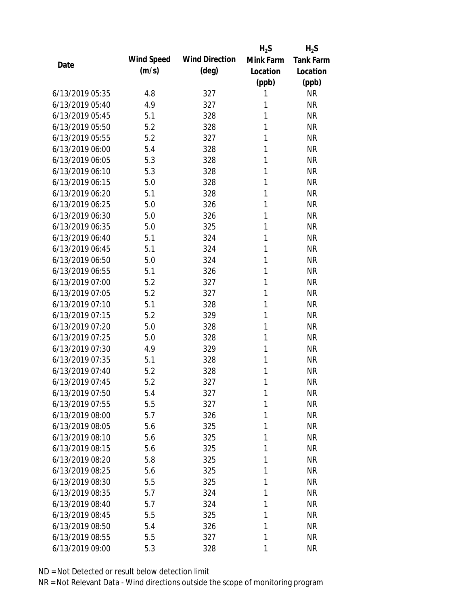|                 |            |                       | $H_2S$    | $H_2S$           |
|-----------------|------------|-----------------------|-----------|------------------|
| Date            | Wind Speed | <b>Wind Direction</b> | Mink Farm | <b>Tank Farm</b> |
|                 | (m/s)      | $(\text{deg})$        | Location  | Location         |
|                 |            |                       | (ppb)     | (ppb)            |
| 6/13/2019 05:35 | 4.8        | 327                   | 1         | <b>NR</b>        |
| 6/13/2019 05:40 | 4.9        | 327                   | 1         | <b>NR</b>        |
| 6/13/2019 05:45 | 5.1        | 328                   | 1         | <b>NR</b>        |
| 6/13/2019 05:50 | 5.2        | 328                   | 1         | <b>NR</b>        |
| 6/13/2019 05:55 | 5.2        | 327                   | 1         | <b>NR</b>        |
| 6/13/2019 06:00 | 5.4        | 328                   | 1         | <b>NR</b>        |
| 6/13/2019 06:05 | 5.3        | 328                   | 1         | <b>NR</b>        |
| 6/13/2019 06:10 | 5.3        | 328                   | 1         | <b>NR</b>        |
| 6/13/2019 06:15 | 5.0        | 328                   | 1         | <b>NR</b>        |
| 6/13/2019 06:20 | 5.1        | 328                   | 1         | <b>NR</b>        |
| 6/13/2019 06:25 | 5.0        | 326                   | 1         | <b>NR</b>        |
| 6/13/2019 06:30 | 5.0        | 326                   | 1         | <b>NR</b>        |
| 6/13/2019 06:35 | 5.0        | 325                   | 1         | <b>NR</b>        |
| 6/13/2019 06:40 | 5.1        | 324                   | 1         | <b>NR</b>        |
| 6/13/2019 06:45 | 5.1        | 324                   | 1         | <b>NR</b>        |
| 6/13/2019 06:50 | 5.0        | 324                   | 1         | <b>NR</b>        |
| 6/13/2019 06:55 | 5.1        | 326                   | 1         | <b>NR</b>        |
| 6/13/2019 07:00 | 5.2        | 327                   | 1         | <b>NR</b>        |
| 6/13/2019 07:05 | 5.2        | 327                   | 1         | <b>NR</b>        |
| 6/13/2019 07:10 | 5.1        | 328                   | 1         | <b>NR</b>        |
| 6/13/2019 07:15 | 5.2        | 329                   | 1         | <b>NR</b>        |
| 6/13/2019 07:20 | 5.0        | 328                   | 1         | <b>NR</b>        |
| 6/13/2019 07:25 | 5.0        | 328                   | 1         | <b>NR</b>        |
| 6/13/2019 07:30 | 4.9        | 329                   | 1         | <b>NR</b>        |
| 6/13/2019 07:35 | 5.1        | 328                   | 1         | <b>NR</b>        |
| 6/13/2019 07:40 | 5.2        | 328                   | 1         | <b>NR</b>        |
| 6/13/2019 07:45 | 5.2        | 327                   | 1         | <b>NR</b>        |
| 6/13/2019 07:50 | 5.4        | 327                   | 1         | <b>NR</b>        |
| 6/13/2019 07:55 | 5.5        | 327                   | 1         | <b>NR</b>        |
| 6/13/2019 08:00 | 5.7        | 326                   | 1         | <b>NR</b>        |
| 6/13/2019 08:05 | 5.6        | 325                   | 1         | <b>NR</b>        |
| 6/13/2019 08:10 | 5.6        | 325                   | 1         | <b>NR</b>        |
| 6/13/2019 08:15 | 5.6        | 325                   | 1         | <b>NR</b>        |
| 6/13/2019 08:20 | 5.8        | 325                   | 1         | <b>NR</b>        |
| 6/13/2019 08:25 | 5.6        | 325                   | 1         | <b>NR</b>        |
| 6/13/2019 08:30 | 5.5        | 325                   | 1         | <b>NR</b>        |
| 6/13/2019 08:35 | 5.7        | 324                   | 1         | <b>NR</b>        |
| 6/13/2019 08:40 | 5.7        | 324                   | 1         | <b>NR</b>        |
| 6/13/2019 08:45 | 5.5        | 325                   | 1         | <b>NR</b>        |
| 6/13/2019 08:50 | 5.4        | 326                   | 1         | <b>NR</b>        |
| 6/13/2019 08:55 | 5.5        | 327                   | 1         | <b>NR</b>        |
| 6/13/2019 09:00 | 5.3        | 328                   | 1         | <b>NR</b>        |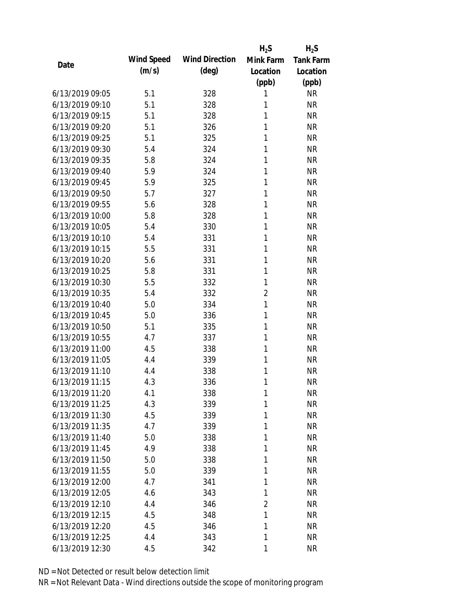|                 |            |                       | $H_2S$         | $H_2S$           |
|-----------------|------------|-----------------------|----------------|------------------|
| Date            | Wind Speed | <b>Wind Direction</b> | Mink Farm      | <b>Tank Farm</b> |
|                 | (m/s)      | $(\text{deg})$        | Location       | Location         |
|                 |            |                       | (ppb)          | (ppb)            |
| 6/13/2019 09:05 | 5.1        | 328                   | 1              | <b>NR</b>        |
| 6/13/2019 09:10 | 5.1        | 328                   | 1              | <b>NR</b>        |
| 6/13/2019 09:15 | 5.1        | 328                   | 1              | <b>NR</b>        |
| 6/13/2019 09:20 | 5.1        | 326                   | 1              | <b>NR</b>        |
| 6/13/2019 09:25 | 5.1        | 325                   | 1              | <b>NR</b>        |
| 6/13/2019 09:30 | 5.4        | 324                   | 1              | <b>NR</b>        |
| 6/13/2019 09:35 | 5.8        | 324                   | 1              | <b>NR</b>        |
| 6/13/2019 09:40 | 5.9        | 324                   | 1              | <b>NR</b>        |
| 6/13/2019 09:45 | 5.9        | 325                   | 1              | <b>NR</b>        |
| 6/13/2019 09:50 | 5.7        | 327                   | 1              | <b>NR</b>        |
| 6/13/2019 09:55 | 5.6        | 328                   | 1              | <b>NR</b>        |
| 6/13/2019 10:00 | 5.8        | 328                   | 1              | <b>NR</b>        |
| 6/13/2019 10:05 | 5.4        | 330                   | 1              | <b>NR</b>        |
| 6/13/2019 10:10 | 5.4        | 331                   | 1              | <b>NR</b>        |
| 6/13/2019 10:15 | 5.5        | 331                   | 1              | <b>NR</b>        |
| 6/13/2019 10:20 | 5.6        | 331                   | 1              | <b>NR</b>        |
| 6/13/2019 10:25 | 5.8        | 331                   | 1              | <b>NR</b>        |
| 6/13/2019 10:30 | 5.5        | 332                   | 1              | <b>NR</b>        |
| 6/13/2019 10:35 | 5.4        | 332                   | $\overline{2}$ | <b>NR</b>        |
| 6/13/2019 10:40 | 5.0        | 334                   | 1              | <b>NR</b>        |
| 6/13/2019 10:45 | 5.0        | 336                   | 1              | <b>NR</b>        |
| 6/13/2019 10:50 | 5.1        | 335                   | 1              | <b>NR</b>        |
| 6/13/2019 10:55 | 4.7        | 337                   | 1              | <b>NR</b>        |
| 6/13/2019 11:00 | 4.5        | 338                   | 1              | <b>NR</b>        |
| 6/13/2019 11:05 | 4.4        | 339                   | 1              | <b>NR</b>        |
| 6/13/2019 11:10 | 4.4        | 338                   | 1              | <b>NR</b>        |
| 6/13/2019 11:15 | 4.3        | 336                   | 1              | <b>NR</b>        |
| 6/13/2019 11:20 | 4.1        | 338                   | 1              | <b>NR</b>        |
| 6/13/2019 11:25 | 4.3        | 339                   | 1              | <b>NR</b>        |
| 6/13/2019 11:30 | 4.5        | 339                   | 1              | <b>NR</b>        |
| 6/13/2019 11:35 | 4.7        | 339                   | 1              | <b>NR</b>        |
| 6/13/2019 11:40 | 5.0        | 338                   | 1              | <b>NR</b>        |
| 6/13/2019 11:45 | 4.9        | 338                   | 1              | <b>NR</b>        |
| 6/13/2019 11:50 | 5.0        | 338                   | 1              | <b>NR</b>        |
| 6/13/2019 11:55 | 5.0        | 339                   | 1              | <b>NR</b>        |
| 6/13/2019 12:00 | 4.7        | 341                   | 1              | <b>NR</b>        |
| 6/13/2019 12:05 | 4.6        | 343                   | 1              | <b>NR</b>        |
| 6/13/2019 12:10 | 4.4        | 346                   | $\overline{2}$ | <b>NR</b>        |
| 6/13/2019 12:15 | 4.5        | 348                   | 1              | <b>NR</b>        |
| 6/13/2019 12:20 | 4.5        | 346                   | 1              | <b>NR</b>        |
| 6/13/2019 12:25 | 4.4        | 343                   | 1              | <b>NR</b>        |
| 6/13/2019 12:30 | 4.5        | 342                   | 1              | <b>NR</b>        |
|                 |            |                       |                |                  |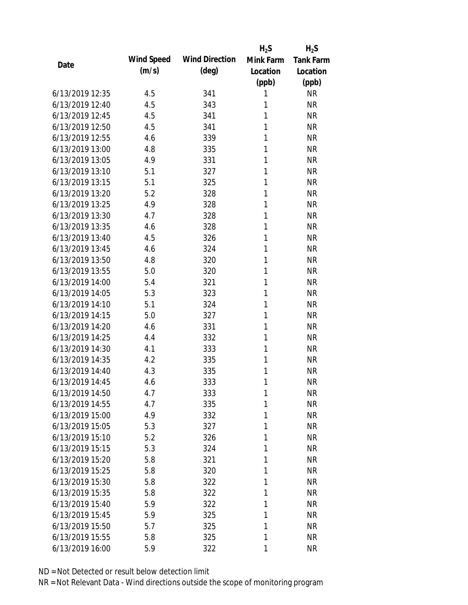|                 |            |                       | $H_2S$    | $H_2S$           |
|-----------------|------------|-----------------------|-----------|------------------|
| Date            | Wind Speed | <b>Wind Direction</b> | Mink Farm | <b>Tank Farm</b> |
|                 | (m/s)      | $(\text{deg})$        | Location  | Location         |
|                 |            |                       | (ppb)     | (ppb)            |
| 6/13/2019 12:35 | 4.5        | 341                   | 1         | <b>NR</b>        |
| 6/13/2019 12:40 | 4.5        | 343                   | 1         | <b>NR</b>        |
| 6/13/2019 12:45 | 4.5        | 341                   | 1         | <b>NR</b>        |
| 6/13/2019 12:50 | 4.5        | 341                   | 1         | <b>NR</b>        |
| 6/13/2019 12:55 | 4.6        | 339                   | 1         | <b>NR</b>        |
| 6/13/2019 13:00 | 4.8        | 335                   | 1         | <b>NR</b>        |
| 6/13/2019 13:05 | 4.9        | 331                   | 1         | <b>NR</b>        |
| 6/13/2019 13:10 | 5.1        | 327                   | 1         | <b>NR</b>        |
| 6/13/2019 13:15 | 5.1        | 325                   | 1         | <b>NR</b>        |
| 6/13/2019 13:20 | 5.2        | 328                   | 1         | <b>NR</b>        |
| 6/13/2019 13:25 | 4.9        | 328                   | 1         | <b>NR</b>        |
| 6/13/2019 13:30 | 4.7        | 328                   | 1         | <b>NR</b>        |
| 6/13/2019 13:35 | 4.6        | 328                   | 1         | <b>NR</b>        |
| 6/13/2019 13:40 | 4.5        | 326                   | 1         | <b>NR</b>        |
| 6/13/2019 13:45 | 4.6        | 324                   | 1         | <b>NR</b>        |
| 6/13/2019 13:50 | 4.8        | 320                   | 1         | <b>NR</b>        |
| 6/13/2019 13:55 | 5.0        | 320                   | 1         | <b>NR</b>        |
| 6/13/2019 14:00 | 5.4        | 321                   | 1         | <b>NR</b>        |
| 6/13/2019 14:05 | 5.3        | 323                   | 1         | <b>NR</b>        |
| 6/13/2019 14:10 | 5.1        | 324                   | 1         | <b>NR</b>        |
| 6/13/2019 14:15 | 5.0        | 327                   | 1         | <b>NR</b>        |
| 6/13/2019 14:20 | 4.6        | 331                   | 1         | <b>NR</b>        |
| 6/13/2019 14:25 | 4.4        | 332                   | 1         | <b>NR</b>        |
| 6/13/2019 14:30 | 4.1        | 333                   | 1         | <b>NR</b>        |
| 6/13/2019 14:35 | 4.2        | 335                   | 1         | <b>NR</b>        |
| 6/13/2019 14:40 | 4.3        | 335                   | 1         | <b>NR</b>        |
| 6/13/2019 14:45 | 4.6        | 333                   | 1         | <b>NR</b>        |
| 6/13/2019 14:50 | 4.7        | 333                   | 1         | <b>NR</b>        |
| 6/13/2019 14:55 | 4.7        | 335                   | 1         | <b>NR</b>        |
| 6/13/2019 15:00 | 4.9        | 332                   | 1         | <b>NR</b>        |
| 6/13/2019 15:05 | 5.3        | 327                   | 1         | <b>NR</b>        |
| 6/13/2019 15:10 | 5.2        | 326                   | 1         | <b>NR</b>        |
| 6/13/2019 15:15 | 5.3        | 324                   | 1         | <b>NR</b>        |
| 6/13/2019 15:20 | 5.8        | 321                   | 1         | <b>NR</b>        |
| 6/13/2019 15:25 | 5.8        | 320                   | 1         | <b>NR</b>        |
| 6/13/2019 15:30 | 5.8        | 322                   | 1         | <b>NR</b>        |
| 6/13/2019 15:35 | 5.8        | 322                   | 1         | <b>NR</b>        |
| 6/13/2019 15:40 | 5.9        | 322                   | 1         | <b>NR</b>        |
| 6/13/2019 15:45 | 5.9        | 325                   | 1         | <b>NR</b>        |
| 6/13/2019 15:50 | 5.7        | 325                   | 1         | <b>NR</b>        |
| 6/13/2019 15:55 | 5.8        | 325                   | 1         | <b>NR</b>        |
| 6/13/2019 16:00 | 5.9        | 322                   | 1         | <b>NR</b>        |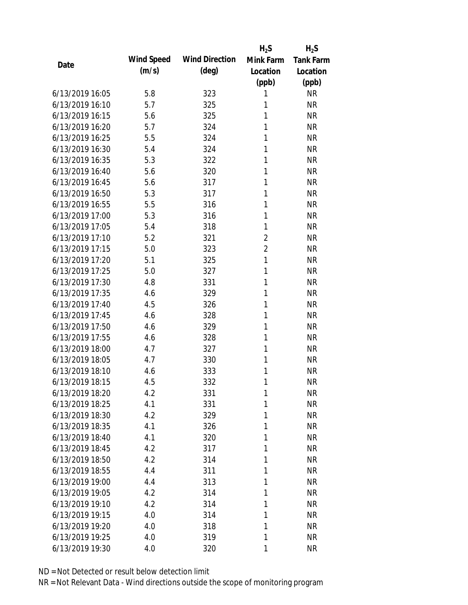|                 |            |                       | $H_2S$         | $H_2S$           |
|-----------------|------------|-----------------------|----------------|------------------|
| Date            | Wind Speed | <b>Wind Direction</b> | Mink Farm      | <b>Tank Farm</b> |
|                 | (m/s)      | $(\text{deg})$        | Location       | Location         |
|                 |            |                       | (ppb)          | (ppb)            |
| 6/13/2019 16:05 | 5.8        | 323                   | 1              | <b>NR</b>        |
| 6/13/2019 16:10 | 5.7        | 325                   | 1              | <b>NR</b>        |
| 6/13/2019 16:15 | 5.6        | 325                   | 1              | <b>NR</b>        |
| 6/13/2019 16:20 | 5.7        | 324                   | 1              | <b>NR</b>        |
| 6/13/2019 16:25 | 5.5        | 324                   | 1              | <b>NR</b>        |
| 6/13/2019 16:30 | 5.4        | 324                   | 1              | <b>NR</b>        |
| 6/13/2019 16:35 | 5.3        | 322                   | 1              | <b>NR</b>        |
| 6/13/2019 16:40 | 5.6        | 320                   | 1              | <b>NR</b>        |
| 6/13/2019 16:45 | 5.6        | 317                   | 1              | <b>NR</b>        |
| 6/13/2019 16:50 | 5.3        | 317                   | 1              | <b>NR</b>        |
| 6/13/2019 16:55 | 5.5        | 316                   | 1              | <b>NR</b>        |
| 6/13/2019 17:00 | 5.3        | 316                   | 1              | <b>NR</b>        |
| 6/13/2019 17:05 | 5.4        | 318                   | 1              | <b>NR</b>        |
| 6/13/2019 17:10 | 5.2        | 321                   | $\overline{2}$ | <b>NR</b>        |
| 6/13/2019 17:15 | 5.0        | 323                   | $\overline{2}$ | <b>NR</b>        |
| 6/13/2019 17:20 | 5.1        | 325                   | 1              | <b>NR</b>        |
| 6/13/2019 17:25 | 5.0        | 327                   | 1              | <b>NR</b>        |
| 6/13/2019 17:30 | 4.8        | 331                   | 1              | <b>NR</b>        |
| 6/13/2019 17:35 | 4.6        | 329                   | 1              | <b>NR</b>        |
| 6/13/2019 17:40 | 4.5        | 326                   | 1              | <b>NR</b>        |
| 6/13/2019 17:45 | 4.6        | 328                   | 1              | <b>NR</b>        |
| 6/13/2019 17:50 | 4.6        | 329                   | 1              | <b>NR</b>        |
| 6/13/2019 17:55 | 4.6        | 328                   | 1              | <b>NR</b>        |
| 6/13/2019 18:00 | 4.7        | 327                   | 1              | <b>NR</b>        |
| 6/13/2019 18:05 | 4.7        | 330                   | 1              | <b>NR</b>        |
| 6/13/2019 18:10 | 4.6        | 333                   | 1              | <b>NR</b>        |
| 6/13/2019 18:15 | 4.5        | 332                   | 1              | <b>NR</b>        |
| 6/13/2019 18:20 | 4.2        | 331                   | 1              | <b>NR</b>        |
| 6/13/2019 18:25 | 4.1        | 331                   | 1              | <b>NR</b>        |
| 6/13/2019 18:30 | 4.2        | 329                   | 1              | <b>NR</b>        |
| 6/13/2019 18:35 | 4.1        | 326                   | 1              | <b>NR</b>        |
| 6/13/2019 18:40 | 4.1        | 320                   | 1              | <b>NR</b>        |
| 6/13/2019 18:45 | 4.2        | 317                   | 1              | <b>NR</b>        |
| 6/13/2019 18:50 | 4.2        | 314                   | 1              | <b>NR</b>        |
| 6/13/2019 18:55 | 4.4        | 311                   | 1              | <b>NR</b>        |
| 6/13/2019 19:00 | 4.4        | 313                   | 1              | <b>NR</b>        |
| 6/13/2019 19:05 | 4.2        | 314                   | 1              | <b>NR</b>        |
| 6/13/2019 19:10 | 4.2        | 314                   | 1              | <b>NR</b>        |
| 6/13/2019 19:15 | 4.0        | 314                   | 1              | <b>NR</b>        |
| 6/13/2019 19:20 | 4.0        | 318                   | 1              | <b>NR</b>        |
| 6/13/2019 19:25 | 4.0        | 319                   | 1              | <b>NR</b>        |
| 6/13/2019 19:30 | 4.0        | 320                   | 1              | <b>NR</b>        |
|                 |            |                       |                |                  |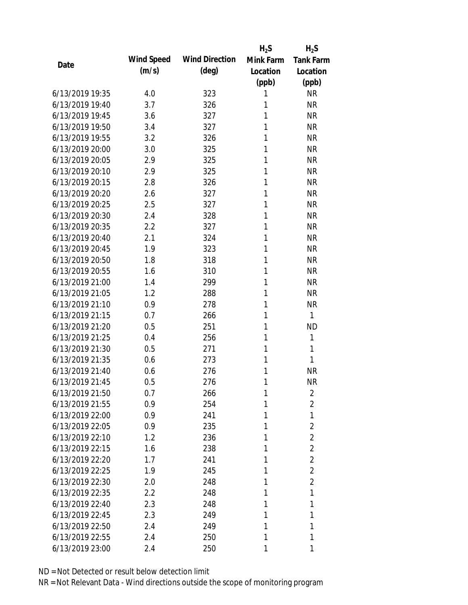|                 |            |                       | $H_2S$    | $H_2S$           |
|-----------------|------------|-----------------------|-----------|------------------|
| Date            | Wind Speed | <b>Wind Direction</b> | Mink Farm | <b>Tank Farm</b> |
|                 | (m/s)      | $(\text{deg})$        | Location  | Location         |
|                 |            |                       | (ppb)     | (ppb)            |
| 6/13/2019 19:35 | 4.0        | 323                   | 1         | <b>NR</b>        |
| 6/13/2019 19:40 | 3.7        | 326                   | 1         | <b>NR</b>        |
| 6/13/2019 19:45 | 3.6        | 327                   | 1         | <b>NR</b>        |
| 6/13/2019 19:50 | 3.4        | 327                   | 1         | <b>NR</b>        |
| 6/13/2019 19:55 | 3.2        | 326                   | 1         | <b>NR</b>        |
| 6/13/2019 20:00 | 3.0        | 325                   | 1         | <b>NR</b>        |
| 6/13/2019 20:05 | 2.9        | 325                   | 1         | <b>NR</b>        |
| 6/13/2019 20:10 | 2.9        | 325                   | 1         | <b>NR</b>        |
| 6/13/2019 20:15 | 2.8        | 326                   | 1         | <b>NR</b>        |
| 6/13/2019 20:20 | 2.6        | 327                   | 1         | <b>NR</b>        |
| 6/13/2019 20:25 | 2.5        | 327                   | 1         | <b>NR</b>        |
| 6/13/2019 20:30 | 2.4        | 328                   | 1         | <b>NR</b>        |
| 6/13/2019 20:35 | 2.2        | 327                   | 1         | <b>NR</b>        |
| 6/13/2019 20:40 | 2.1        | 324                   | 1         | <b>NR</b>        |
| 6/13/2019 20:45 | 1.9        | 323                   | 1         | <b>NR</b>        |
| 6/13/2019 20:50 | 1.8        | 318                   | 1         | <b>NR</b>        |
| 6/13/2019 20:55 | 1.6        | 310                   | 1         | <b>NR</b>        |
| 6/13/2019 21:00 | 1.4        | 299                   | 1         | <b>NR</b>        |
| 6/13/2019 21:05 | 1.2        | 288                   | 1         | <b>NR</b>        |
| 6/13/2019 21:10 | 0.9        | 278                   | 1         | <b>NR</b>        |
| 6/13/2019 21:15 | 0.7        | 266                   | 1         | 1                |
| 6/13/2019 21:20 | 0.5        | 251                   | 1         | <b>ND</b>        |
| 6/13/2019 21:25 | 0.4        | 256                   | 1         | 1                |
| 6/13/2019 21:30 | 0.5        | 271                   | 1         | 1                |
| 6/13/2019 21:35 | 0.6        | 273                   | 1         | 1                |
| 6/13/2019 21:40 | 0.6        | 276                   | 1         | <b>NR</b>        |
| 6/13/2019 21:45 | 0.5        | 276                   | 1         | <b>NR</b>        |
| 6/13/2019 21:50 | 0.7        | 266                   | 1         | 2                |
| 6/13/2019 21:55 | 0.9        | 254                   | 1         | 2                |
| 6/13/2019 22:00 | 0.9        | 241                   | 1         | 1                |
| 6/13/2019 22:05 | 0.9        | 235                   | 1         | $\overline{2}$   |
| 6/13/2019 22:10 | 1.2        | 236                   | 1         | $\overline{2}$   |
| 6/13/2019 22:15 | 1.6        | 238                   | 1         | $\overline{2}$   |
| 6/13/2019 22:20 | 1.7        | 241                   | 1         | $\overline{2}$   |
| 6/13/2019 22:25 | 1.9        | 245                   | 1         | $\overline{2}$   |
| 6/13/2019 22:30 | 2.0        | 248                   | 1         | $\overline{2}$   |
| 6/13/2019 22:35 | 2.2        | 248                   | 1         | 1                |
| 6/13/2019 22:40 | 2.3        | 248                   | 1         | 1                |
| 6/13/2019 22:45 | 2.3        | 249                   | 1         | 1                |
| 6/13/2019 22:50 | 2.4        | 249                   | 1         | 1                |
| 6/13/2019 22:55 | 2.4        | 250                   | 1         | 1                |
| 6/13/2019 23:00 | 2.4        | 250                   | 1         | 1                |
|                 |            |                       |           |                  |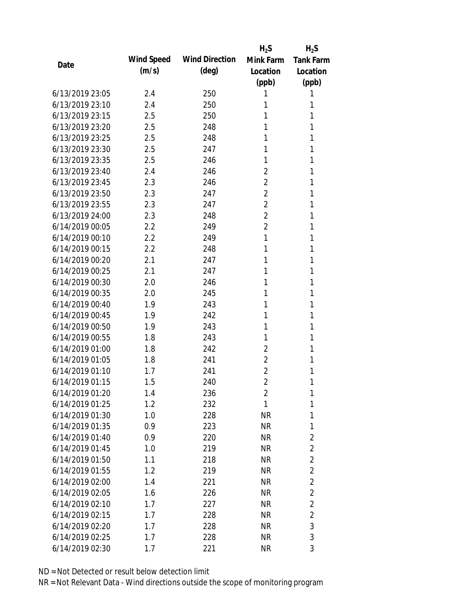|                 |            |                       | $H_2S$         | $H_2S$           |
|-----------------|------------|-----------------------|----------------|------------------|
| Date            | Wind Speed | <b>Wind Direction</b> | Mink Farm      | <b>Tank Farm</b> |
|                 | (m/s)      | $(\text{deg})$        | Location       | Location         |
|                 |            |                       | (ppb)          | (ppb)            |
| 6/13/2019 23:05 | 2.4        | 250                   | 1              | 1                |
| 6/13/2019 23:10 | 2.4        | 250                   | 1              | 1                |
| 6/13/2019 23:15 | 2.5        | 250                   | 1              | 1                |
| 6/13/2019 23:20 | 2.5        | 248                   | 1              | 1                |
| 6/13/2019 23:25 | 2.5        | 248                   | 1              | 1                |
| 6/13/2019 23:30 | 2.5        | 247                   | 1              | 1                |
| 6/13/2019 23:35 | 2.5        | 246                   | 1              | 1                |
| 6/13/2019 23:40 | 2.4        | 246                   | $\overline{2}$ | 1                |
| 6/13/2019 23:45 | 2.3        | 246                   | $\overline{2}$ | 1                |
| 6/13/2019 23:50 | 2.3        | 247                   | $\overline{2}$ | 1                |
| 6/13/2019 23:55 | 2.3        | 247                   | $\overline{2}$ | 1                |
| 6/13/2019 24:00 | 2.3        | 248                   | $\overline{2}$ | 1                |
| 6/14/2019 00:05 | 2.2        | 249                   | $\overline{2}$ | 1                |
| 6/14/2019 00:10 | 2.2        | 249                   | 1              | 1                |
| 6/14/2019 00:15 | 2.2        | 248                   | 1              | 1                |
| 6/14/2019 00:20 | 2.1        | 247                   | 1              | 1                |
| 6/14/2019 00:25 | 2.1        | 247                   | 1              | 1                |
| 6/14/2019 00:30 | 2.0        | 246                   | 1              | 1                |
| 6/14/2019 00:35 | 2.0        | 245                   | 1              | 1                |
| 6/14/2019 00:40 | 1.9        | 243                   | 1              | 1                |
| 6/14/2019 00:45 | 1.9        | 242                   | 1              | 1                |
| 6/14/2019 00:50 | 1.9        | 243                   | 1              | 1                |
| 6/14/2019 00:55 | 1.8        | 243                   | 1              | 1                |
| 6/14/2019 01:00 | 1.8        | 242                   | $\overline{2}$ | 1                |
| 6/14/2019 01:05 | 1.8        | 241                   | 2              | 1                |
| 6/14/2019 01:10 | 1.7        | 241                   | $\overline{2}$ | 1                |
| 6/14/2019 01:15 | 1.5        | 240                   | $\overline{2}$ | 1                |
| 6/14/2019 01:20 | 1.4        | 236                   | $\overline{2}$ | 1                |
| 6/14/2019 01:25 | 1.2        | 232                   | 1              | 1                |
| 6/14/2019 01:30 | 1.0        | 228                   | <b>NR</b>      | $\mathbf{1}$     |
| 6/14/2019 01:35 | 0.9        | 223                   | <b>NR</b>      | 1                |
| 6/14/2019 01:40 | 0.9        | 220                   | <b>NR</b>      | $\overline{2}$   |
| 6/14/2019 01:45 | 1.0        | 219                   | <b>NR</b>      | $\overline{2}$   |
| 6/14/2019 01:50 | 1.1        | 218                   | <b>NR</b>      | $\overline{2}$   |
| 6/14/2019 01:55 | 1.2        | 219                   | <b>NR</b>      | $\overline{2}$   |
| 6/14/2019 02:00 | 1.4        | 221                   | <b>NR</b>      | $\overline{2}$   |
| 6/14/2019 02:05 | 1.6        | 226                   | <b>NR</b>      | $\overline{2}$   |
| 6/14/2019 02:10 | 1.7        | 227                   | <b>NR</b>      | $\overline{2}$   |
| 6/14/2019 02:15 | 1.7        | 228                   | <b>NR</b>      | $\overline{2}$   |
| 6/14/2019 02:20 | 1.7        | 228                   | <b>NR</b>      | 3                |
| 6/14/2019 02:25 | 1.7        | 228                   | <b>NR</b>      | 3                |
| 6/14/2019 02:30 | 1.7        | 221                   | <b>NR</b>      | 3                |
|                 |            |                       |                |                  |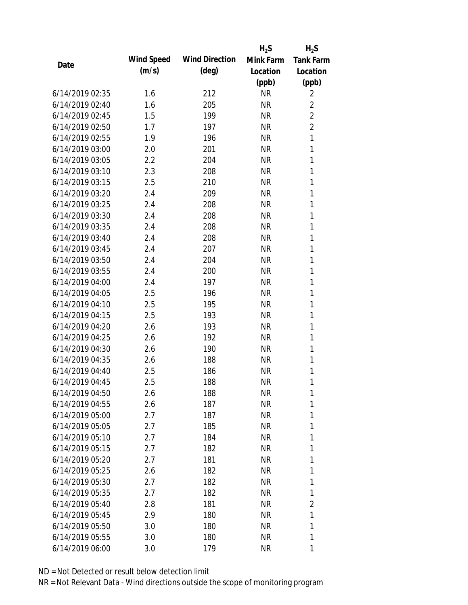|                 |            |                       | $H_2S$    | $H_2S$           |
|-----------------|------------|-----------------------|-----------|------------------|
| Date            | Wind Speed | <b>Wind Direction</b> | Mink Farm | <b>Tank Farm</b> |
|                 | (m/s)      | $(\text{deg})$        | Location  | Location         |
|                 |            |                       | (ppb)     | (ppb)            |
| 6/14/2019 02:35 | 1.6        | 212                   | <b>NR</b> | 2                |
| 6/14/2019 02:40 | 1.6        | 205                   | <b>NR</b> | 2                |
| 6/14/2019 02:45 | 1.5        | 199                   | <b>NR</b> | $\overline{2}$   |
| 6/14/2019 02:50 | 1.7        | 197                   | <b>NR</b> | $\overline{2}$   |
| 6/14/2019 02:55 | 1.9        | 196                   | <b>NR</b> | 1                |
| 6/14/2019 03:00 | 2.0        | 201                   | <b>NR</b> | 1                |
| 6/14/2019 03:05 | 2.2        | 204                   | <b>NR</b> | 1                |
| 6/14/2019 03:10 | 2.3        | 208                   | <b>NR</b> | 1                |
| 6/14/2019 03:15 | 2.5        | 210                   | <b>NR</b> | 1                |
| 6/14/2019 03:20 | 2.4        | 209                   | <b>NR</b> | 1                |
| 6/14/2019 03:25 | 2.4        | 208                   | <b>NR</b> | 1                |
| 6/14/2019 03:30 | 2.4        | 208                   | <b>NR</b> | 1                |
| 6/14/2019 03:35 | 2.4        | 208                   | <b>NR</b> | 1                |
| 6/14/2019 03:40 | 2.4        | 208                   | <b>NR</b> | 1                |
| 6/14/2019 03:45 | 2.4        | 207                   | <b>NR</b> | 1                |
| 6/14/2019 03:50 | 2.4        | 204                   | <b>NR</b> | 1                |
| 6/14/2019 03:55 | 2.4        | 200                   | <b>NR</b> | 1                |
| 6/14/2019 04:00 | 2.4        | 197                   | <b>NR</b> | 1                |
| 6/14/2019 04:05 | 2.5        | 196                   | <b>NR</b> | 1                |
| 6/14/2019 04:10 | 2.5        | 195                   | <b>NR</b> | 1                |
| 6/14/2019 04:15 | 2.5        | 193                   | <b>NR</b> | 1                |
| 6/14/2019 04:20 | 2.6        | 193                   | <b>NR</b> | 1                |
| 6/14/2019 04:25 | 2.6        | 192                   | <b>NR</b> | 1                |
| 6/14/2019 04:30 | 2.6        | 190                   | <b>NR</b> | 1                |
| 6/14/2019 04:35 | 2.6        | 188                   | <b>NR</b> | 1                |
| 6/14/2019 04:40 | 2.5        | 186                   | <b>NR</b> | 1                |
| 6/14/2019 04:45 | 2.5        | 188                   | <b>NR</b> | 1                |
| 6/14/2019 04:50 | 2.6        | 188                   | <b>NR</b> | 1                |
| 6/14/2019 04:55 | 2.6        | 187                   | <b>NR</b> | 1                |
| 6/14/2019 05:00 | 2.7        | 187                   | <b>NR</b> | 1                |
| 6/14/2019 05:05 | 2.7        | 185                   | <b>NR</b> | 1                |
| 6/14/2019 05:10 | 2.7        | 184                   | <b>NR</b> | 1                |
| 6/14/2019 05:15 | 2.7        | 182                   | <b>NR</b> | 1                |
| 6/14/2019 05:20 | 2.7        | 181                   | <b>NR</b> | 1                |
| 6/14/2019 05:25 | 2.6        | 182                   | <b>NR</b> | 1                |
| 6/14/2019 05:30 | 2.7        | 182                   | <b>NR</b> | 1                |
| 6/14/2019 05:35 | 2.7        | 182                   | <b>NR</b> | 1                |
| 6/14/2019 05:40 | 2.8        | 181                   | <b>NR</b> | 2                |
| 6/14/2019 05:45 | 2.9        | 180                   | <b>NR</b> | 1                |
| 6/14/2019 05:50 | 3.0        | 180                   | <b>NR</b> | 1                |
| 6/14/2019 05:55 | 3.0        | 180                   | <b>NR</b> | 1                |
| 6/14/2019 06:00 | 3.0        | 179                   | <b>NR</b> | 1                |
|                 |            |                       |           |                  |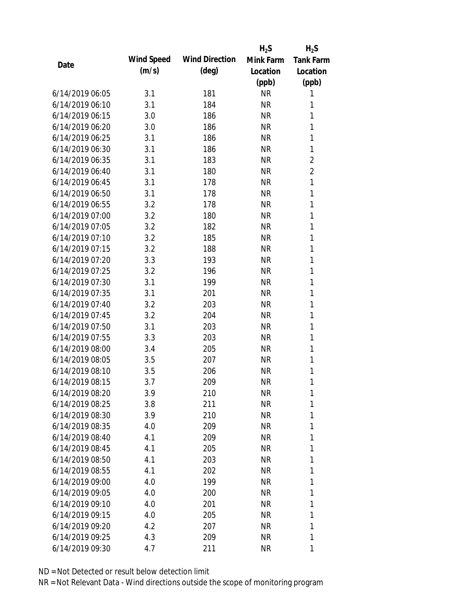|                 |            |                       | $H_2S$    | $H_2S$           |
|-----------------|------------|-----------------------|-----------|------------------|
| Date            | Wind Speed | <b>Wind Direction</b> | Mink Farm | <b>Tank Farm</b> |
|                 | (m/s)      | $(\text{deg})$        | Location  | Location         |
|                 |            |                       | (ppb)     | (ppb)            |
| 6/14/2019 06:05 | 3.1        | 181                   | <b>NR</b> | 1                |
| 6/14/2019 06:10 | 3.1        | 184                   | <b>NR</b> | 1                |
| 6/14/2019 06:15 | 3.0        | 186                   | <b>NR</b> | 1                |
| 6/14/2019 06:20 | 3.0        | 186                   | <b>NR</b> | 1                |
| 6/14/2019 06:25 | 3.1        | 186                   | <b>NR</b> | 1                |
| 6/14/2019 06:30 | 3.1        | 186                   | <b>NR</b> | 1                |
| 6/14/2019 06:35 | 3.1        | 183                   | <b>NR</b> | $\overline{2}$   |
| 6/14/2019 06:40 | 3.1        | 180                   | <b>NR</b> | $\overline{2}$   |
| 6/14/2019 06:45 | 3.1        | 178                   | <b>NR</b> | 1                |
| 6/14/2019 06:50 | 3.1        | 178                   | <b>NR</b> | 1                |
| 6/14/2019 06:55 | 3.2        | 178                   | <b>NR</b> | 1                |
| 6/14/2019 07:00 | 3.2        | 180                   | <b>NR</b> | 1                |
| 6/14/2019 07:05 | 3.2        | 182                   | <b>NR</b> | 1                |
| 6/14/2019 07:10 | 3.2        | 185                   | <b>NR</b> | 1                |
| 6/14/2019 07:15 | 3.2        | 188                   | <b>NR</b> | 1                |
| 6/14/2019 07:20 | 3.3        | 193                   | <b>NR</b> | 1                |
| 6/14/2019 07:25 | 3.2        | 196                   | <b>NR</b> | 1                |
| 6/14/2019 07:30 | 3.1        | 199                   | <b>NR</b> | 1                |
| 6/14/2019 07:35 | 3.1        | 201                   | <b>NR</b> | 1                |
| 6/14/2019 07:40 | 3.2        | 203                   | <b>NR</b> | 1                |
| 6/14/2019 07:45 | 3.2        | 204                   | <b>NR</b> | 1                |
| 6/14/2019 07:50 | 3.1        | 203                   | <b>NR</b> | 1                |
| 6/14/2019 07:55 | 3.3        | 203                   | <b>NR</b> | 1                |
| 6/14/2019 08:00 | 3.4        | 205                   | <b>NR</b> | 1                |
| 6/14/2019 08:05 | 3.5        | 207                   | <b>NR</b> | 1                |
| 6/14/2019 08:10 | 3.5        | 206                   | <b>NR</b> | 1                |
| 6/14/2019 08:15 | 3.7        | 209                   | <b>NR</b> | 1                |
| 6/14/2019 08:20 | 3.9        | 210                   | <b>NR</b> | 1                |
| 6/14/2019 08:25 | 3.8        | 211                   | <b>NR</b> | 1                |
| 6/14/2019 08:30 | 3.9        | 210                   | <b>NR</b> | 1                |
| 6/14/2019 08:35 | 4.0        | 209                   | <b>NR</b> | 1                |
| 6/14/2019 08:40 | 4.1        | 209                   | <b>NR</b> | 1                |
| 6/14/2019 08:45 | 4.1        | 205                   | <b>NR</b> | 1                |
| 6/14/2019 08:50 | 4.1        | 203                   | <b>NR</b> | 1                |
| 6/14/2019 08:55 | 4.1        | 202                   | <b>NR</b> | 1                |
| 6/14/2019 09:00 | 4.0        | 199                   | <b>NR</b> | 1                |
| 6/14/2019 09:05 | 4.0        | 200                   | <b>NR</b> | 1                |
| 6/14/2019 09:10 | 4.0        | 201                   | <b>NR</b> | 1                |
| 6/14/2019 09:15 | 4.0        | 205                   | <b>NR</b> | 1                |
| 6/14/2019 09:20 | 4.2        | 207                   | <b>NR</b> | 1                |
| 6/14/2019 09:25 | 4.3        | 209                   | <b>NR</b> | 1                |
| 6/14/2019 09:30 | 4.7        | 211                   | <b>NR</b> | 1                |
|                 |            |                       |           |                  |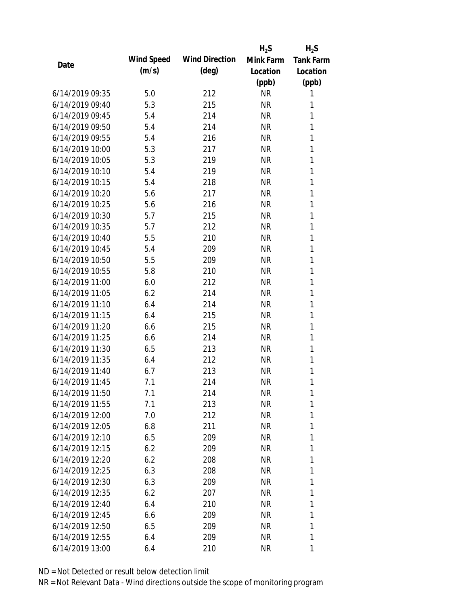|                 |            |                       | $H_2S$    | $H_2S$           |
|-----------------|------------|-----------------------|-----------|------------------|
|                 | Wind Speed | <b>Wind Direction</b> | Mink Farm | <b>Tank Farm</b> |
| Date            | (m/s)      | $(\text{deg})$        | Location  | Location         |
|                 |            |                       | (ppb)     | (ppb)            |
| 6/14/2019 09:35 | 5.0        | 212                   | <b>NR</b> | 1                |
| 6/14/2019 09:40 | 5.3        | 215                   | <b>NR</b> | 1                |
| 6/14/2019 09:45 | 5.4        | 214                   | <b>NR</b> | 1                |
| 6/14/2019 09:50 | 5.4        | 214                   | <b>NR</b> | 1                |
| 6/14/2019 09:55 | 5.4        | 216                   | <b>NR</b> | 1                |
| 6/14/2019 10:00 | 5.3        | 217                   | <b>NR</b> | 1                |
| 6/14/2019 10:05 | 5.3        | 219                   | <b>NR</b> | 1                |
| 6/14/2019 10:10 | 5.4        | 219                   | <b>NR</b> | 1                |
| 6/14/2019 10:15 | 5.4        | 218                   | <b>NR</b> | 1                |
| 6/14/2019 10:20 | 5.6        | 217                   | <b>NR</b> | 1                |
| 6/14/2019 10:25 | 5.6        | 216                   | <b>NR</b> | 1                |
| 6/14/2019 10:30 | 5.7        | 215                   | <b>NR</b> | 1                |
| 6/14/2019 10:35 | 5.7        | 212                   | <b>NR</b> | 1                |
| 6/14/2019 10:40 | 5.5        | 210                   | <b>NR</b> | 1                |
| 6/14/2019 10:45 | 5.4        | 209                   | <b>NR</b> | 1                |
| 6/14/2019 10:50 | 5.5        | 209                   | <b>NR</b> | 1                |
| 6/14/2019 10:55 | 5.8        | 210                   | <b>NR</b> | 1                |
| 6/14/2019 11:00 | 6.0        | 212                   | <b>NR</b> | 1                |
| 6/14/2019 11:05 | 6.2        | 214                   | <b>NR</b> | 1                |
| 6/14/2019 11:10 | 6.4        | 214                   | <b>NR</b> | 1                |
| 6/14/2019 11:15 | 6.4        | 215                   | <b>NR</b> | 1                |
| 6/14/2019 11:20 | 6.6        | 215                   | <b>NR</b> | 1                |
| 6/14/2019 11:25 | 6.6        | 214                   | <b>NR</b> | 1                |
| 6/14/2019 11:30 | 6.5        | 213                   | <b>NR</b> | 1                |
| 6/14/2019 11:35 | 6.4        | 212                   | <b>NR</b> | 1                |
| 6/14/2019 11:40 | 6.7        | 213                   | <b>NR</b> | 1                |
| 6/14/2019 11:45 | 7.1        | 214                   | <b>NR</b> | 1                |
| 6/14/2019 11:50 | 7.1        | 214                   | <b>NR</b> | 1                |
| 6/14/2019 11:55 | 7.1        | 213                   | <b>NR</b> | 1                |
| 6/14/2019 12:00 | 7.0        | 212                   | <b>NR</b> | 1                |
| 6/14/2019 12:05 | 6.8        | 211                   | <b>NR</b> | 1                |
| 6/14/2019 12:10 | 6.5        | 209                   | <b>NR</b> | 1                |
| 6/14/2019 12:15 | 6.2        | 209                   | <b>NR</b> | 1                |
| 6/14/2019 12:20 | 6.2        | 208                   | <b>NR</b> | 1                |
| 6/14/2019 12:25 | 6.3        | 208                   | <b>NR</b> | 1                |
| 6/14/2019 12:30 | 6.3        | 209                   | <b>NR</b> | 1                |
| 6/14/2019 12:35 | 6.2        | 207                   | <b>NR</b> | 1                |
| 6/14/2019 12:40 | 6.4        | 210                   | <b>NR</b> | 1                |
| 6/14/2019 12:45 | 6.6        | 209                   | <b>NR</b> | 1                |
| 6/14/2019 12:50 | 6.5        | 209                   | <b>NR</b> | 1                |
| 6/14/2019 12:55 | 6.4        | 209                   | <b>NR</b> | 1                |
|                 |            |                       |           |                  |
| 6/14/2019 13:00 | 6.4        | 210                   | <b>NR</b> | 1                |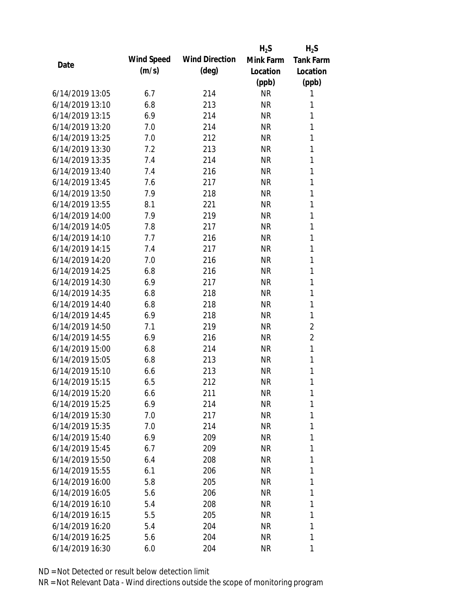|                 |            |                       | $H_2S$    | $H_2S$           |
|-----------------|------------|-----------------------|-----------|------------------|
| Date            | Wind Speed | <b>Wind Direction</b> | Mink Farm | <b>Tank Farm</b> |
|                 | (m/s)      | $(\text{deg})$        | Location  | Location         |
|                 |            |                       | (ppb)     | (ppb)            |
| 6/14/2019 13:05 | 6.7        | 214                   | <b>NR</b> | 1                |
| 6/14/2019 13:10 | 6.8        | 213                   | <b>NR</b> | 1                |
| 6/14/2019 13:15 | 6.9        | 214                   | <b>NR</b> | 1                |
| 6/14/2019 13:20 | 7.0        | 214                   | <b>NR</b> | 1                |
| 6/14/2019 13:25 | 7.0        | 212                   | <b>NR</b> | 1                |
| 6/14/2019 13:30 | 7.2        | 213                   | <b>NR</b> | $\mathbf{1}$     |
| 6/14/2019 13:35 | 7.4        | 214                   | <b>NR</b> | 1                |
| 6/14/2019 13:40 | 7.4        | 216                   | <b>NR</b> | $\mathbf{1}$     |
| 6/14/2019 13:45 | 7.6        | 217                   | <b>NR</b> | 1                |
| 6/14/2019 13:50 | 7.9        | 218                   | <b>NR</b> | 1                |
| 6/14/2019 13:55 | 8.1        | 221                   | <b>NR</b> | $\mathbf{1}$     |
| 6/14/2019 14:00 | 7.9        | 219                   | <b>NR</b> | 1                |
| 6/14/2019 14:05 | 7.8        | 217                   | <b>NR</b> | $\mathbf{1}$     |
| 6/14/2019 14:10 | 7.7        | 216                   | <b>NR</b> | 1                |
| 6/14/2019 14:15 | 7.4        | 217                   | <b>NR</b> | 1                |
| 6/14/2019 14:20 | 7.0        | 216                   | <b>NR</b> | 1                |
| 6/14/2019 14:25 | 6.8        | 216                   | <b>NR</b> | 1                |
| 6/14/2019 14:30 | 6.9        | 217                   | <b>NR</b> | $\mathbf{1}$     |
| 6/14/2019 14:35 | 6.8        | 218                   | <b>NR</b> | 1                |
| 6/14/2019 14:40 | 6.8        | 218                   | <b>NR</b> | 1                |
| 6/14/2019 14:45 | 6.9        | 218                   | <b>NR</b> | 1                |
| 6/14/2019 14:50 | 7.1        | 219                   | <b>NR</b> | $\overline{2}$   |
| 6/14/2019 14:55 | 6.9        | 216                   | <b>NR</b> | 2                |
| 6/14/2019 15:00 | 6.8        | 214                   | <b>NR</b> | 1                |
| 6/14/2019 15:05 | 6.8        | 213                   | <b>NR</b> | $\mathbf{1}$     |
| 6/14/2019 15:10 | 6.6        | 213                   | <b>NR</b> | 1                |
| 6/14/2019 15:15 | 6.5        | 212                   | <b>NR</b> | 1                |
| 6/14/2019 15:20 | 6.6        | 211                   | <b>NR</b> | 1                |
| 6/14/2019 15:25 | 6.9        | 214                   | <b>NR</b> | 1                |
| 6/14/2019 15:30 | 7.0        | 217                   | <b>NR</b> | 1                |
| 6/14/2019 15:35 | 7.0        | 214                   | <b>NR</b> | 1                |
| 6/14/2019 15:40 | 6.9        | 209                   | <b>NR</b> | 1                |
| 6/14/2019 15:45 | 6.7        | 209                   | NR        | 1                |
| 6/14/2019 15:50 | 6.4        | 208                   | <b>NR</b> | 1                |
| 6/14/2019 15:55 | 6.1        | 206                   | <b>NR</b> | 1                |
| 6/14/2019 16:00 | 5.8        | 205                   | <b>NR</b> | 1                |
| 6/14/2019 16:05 | 5.6        | 206                   | <b>NR</b> | 1                |
| 6/14/2019 16:10 | 5.4        | 208                   | NR        | 1                |
| 6/14/2019 16:15 | 5.5        | 205                   | <b>NR</b> | 1                |
| 6/14/2019 16:20 | 5.4        | 204                   | <b>NR</b> | 1                |
| 6/14/2019 16:25 | 5.6        | 204                   | <b>NR</b> | 1                |
|                 |            |                       |           |                  |
| 6/14/2019 16:30 | 6.0        | 204                   | <b>NR</b> | 1                |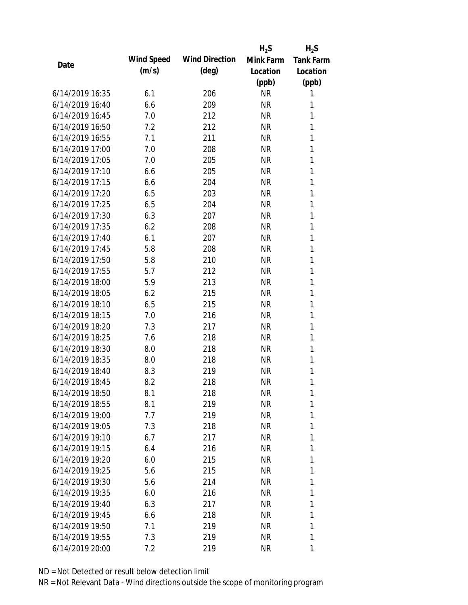|                 |            |                       | $H_2S$    | $H_2S$           |
|-----------------|------------|-----------------------|-----------|------------------|
| Date            | Wind Speed | <b>Wind Direction</b> | Mink Farm | <b>Tank Farm</b> |
|                 | (m/s)      | $(\text{deg})$        | Location  | Location         |
|                 |            |                       | (ppb)     | (ppb)            |
| 6/14/2019 16:35 | 6.1        | 206                   | <b>NR</b> | 1                |
| 6/14/2019 16:40 | 6.6        | 209                   | <b>NR</b> | 1                |
| 6/14/2019 16:45 | 7.0        | 212                   | <b>NR</b> | 1                |
| 6/14/2019 16:50 | 7.2        | 212                   | <b>NR</b> | 1                |
| 6/14/2019 16:55 | 7.1        | 211                   | <b>NR</b> | 1                |
| 6/14/2019 17:00 | 7.0        | 208                   | <b>NR</b> | 1                |
| 6/14/2019 17:05 | 7.0        | 205                   | <b>NR</b> | 1                |
| 6/14/2019 17:10 | 6.6        | 205                   | <b>NR</b> | 1                |
| 6/14/2019 17:15 | 6.6        | 204                   | <b>NR</b> | 1                |
| 6/14/2019 17:20 | 6.5        | 203                   | <b>NR</b> | 1                |
| 6/14/2019 17:25 | 6.5        | 204                   | <b>NR</b> | 1                |
| 6/14/2019 17:30 | 6.3        | 207                   | <b>NR</b> | 1                |
| 6/14/2019 17:35 | 6.2        | 208                   | <b>NR</b> | 1                |
| 6/14/2019 17:40 | 6.1        | 207                   | <b>NR</b> | 1                |
| 6/14/2019 17:45 | 5.8        | 208                   | <b>NR</b> | 1                |
| 6/14/2019 17:50 | 5.8        | 210                   | <b>NR</b> | 1                |
| 6/14/2019 17:55 | 5.7        | 212                   | <b>NR</b> | 1                |
| 6/14/2019 18:00 | 5.9        | 213                   | <b>NR</b> | 1                |
| 6/14/2019 18:05 | 6.2        | 215                   | <b>NR</b> | 1                |
| 6/14/2019 18:10 | 6.5        | 215                   | <b>NR</b> | 1                |
| 6/14/2019 18:15 | 7.0        | 216                   | <b>NR</b> | 1                |
| 6/14/2019 18:20 | 7.3        | 217                   | <b>NR</b> | 1                |
| 6/14/2019 18:25 | 7.6        | 218                   | <b>NR</b> | 1                |
| 6/14/2019 18:30 | 8.0        | 218                   | <b>NR</b> | 1                |
| 6/14/2019 18:35 | 8.0        | 218                   | <b>NR</b> | 1                |
| 6/14/2019 18:40 | 8.3        | 219                   | <b>NR</b> | 1                |
| 6/14/2019 18:45 | 8.2        | 218                   | <b>NR</b> | 1                |
| 6/14/2019 18:50 | 8.1        | 218                   | <b>NR</b> | 1                |
| 6/14/2019 18:55 | 8.1        | 219                   | <b>NR</b> | 1                |
| 6/14/2019 19:00 | 7.7        | 219                   | <b>NR</b> | 1                |
| 6/14/2019 19:05 | 7.3        | 218                   | <b>NR</b> | 1                |
| 6/14/2019 19:10 | 6.7        | 217                   | <b>NR</b> | 1                |
| 6/14/2019 19:15 | 6.4        | 216                   | <b>NR</b> | 1                |
| 6/14/2019 19:20 | 6.0        | 215                   | <b>NR</b> | 1                |
| 6/14/2019 19:25 | 5.6        | 215                   | <b>NR</b> | 1                |
| 6/14/2019 19:30 | 5.6        | 214                   | <b>NR</b> | 1                |
| 6/14/2019 19:35 | 6.0        | 216                   | <b>NR</b> | 1                |
| 6/14/2019 19:40 | 6.3        | 217                   | <b>NR</b> | 1                |
| 6/14/2019 19:45 |            |                       | <b>NR</b> | 1                |
| 6/14/2019 19:50 | 6.6        | 218                   |           | 1                |
|                 | 7.1        | 219                   | <b>NR</b> |                  |
| 6/14/2019 19:55 | 7.3        | 219                   | <b>NR</b> | 1                |
| 6/14/2019 20:00 | 7.2        | 219                   | <b>NR</b> | 1                |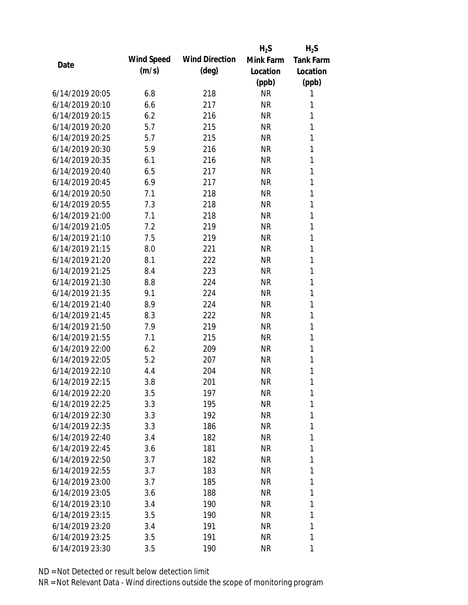|                 |            |                       | $H_2S$    | $H_2S$           |
|-----------------|------------|-----------------------|-----------|------------------|
| Date            | Wind Speed | <b>Wind Direction</b> | Mink Farm | <b>Tank Farm</b> |
|                 | (m/s)      | $(\text{deg})$        | Location  | Location         |
|                 |            |                       | (ppb)     | (ppb)            |
| 6/14/2019 20:05 | 6.8        | 218                   | <b>NR</b> | 1                |
| 6/14/2019 20:10 | 6.6        | 217                   | <b>NR</b> | 1                |
| 6/14/2019 20:15 | 6.2        | 216                   | <b>NR</b> | 1                |
| 6/14/2019 20:20 | 5.7        | 215                   | <b>NR</b> | 1                |
| 6/14/2019 20:25 | 5.7        | 215                   | <b>NR</b> | 1                |
| 6/14/2019 20:30 | 5.9        | 216                   | <b>NR</b> | 1                |
| 6/14/2019 20:35 | 6.1        | 216                   | <b>NR</b> | 1                |
| 6/14/2019 20:40 | 6.5        | 217                   | <b>NR</b> | 1                |
| 6/14/2019 20:45 | 6.9        | 217                   | <b>NR</b> | 1                |
| 6/14/2019 20:50 | 7.1        | 218                   | <b>NR</b> | 1                |
| 6/14/2019 20:55 | 7.3        | 218                   | <b>NR</b> | 1                |
| 6/14/2019 21:00 | 7.1        | 218                   | <b>NR</b> | 1                |
| 6/14/2019 21:05 | 7.2        | 219                   | <b>NR</b> | 1                |
| 6/14/2019 21:10 | 7.5        | 219                   | <b>NR</b> | 1                |
| 6/14/2019 21:15 | 8.0        | 221                   | <b>NR</b> | 1                |
| 6/14/2019 21:20 | 8.1        | 222                   | <b>NR</b> | 1                |
| 6/14/2019 21:25 | 8.4        | 223                   | <b>NR</b> | 1                |
| 6/14/2019 21:30 | 8.8        | 224                   | <b>NR</b> | 1                |
| 6/14/2019 21:35 | 9.1        | 224                   | <b>NR</b> | 1                |
| 6/14/2019 21:40 | 8.9        | 224                   | <b>NR</b> | 1                |
| 6/14/2019 21:45 | 8.3        | 222                   | <b>NR</b> | 1                |
| 6/14/2019 21:50 | 7.9        | 219                   | <b>NR</b> | 1                |
| 6/14/2019 21:55 | 7.1        | 215                   | <b>NR</b> | 1                |
| 6/14/2019 22:00 | 6.2        | 209                   | <b>NR</b> | 1                |
| 6/14/2019 22:05 | 5.2        | 207                   | <b>NR</b> | 1                |
| 6/14/2019 22:10 | 4.4        | 204                   | <b>NR</b> | 1                |
| 6/14/2019 22:15 | 3.8        | 201                   | <b>NR</b> | 1                |
| 6/14/2019 22:20 | 3.5        | 197                   | <b>NR</b> | 1                |
| 6/14/2019 22:25 | 3.3        | 195                   | <b>NR</b> | 1                |
| 6/14/2019 22:30 | 3.3        | 192                   | <b>NR</b> | 1                |
| 6/14/2019 22:35 | 3.3        | 186                   | <b>NR</b> | 1                |
| 6/14/2019 22:40 | 3.4        | 182                   | <b>NR</b> | 1                |
| 6/14/2019 22:45 | 3.6        | 181                   | <b>NR</b> | 1                |
| 6/14/2019 22:50 | 3.7        | 182                   | <b>NR</b> | 1                |
| 6/14/2019 22:55 | 3.7        | 183                   | <b>NR</b> | 1                |
| 6/14/2019 23:00 | 3.7        | 185                   | <b>NR</b> | 1                |
| 6/14/2019 23:05 | 3.6        | 188                   | <b>NR</b> | 1                |
| 6/14/2019 23:10 | 3.4        | 190                   | <b>NR</b> | 1                |
| 6/14/2019 23:15 | 3.5        | 190                   | <b>NR</b> | 1                |
| 6/14/2019 23:20 | 3.4        | 191                   | <b>NR</b> | 1                |
| 6/14/2019 23:25 | 3.5        | 191                   | <b>NR</b> | 1                |
| 6/14/2019 23:30 | 3.5        | 190                   | <b>NR</b> | 1                |
|                 |            |                       |           |                  |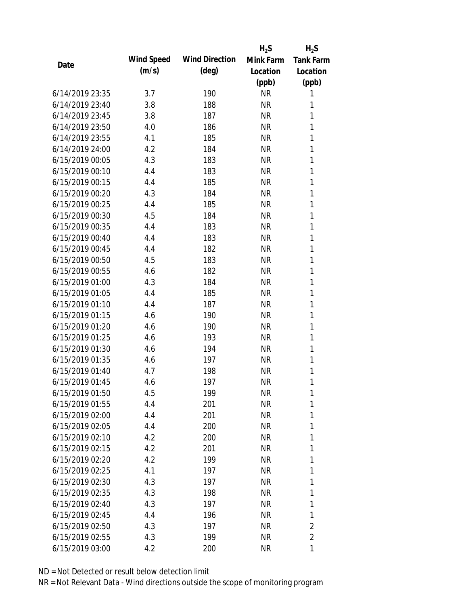|                 |            |                       | $H_2S$    | $H_2S$           |
|-----------------|------------|-----------------------|-----------|------------------|
| Date            | Wind Speed | <b>Wind Direction</b> | Mink Farm | <b>Tank Farm</b> |
|                 | (m/s)      | $(\text{deg})$        | Location  | Location         |
|                 |            |                       | (ppb)     | (ppb)            |
| 6/14/2019 23:35 | 3.7        | 190                   | <b>NR</b> | 1                |
| 6/14/2019 23:40 | 3.8        | 188                   | <b>NR</b> | 1                |
| 6/14/2019 23:45 | 3.8        | 187                   | <b>NR</b> | 1                |
| 6/14/2019 23:50 | 4.0        | 186                   | <b>NR</b> | 1                |
| 6/14/2019 23:55 | 4.1        | 185                   | <b>NR</b> | 1                |
| 6/14/2019 24:00 | 4.2        | 184                   | <b>NR</b> | 1                |
| 6/15/2019 00:05 | 4.3        | 183                   | <b>NR</b> | 1                |
| 6/15/2019 00:10 | 4.4        | 183                   | <b>NR</b> | 1                |
| 6/15/2019 00:15 | 4.4        | 185                   | <b>NR</b> | 1                |
| 6/15/2019 00:20 | 4.3        | 184                   | <b>NR</b> | 1                |
| 6/15/2019 00:25 | 4.4        | 185                   | <b>NR</b> | 1                |
| 6/15/2019 00:30 | 4.5        | 184                   | <b>NR</b> | 1                |
| 6/15/2019 00:35 | 4.4        | 183                   | <b>NR</b> | 1                |
| 6/15/2019 00:40 | 4.4        | 183                   | <b>NR</b> | 1                |
| 6/15/2019 00:45 | 4.4        | 182                   | <b>NR</b> | 1                |
| 6/15/2019 00:50 | 4.5        | 183                   | <b>NR</b> | 1                |
| 6/15/2019 00:55 | 4.6        | 182                   | <b>NR</b> | 1                |
| 6/15/2019 01:00 | 4.3        | 184                   | <b>NR</b> | 1                |
| 6/15/2019 01:05 | 4.4        | 185                   | <b>NR</b> | 1                |
| 6/15/2019 01:10 | 4.4        | 187                   | <b>NR</b> | 1                |
| 6/15/2019 01:15 | 4.6        | 190                   | <b>NR</b> | 1                |
| 6/15/2019 01:20 | 4.6        | 190                   | <b>NR</b> | 1                |
| 6/15/2019 01:25 | 4.6        | 193                   | <b>NR</b> | 1                |
| 6/15/2019 01:30 | 4.6        | 194                   | <b>NR</b> | 1                |
| 6/15/2019 01:35 | 4.6        | 197                   | <b>NR</b> | 1                |
| 6/15/2019 01:40 | 4.7        | 198                   | <b>NR</b> | 1                |
| 6/15/2019 01:45 | 4.6        | 197                   | <b>NR</b> | 1                |
| 6/15/2019 01:50 | 4.5        | 199                   | <b>NR</b> | 1                |
| 6/15/2019 01:55 | 4.4        | 201                   | <b>NR</b> | 1                |
| 6/15/2019 02:00 | 4.4        | 201                   | <b>NR</b> | 1                |
| 6/15/2019 02:05 | 4.4        | 200                   | <b>NR</b> | 1                |
| 6/15/2019 02:10 | 4.2        | 200                   | <b>NR</b> | 1                |
| 6/15/2019 02:15 | 4.2        | 201                   | <b>NR</b> | 1                |
| 6/15/2019 02:20 | 4.2        | 199                   | <b>NR</b> | 1                |
| 6/15/2019 02:25 | 4.1        | 197                   | <b>NR</b> | 1                |
| 6/15/2019 02:30 | 4.3        | 197                   | <b>NR</b> | 1                |
| 6/15/2019 02:35 | 4.3        | 198                   | <b>NR</b> | 1                |
| 6/15/2019 02:40 | 4.3        | 197                   | <b>NR</b> | 1                |
| 6/15/2019 02:45 | 4.4        | 196                   | <b>NR</b> | 1                |
| 6/15/2019 02:50 | 4.3        | 197                   | <b>NR</b> | 2                |
| 6/15/2019 02:55 | 4.3        | 199                   | <b>NR</b> | $\overline{2}$   |
| 6/15/2019 03:00 | 4.2        | 200                   | <b>NR</b> | 1                |
|                 |            |                       |           |                  |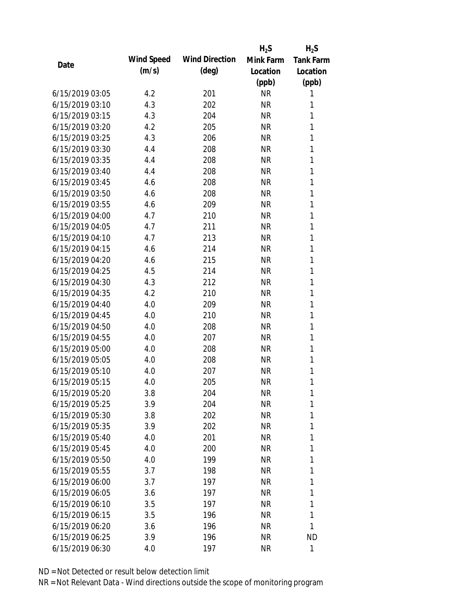|                 |            |                       | $H_2S$    | $H_2S$           |
|-----------------|------------|-----------------------|-----------|------------------|
| Date            | Wind Speed | <b>Wind Direction</b> | Mink Farm | <b>Tank Farm</b> |
|                 | (m/s)      | $(\text{deg})$        | Location  | Location         |
|                 |            |                       | (ppb)     | (ppb)            |
| 6/15/2019 03:05 | 4.2        | 201                   | <b>NR</b> | 1                |
| 6/15/2019 03:10 | 4.3        | 202                   | <b>NR</b> | 1                |
| 6/15/2019 03:15 | 4.3        | 204                   | <b>NR</b> | 1                |
| 6/15/2019 03:20 | 4.2        | 205                   | <b>NR</b> | 1                |
| 6/15/2019 03:25 | 4.3        | 206                   | <b>NR</b> | 1                |
| 6/15/2019 03:30 | 4.4        | 208                   | <b>NR</b> | 1                |
| 6/15/2019 03:35 | 4.4        | 208                   | <b>NR</b> | 1                |
| 6/15/2019 03:40 | 4.4        | 208                   | <b>NR</b> | 1                |
| 6/15/2019 03:45 | 4.6        | 208                   | <b>NR</b> | 1                |
| 6/15/2019 03:50 | 4.6        | 208                   | <b>NR</b> | 1                |
| 6/15/2019 03:55 | 4.6        | 209                   | <b>NR</b> | 1                |
| 6/15/2019 04:00 | 4.7        | 210                   | <b>NR</b> | 1                |
| 6/15/2019 04:05 | 4.7        | 211                   | <b>NR</b> | 1                |
| 6/15/2019 04:10 | 4.7        | 213                   | <b>NR</b> | 1                |
| 6/15/2019 04:15 | 4.6        | 214                   | <b>NR</b> | 1                |
| 6/15/2019 04:20 | 4.6        | 215                   | <b>NR</b> | 1                |
| 6/15/2019 04:25 | 4.5        | 214                   | <b>NR</b> | 1                |
| 6/15/2019 04:30 | 4.3        | 212                   | <b>NR</b> | 1                |
| 6/15/2019 04:35 | 4.2        | 210                   | <b>NR</b> | 1                |
| 6/15/2019 04:40 | 4.0        | 209                   | <b>NR</b> | 1                |
| 6/15/2019 04:45 | 4.0        | 210                   | <b>NR</b> | 1                |
| 6/15/2019 04:50 | 4.0        | 208                   | <b>NR</b> | 1                |
| 6/15/2019 04:55 | 4.0        | 207                   | <b>NR</b> | 1                |
| 6/15/2019 05:00 | 4.0        | 208                   | <b>NR</b> | 1                |
| 6/15/2019 05:05 | 4.0        | 208                   | <b>NR</b> | 1                |
| 6/15/2019 05:10 | 4.0        | 207                   | <b>NR</b> | 1                |
| 6/15/2019 05:15 | 4.0        | 205                   | <b>NR</b> | 1                |
| 6/15/2019 05:20 | 3.8        | 204                   | <b>NR</b> | 1                |
| 6/15/2019 05:25 | 3.9        | 204                   | <b>NR</b> | 1                |
| 6/15/2019 05:30 | 3.8        | 202                   | <b>NR</b> | 1                |
| 6/15/2019 05:35 | 3.9        | 202                   | <b>NR</b> | 1                |
| 6/15/2019 05:40 | 4.0        | 201                   | <b>NR</b> | 1                |
| 6/15/2019 05:45 | 4.0        | 200                   | <b>NR</b> | 1                |
| 6/15/2019 05:50 | 4.0        | 199                   | <b>NR</b> | 1                |
| 6/15/2019 05:55 | 3.7        | 198                   | <b>NR</b> | 1                |
| 6/15/2019 06:00 | 3.7        | 197                   | <b>NR</b> | 1                |
| 6/15/2019 06:05 | 3.6        | 197                   | <b>NR</b> | 1                |
| 6/15/2019 06:10 | 3.5        | 197                   | <b>NR</b> | 1                |
| 6/15/2019 06:15 | 3.5        | 196                   | <b>NR</b> | 1                |
| 6/15/2019 06:20 | 3.6        | 196                   | <b>NR</b> | 1                |
| 6/15/2019 06:25 | 3.9        | 196                   | <b>NR</b> | <b>ND</b>        |
| 6/15/2019 06:30 | 4.0        | 197                   | <b>NR</b> | 1                |
|                 |            |                       |           |                  |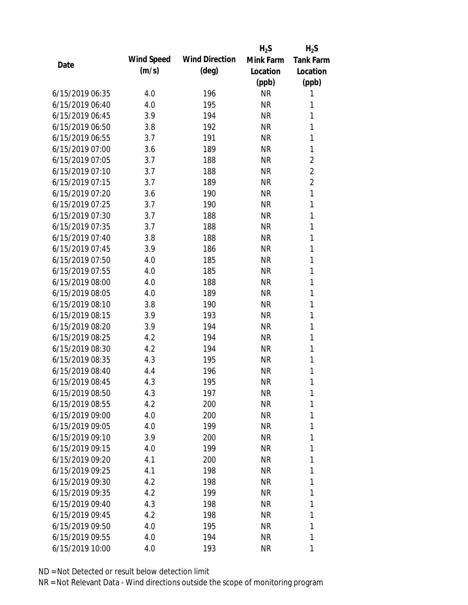|                 |            |                       | $H_2S$    | $H_2S$           |
|-----------------|------------|-----------------------|-----------|------------------|
|                 | Wind Speed | <b>Wind Direction</b> | Mink Farm | <b>Tank Farm</b> |
| Date            | (m/s)      | $(\text{deg})$        | Location  | Location         |
|                 |            |                       | (ppb)     | (ppb)            |
| 6/15/2019 06:35 | 4.0        | 196                   | <b>NR</b> | 1                |
| 6/15/2019 06:40 | 4.0        | 195                   | <b>NR</b> | 1                |
| 6/15/2019 06:45 | 3.9        | 194                   | <b>NR</b> | 1                |
| 6/15/2019 06:50 | 3.8        | 192                   | <b>NR</b> | 1                |
| 6/15/2019 06:55 | 3.7        | 191                   | <b>NR</b> | 1                |
| 6/15/2019 07:00 | 3.6        | 189                   | <b>NR</b> | 1                |
| 6/15/2019 07:05 | 3.7        | 188                   | <b>NR</b> | $\overline{c}$   |
| 6/15/2019 07:10 | 3.7        | 188                   | <b>NR</b> | $\overline{2}$   |
| 6/15/2019 07:15 | 3.7        | 189                   | <b>NR</b> | $\overline{2}$   |
| 6/15/2019 07:20 | 3.6        | 190                   | <b>NR</b> | $\mathbf{1}$     |
| 6/15/2019 07:25 | 3.7        | 190                   | <b>NR</b> | 1                |
| 6/15/2019 07:30 | 3.7        | 188                   | <b>NR</b> | 1                |
| 6/15/2019 07:35 | 3.7        | 188                   | <b>NR</b> | 1                |
| 6/15/2019 07:40 | 3.8        | 188                   | <b>NR</b> | 1                |
| 6/15/2019 07:45 | 3.9        | 186                   | <b>NR</b> | 1                |
| 6/15/2019 07:50 | 4.0        | 185                   | <b>NR</b> | 1                |
| 6/15/2019 07:55 | 4.0        | 185                   | <b>NR</b> | 1                |
| 6/15/2019 08:00 | 4.0        | 188                   | <b>NR</b> | 1                |
| 6/15/2019 08:05 | 4.0        | 189                   | <b>NR</b> | 1                |
| 6/15/2019 08:10 | 3.8        | 190                   | <b>NR</b> | 1                |
| 6/15/2019 08:15 | 3.9        | 193                   | <b>NR</b> | 1                |
| 6/15/2019 08:20 | 3.9        | 194                   | <b>NR</b> | 1                |
| 6/15/2019 08:25 | 4.2        | 194                   | <b>NR</b> | 1                |
| 6/15/2019 08:30 | 4.2        | 194                   | <b>NR</b> | 1                |
| 6/15/2019 08:35 | 4.3        | 195                   | <b>NR</b> | 1                |
| 6/15/2019 08:40 | 4.4        | 196                   | <b>NR</b> | 1                |
| 6/15/2019 08:45 | 4.3        | 195                   | <b>NR</b> | 1                |
| 6/15/2019 08:50 | 4.3        | 197                   | <b>NR</b> | 1                |
| 6/15/2019 08:55 | 4.2        | 200                   | <b>NR</b> | 1                |
| 6/15/2019 09:00 | 4.0        | 200                   | <b>NR</b> | 1                |
| 6/15/2019 09:05 | 4.0        | 199                   | <b>NR</b> | 1                |
| 6/15/2019 09:10 | 3.9        | 200                   | NR        | 1                |
| 6/15/2019 09:15 | 4.0        | 199                   | NR        | 1                |
| 6/15/2019 09:20 | 4.1        | 200                   | <b>NR</b> | 1                |
| 6/15/2019 09:25 | 4.1        | 198                   | NR        | 1                |
| 6/15/2019 09:30 | 4.2        | 198                   | NR        | 1                |
| 6/15/2019 09:35 | 4.2        | 199                   | NR        | 1                |
| 6/15/2019 09:40 | 4.3        | 198                   | NR        | 1                |
| 6/15/2019 09:45 | 4.2        | 198                   | NR        | 1                |
| 6/15/2019 09:50 | 4.0        | 195                   | NR        | 1                |
| 6/15/2019 09:55 | 4.0        | 194                   | <b>NR</b> | 1                |
|                 |            |                       |           |                  |
| 6/15/2019 10:00 | 4.0        | 193                   | <b>NR</b> | 1                |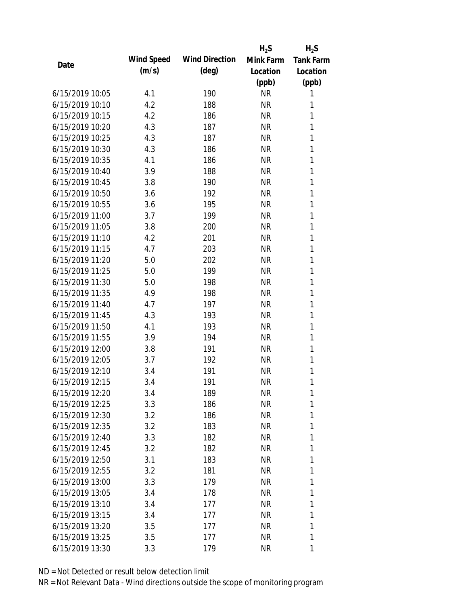|                 |            |                       | $H_2S$    | $H_2S$           |
|-----------------|------------|-----------------------|-----------|------------------|
| Date            | Wind Speed | <b>Wind Direction</b> | Mink Farm | <b>Tank Farm</b> |
|                 | (m/s)      | $(\text{deg})$        | Location  | Location         |
|                 |            |                       | (ppb)     | (ppb)            |
| 6/15/2019 10:05 | 4.1        | 190                   | <b>NR</b> | 1                |
| 6/15/2019 10:10 | 4.2        | 188                   | <b>NR</b> | 1                |
| 6/15/2019 10:15 | 4.2        | 186                   | <b>NR</b> | 1                |
| 6/15/2019 10:20 | 4.3        | 187                   | <b>NR</b> | 1                |
| 6/15/2019 10:25 | 4.3        | 187                   | <b>NR</b> | 1                |
| 6/15/2019 10:30 | 4.3        | 186                   | <b>NR</b> | $\mathbf{1}$     |
| 6/15/2019 10:35 | 4.1        | 186                   | <b>NR</b> | 1                |
| 6/15/2019 10:40 | 3.9        | 188                   | <b>NR</b> | $\mathbf{1}$     |
| 6/15/2019 10:45 | 3.8        | 190                   | <b>NR</b> | 1                |
| 6/15/2019 10:50 | 3.6        | 192                   | <b>NR</b> | 1                |
| 6/15/2019 10:55 | 3.6        | 195                   | <b>NR</b> | $\mathbf{1}$     |
| 6/15/2019 11:00 | 3.7        | 199                   | <b>NR</b> | 1                |
| 6/15/2019 11:05 | 3.8        | 200                   | <b>NR</b> | $\mathbf{1}$     |
| 6/15/2019 11:10 | 4.2        | 201                   | <b>NR</b> | 1                |
| 6/15/2019 11:15 | 4.7        | 203                   | <b>NR</b> | 1                |
| 6/15/2019 11:20 | 5.0        | 202                   | <b>NR</b> | 1                |
| 6/15/2019 11:25 | 5.0        | 199                   | <b>NR</b> | 1                |
| 6/15/2019 11:30 | 5.0        | 198                   | <b>NR</b> | $\mathbf{1}$     |
| 6/15/2019 11:35 | 4.9        | 198                   | <b>NR</b> | 1                |
| 6/15/2019 11:40 | 4.7        | 197                   | <b>NR</b> | 1                |
| 6/15/2019 11:45 | 4.3        | 193                   | <b>NR</b> | 1                |
| 6/15/2019 11:50 | 4.1        | 193                   | <b>NR</b> | 1                |
| 6/15/2019 11:55 | 3.9        | 194                   | <b>NR</b> | 1                |
| 6/15/2019 12:00 | 3.8        | 191                   | <b>NR</b> | 1                |
| 6/15/2019 12:05 | 3.7        | 192                   | <b>NR</b> | 1                |
| 6/15/2019 12:10 | 3.4        | 191                   | <b>NR</b> | 1                |
| 6/15/2019 12:15 | 3.4        | 191                   | <b>NR</b> | 1                |
| 6/15/2019 12:20 | 3.4        | 189                   | <b>NR</b> | 1                |
| 6/15/2019 12:25 | 3.3        | 186                   | <b>NR</b> | 1                |
| 6/15/2019 12:30 | 3.2        | 186                   | <b>NR</b> | 1                |
| 6/15/2019 12:35 | 3.2        | 183                   | <b>NR</b> | 1                |
| 6/15/2019 12:40 | 3.3        | 182                   | <b>NR</b> | 1                |
| 6/15/2019 12:45 | 3.2        | 182                   | <b>NR</b> | 1                |
| 6/15/2019 12:50 | 3.1        | 183                   | <b>NR</b> | 1                |
| 6/15/2019 12:55 | 3.2        | 181                   | <b>NR</b> | 1                |
| 6/15/2019 13:00 | 3.3        | 179                   | <b>NR</b> | 1                |
| 6/15/2019 13:05 | 3.4        | 178                   | <b>NR</b> | 1                |
| 6/15/2019 13:10 | 3.4        | 177                   | NR        | 1                |
| 6/15/2019 13:15 | 3.4        | 177                   | NR        | 1                |
| 6/15/2019 13:20 | 3.5        | 177                   | <b>NR</b> | 1                |
| 6/15/2019 13:25 | 3.5        | 177                   | <b>NR</b> | 1                |
| 6/15/2019 13:30 | 3.3        | 179                   | <b>NR</b> | 1                |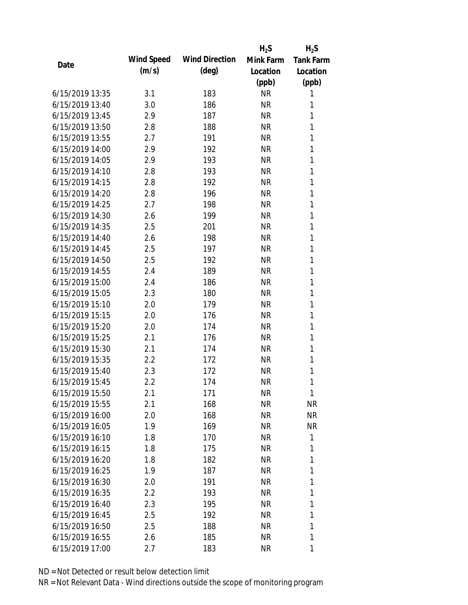|                 |            |                       | $H_2S$    | $H_2S$           |
|-----------------|------------|-----------------------|-----------|------------------|
| Date            | Wind Speed | <b>Wind Direction</b> | Mink Farm | <b>Tank Farm</b> |
|                 | (m/s)      | $(\text{deg})$        | Location  | Location         |
|                 |            |                       | (ppb)     | (ppb)            |
| 6/15/2019 13:35 | 3.1        | 183                   | <b>NR</b> | 1                |
| 6/15/2019 13:40 | 3.0        | 186                   | <b>NR</b> | 1                |
| 6/15/2019 13:45 | 2.9        | 187                   | <b>NR</b> | 1                |
| 6/15/2019 13:50 | 2.8        | 188                   | <b>NR</b> | 1                |
| 6/15/2019 13:55 | 2.7        | 191                   | <b>NR</b> | 1                |
| 6/15/2019 14:00 | 2.9        | 192                   | <b>NR</b> | 1                |
| 6/15/2019 14:05 | 2.9        | 193                   | <b>NR</b> | 1                |
| 6/15/2019 14:10 | 2.8        | 193                   | <b>NR</b> | 1                |
| 6/15/2019 14:15 | 2.8        | 192                   | <b>NR</b> | 1                |
| 6/15/2019 14:20 | 2.8        | 196                   | <b>NR</b> | 1                |
| 6/15/2019 14:25 | 2.7        | 198                   | <b>NR</b> | 1                |
| 6/15/2019 14:30 | 2.6        | 199                   | <b>NR</b> | 1                |
| 6/15/2019 14:35 | 2.5        | 201                   | <b>NR</b> | 1                |
| 6/15/2019 14:40 | 2.6        | 198                   | <b>NR</b> | 1                |
| 6/15/2019 14:45 | 2.5        | 197                   | <b>NR</b> | 1                |
| 6/15/2019 14:50 | 2.5        | 192                   | <b>NR</b> | 1                |
| 6/15/2019 14:55 | 2.4        | 189                   | <b>NR</b> | 1                |
| 6/15/2019 15:00 | 2.4        | 186                   | <b>NR</b> | 1                |
| 6/15/2019 15:05 | 2.3        | 180                   | <b>NR</b> | 1                |
| 6/15/2019 15:10 | 2.0        | 179                   | <b>NR</b> | 1                |
| 6/15/2019 15:15 | 2.0        | 176                   | <b>NR</b> | 1                |
| 6/15/2019 15:20 | 2.0        | 174                   | <b>NR</b> | 1                |
| 6/15/2019 15:25 | 2.1        | 176                   | <b>NR</b> | 1                |
| 6/15/2019 15:30 | 2.1        | 174                   | <b>NR</b> | 1                |
| 6/15/2019 15:35 | 2.2        | 172                   | <b>NR</b> | 1                |
| 6/15/2019 15:40 | 2.3        | 172                   | <b>NR</b> | 1                |
| 6/15/2019 15:45 | 2.2        | 174                   | <b>NR</b> | 1                |
| 6/15/2019 15:50 | 2.1        | 171                   | <b>NR</b> | 1                |
| 6/15/2019 15:55 | 2.1        | 168                   | <b>NR</b> | <b>NR</b>        |
| 6/15/2019 16:00 | 2.0        | 168                   | <b>NR</b> | <b>NR</b>        |
| 6/15/2019 16:05 | 1.9        | 169                   | <b>NR</b> | <b>NR</b>        |
| 6/15/2019 16:10 | 1.8        | 170                   | <b>NR</b> | 1                |
| 6/15/2019 16:15 | 1.8        | 175                   | <b>NR</b> | 1                |
| 6/15/2019 16:20 | 1.8        | 182                   | <b>NR</b> | 1                |
| 6/15/2019 16:25 | 1.9        | 187                   | <b>NR</b> | 1                |
| 6/15/2019 16:30 | 2.0        | 191                   | <b>NR</b> | 1                |
| 6/15/2019 16:35 | $2.2\,$    | 193                   | <b>NR</b> | 1                |
| 6/15/2019 16:40 | 2.3        | 195                   | <b>NR</b> | 1                |
| 6/15/2019 16:45 | 2.5        | 192                   | <b>NR</b> | 1                |
| 6/15/2019 16:50 | 2.5        | 188                   | <b>NR</b> | 1                |
| 6/15/2019 16:55 | 2.6        | 185                   | <b>NR</b> | 1                |
| 6/15/2019 17:00 | 2.7        | 183                   | <b>NR</b> | 1                |
|                 |            |                       |           |                  |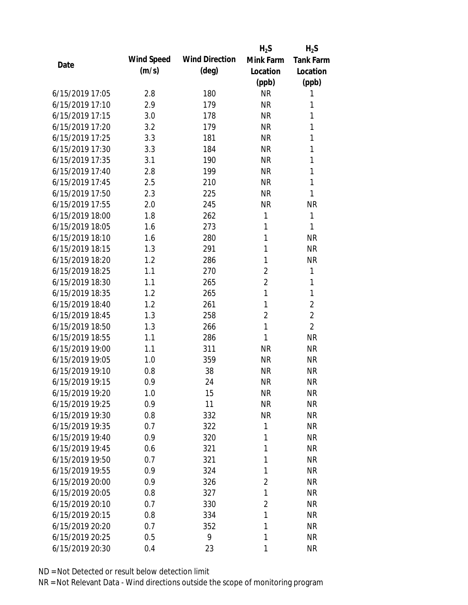|                 |            |                       | $H_2S$         | $H_2S$           |
|-----------------|------------|-----------------------|----------------|------------------|
| Date            | Wind Speed | <b>Wind Direction</b> | Mink Farm      | <b>Tank Farm</b> |
|                 | (m/s)      | $(\text{deg})$        | Location       | Location         |
|                 |            |                       | (ppb)          | (ppb)            |
| 6/15/2019 17:05 | 2.8        | 180                   | <b>NR</b>      | 1                |
| 6/15/2019 17:10 | 2.9        | 179                   | <b>NR</b>      | 1                |
| 6/15/2019 17:15 | 3.0        | 178                   | <b>NR</b>      | 1                |
| 6/15/2019 17:20 | 3.2        | 179                   | <b>NR</b>      | 1                |
| 6/15/2019 17:25 | 3.3        | 181                   | <b>NR</b>      | 1                |
| 6/15/2019 17:30 | 3.3        | 184                   | <b>NR</b>      | 1                |
| 6/15/2019 17:35 | 3.1        | 190                   | <b>NR</b>      | 1                |
| 6/15/2019 17:40 | 2.8        | 199                   | <b>NR</b>      | 1                |
| 6/15/2019 17:45 | 2.5        | 210                   | <b>NR</b>      | 1                |
| 6/15/2019 17:50 | 2.3        | 225                   | <b>NR</b>      | 1                |
| 6/15/2019 17:55 | 2.0        | 245                   | <b>NR</b>      | <b>NR</b>        |
| 6/15/2019 18:00 | 1.8        | 262                   | 1              | 1                |
| 6/15/2019 18:05 | 1.6        | 273                   | 1              | 1                |
| 6/15/2019 18:10 | 1.6        | 280                   | 1              | <b>NR</b>        |
| 6/15/2019 18:15 | 1.3        | 291                   | 1              | <b>NR</b>        |
| 6/15/2019 18:20 | 1.2        | 286                   | 1              | <b>NR</b>        |
| 6/15/2019 18:25 | 1.1        | 270                   | $\overline{2}$ | 1                |
| 6/15/2019 18:30 | 1.1        | 265                   | $\overline{2}$ | 1                |
| 6/15/2019 18:35 | 1.2        | 265                   | $\mathbf{1}$   | 1                |
| 6/15/2019 18:40 | 1.2        | 261                   | 1              | $\overline{2}$   |
| 6/15/2019 18:45 | 1.3        | 258                   | $\overline{2}$ | $\overline{2}$   |
| 6/15/2019 18:50 | 1.3        | 266                   | 1              | $\overline{2}$   |
| 6/15/2019 18:55 | 1.1        | 286                   | 1              | <b>NR</b>        |
| 6/15/2019 19:00 | 1.1        | 311                   | <b>NR</b>      | <b>NR</b>        |
| 6/15/2019 19:05 | 1.0        | 359                   | <b>NR</b>      | <b>NR</b>        |
| 6/15/2019 19:10 | 0.8        | 38                    | <b>NR</b>      | <b>NR</b>        |
| 6/15/2019 19:15 | 0.9        | 24                    | <b>NR</b>      | <b>NR</b>        |
| 6/15/2019 19:20 | 1.0        | 15                    | <b>NR</b>      | <b>NR</b>        |
| 6/15/2019 19:25 | 0.9        | 11                    | <b>NR</b>      | <b>NR</b>        |
| 6/15/2019 19:30 | 0.8        | 332                   | <b>NR</b>      | <b>NR</b>        |
| 6/15/2019 19:35 | 0.7        | 322                   | 1              | <b>NR</b>        |
| 6/15/2019 19:40 | 0.9        | 320                   | 1              | <b>NR</b>        |
| 6/15/2019 19:45 | 0.6        | 321                   | 1              | <b>NR</b>        |
| 6/15/2019 19:50 | 0.7        | 321                   | 1              | <b>NR</b>        |
| 6/15/2019 19:55 | 0.9        | 324                   | 1              | <b>NR</b>        |
| 6/15/2019 20:00 | 0.9        | 326                   | $\overline{2}$ | <b>NR</b>        |
| 6/15/2019 20:05 | 0.8        | 327                   | 1              | <b>NR</b>        |
| 6/15/2019 20:10 | 0.7        | 330                   | 2              | <b>NR</b>        |
| 6/15/2019 20:15 | 0.8        | 334                   | 1              | <b>NR</b>        |
| 6/15/2019 20:20 | 0.7        | 352                   | 1              | <b>NR</b>        |
| 6/15/2019 20:25 | 0.5        | 9                     | 1              | <b>NR</b>        |
| 6/15/2019 20:30 | 0.4        | 23                    | 1              | <b>NR</b>        |
|                 |            |                       |                |                  |